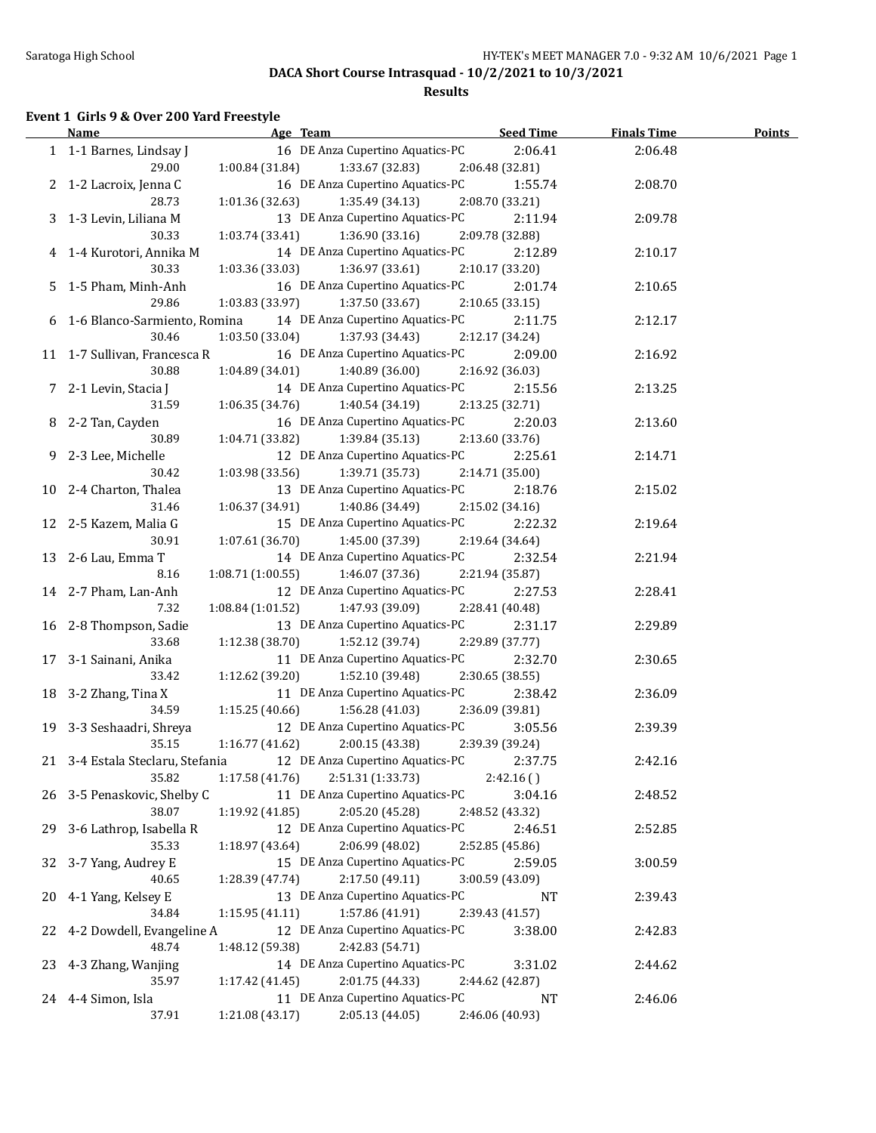### **Results**

#### **Event 1 Girls 9 & Over 200 Yard Freestyle**

|    | <u>Name</u>                      | Age Team                             | <b>Seed Time</b> | <b>Finals Time</b> | <b>Points</b> |
|----|----------------------------------|--------------------------------------|------------------|--------------------|---------------|
|    | 1 1-1 Barnes, Lindsay J          | 16 DE Anza Cupertino Aquatics-PC     | 2:06.41          | 2:06.48            |               |
|    | 29.00                            | $1:00.84(31.84)$ $1:33.67(32.83)$    | 2:06.48 (32.81)  |                    |               |
|    | 2 1-2 Lacroix, Jenna C           | 16 DE Anza Cupertino Aquatics-PC     | 1:55.74          | 2:08.70            |               |
|    | 28.73                            | $1:01.36(32.63)$ $1:35.49(34.13)$    | 2:08.70 (33.21)  |                    |               |
|    | 3 1-3 Levin, Liliana M           | 13 DE Anza Cupertino Aquatics-PC     | 2:11.94          | 2:09.78            |               |
|    | 30.33                            | $1:03.74(33.41)$ $1:36.90(33.16)$    | 2:09.78 (32.88)  |                    |               |
|    | 4 1-4 Kurotori, Annika M         | 14 DE Anza Cupertino Aquatics-PC     | 2:12.89          | 2:10.17            |               |
|    | 30.33                            | $1:03.36(33.03)$ $1:36.97(33.61)$    | 2:10.17 (33.20)  |                    |               |
|    | 5 1-5 Pham, Minh-Anh             | 16 DE Anza Cupertino Aquatics-PC     | 2:01.74          | 2:10.65            |               |
|    | 29.86                            | 1:03.83 (33.97)<br>1:37.50 (33.67)   | 2:10.65(33.15)   |                    |               |
|    | 6 1-6 Blanco-Sarmiento, Romina   | 14 DE Anza Cupertino Aquatics-PC     | 2:11.75          | 2:12.17            |               |
|    | 30.46                            | $1:03.50(33.04)$ $1:37.93(34.43)$    | 2:12.17 (34.24)  |                    |               |
|    | 11 1-7 Sullivan, Francesca R     | 16 DE Anza Cupertino Aquatics-PC     | 2:09.00          | 2:16.92            |               |
|    | 30.88                            | 1:40.89 (36.00)<br>1:04.89 (34.01)   | 2:16.92 (36.03)  |                    |               |
|    | 7 2-1 Levin, Stacia J            | 14 DE Anza Cupertino Aquatics-PC     | 2:15.56          | 2:13.25            |               |
|    | 31.59                            | 1:06.35 (34.76)<br>1:40.54 (34.19)   | 2:13.25 (32.71)  |                    |               |
|    | 8 2-2 Tan, Cayden                | 16 DE Anza Cupertino Aquatics-PC     | 2:20.03          | 2:13.60            |               |
|    | 30.89                            | 1:04.71 (33.82)<br>1:39.84 (35.13)   | 2:13.60 (33.76)  |                    |               |
|    | 9 2-3 Lee, Michelle              | 12 DE Anza Cupertino Aquatics-PC     | 2:25.61          | 2:14.71            |               |
|    | 30.42                            | 1:03.98(33.56)<br>1:39.71 (35.73)    | 2:14.71(35.00)   |                    |               |
|    | 10 2-4 Charton, Thalea           | 13 DE Anza Cupertino Aquatics-PC     | 2:18.76          | 2:15.02            |               |
|    | 31.46                            | 1:06.37(34.91)<br>1:40.86 (34.49)    | 2:15.02 (34.16)  |                    |               |
|    | 12 2-5 Kazem, Malia G            | 15 DE Anza Cupertino Aquatics-PC     | 2:22.32          | 2:19.64            |               |
|    | 30.91                            | 1:07.61(36.70)<br>1:45.00 (37.39)    | 2:19.64 (34.64)  |                    |               |
|    | 13 2-6 Lau, Emma T               | 14 DE Anza Cupertino Aquatics-PC     | 2:32.54          | 2:21.94            |               |
|    | 8.16                             | 1:08.71(1:00.55)<br>1:46.07 (37.36)  | 2:21.94 (35.87)  |                    |               |
|    | 14 2-7 Pham, Lan-Anh             | 12 DE Anza Cupertino Aquatics-PC     | 2:27.53          | 2:28.41            |               |
|    | 7.32                             | 1:08.84(1:01.52)<br>1:47.93 (39.09)  | 2:28.41 (40.48)  |                    |               |
|    | 16 2-8 Thompson, Sadie           | 13 DE Anza Cupertino Aquatics-PC     | 2:31.17          | 2:29.89            |               |
|    | 33.68                            | 1:12.38(38.70)<br>1:52.12 (39.74)    | 2:29.89 (37.77)  |                    |               |
|    | 17 3-1 Sainani, Anika            | 11 DE Anza Cupertino Aquatics-PC     | 2:32.70          | 2:30.65            |               |
|    | 33.42                            | 1:12.62 (39.20)<br>1:52.10 (39.48)   | 2:30.65 (38.55)  |                    |               |
|    | 18 3-2 Zhang, Tina X             | 11 DE Anza Cupertino Aquatics-PC     | 2:38.42          | 2:36.09            |               |
|    | 34.59                            | $1:15.25(40.66)$ $1:56.28(41.03)$    | 2:36.09 (39.81)  |                    |               |
|    | 19 3-3 Seshaadri, Shreya         | 12 DE Anza Cupertino Aquatics-PC     | 3:05.56          | 2:39.39            |               |
|    | 35.15                            | 1:16.77(41.62)<br>2:00.15 (43.38)    | 2:39.39 (39.24)  |                    |               |
|    | 21 3-4 Estala Steclaru, Stefania | 12 DE Anza Cupertino Aquatics-PC     | 2:37.75          | 2:42.16            |               |
|    | 35.82                            | 2:51.31 (1:33.73)<br>1:17.58 (41.76) | 2:42.16()        |                    |               |
|    | 26 3-5 Penaskovic, Shelby C      | 11 DE Anza Cupertino Aquatics-PC     | 3:04.16          | 2:48.52            |               |
|    | 38.07                            | 2:05.20 (45.28)<br>1:19.92 (41.85)   | 2:48.52 (43.32)  |                    |               |
| 29 | 3-6 Lathrop, Isabella R          | 12 DE Anza Cupertino Aquatics-PC     | 2:46.51          | 2:52.85            |               |
|    | 35.33                            | 2:06.99 (48.02)<br>1:18.97 (43.64)   | 2:52.85 (45.86)  |                    |               |
| 32 | 3-7 Yang, Audrey E               | 15 DE Anza Cupertino Aquatics-PC     | 2:59.05          | 3:00.59            |               |
|    | 40.65                            | 2:17.50 (49.11)<br>1:28.39 (47.74)   | 3:00.59 (43.09)  |                    |               |
| 20 | 4-1 Yang, Kelsey E               | 13 DE Anza Cupertino Aquatics-PC     | <b>NT</b>        | 2:39.43            |               |
|    | 34.84                            | 1:15.95(41.11)<br>1:57.86 (41.91)    | 2:39.43 (41.57)  |                    |               |
| 22 | 4-2 Dowdell, Evangeline A        | 12 DE Anza Cupertino Aquatics-PC     | 3:38.00          | 2:42.83            |               |
|    | 48.74                            | 2:42.83 (54.71)<br>1:48.12 (59.38)   |                  |                    |               |
| 23 | 4-3 Zhang, Wanjing               | 14 DE Anza Cupertino Aquatics-PC     | 3:31.02          | 2:44.62            |               |
|    | 35.97                            | 2:01.75 (44.33)<br>1:17.42 (41.45)   | 2:44.62 (42.87)  |                    |               |
|    | 24 4-4 Simon, Isla               | 11 DE Anza Cupertino Aquatics-PC     | NT               | 2:46.06            |               |
|    | 37.91                            | 1:21.08 (43.17)<br>2:05.13 (44.05)   | 2:46.06 (40.93)  |                    |               |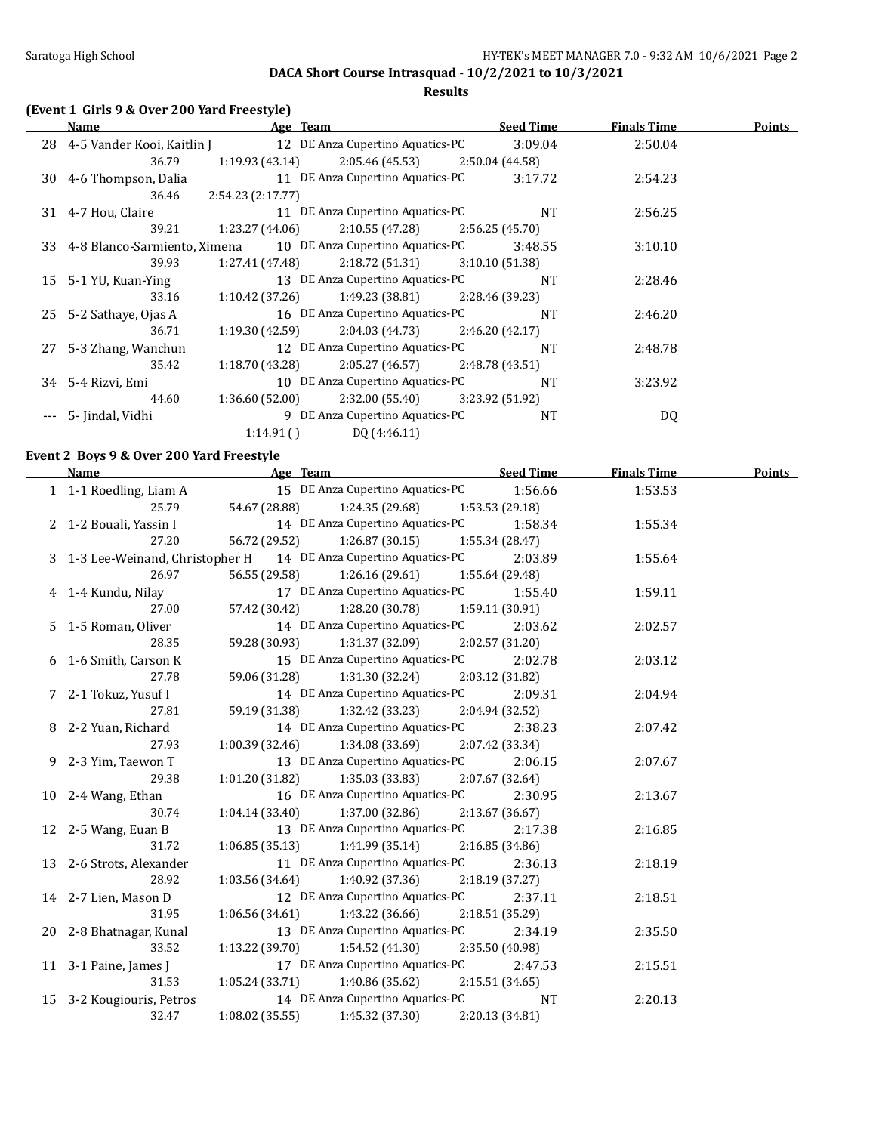**Results**

### **(Event 1 Girls 9 & Over 200 Yard Freestyle)**

| Name                          |                  | Age Team                                                         | <b>Seed Time</b> | <b>Finals Time</b> | Points |
|-------------------------------|------------------|------------------------------------------------------------------|------------------|--------------------|--------|
| 28 4-5 Vander Kooi, Kaitlin J |                  | 12 DE Anza Cupertino Aquatics-PC                                 | 3:09.04          | 2:50.04            |        |
| 36.79                         | 1:19.93 (43.14)  | 2:05.46 (45.53)                                                  | 2:50.04 (44.58)  |                    |        |
| 30 4-6 Thompson, Dalia        |                  | 11 DE Anza Cupertino Aquatics-PC                                 | 3:17.72          | 2:54.23            |        |
| 36.46                         | 2:54.23(2:17.77) |                                                                  |                  |                    |        |
| 31 4-7 Hou, Claire            |                  | 11 DE Anza Cupertino Aquatics-PC                                 | <b>NT</b>        | 2:56.25            |        |
| 39.21                         |                  | $1:23.27(44.06)$ $2:10.55(47.28)$                                | 2:56.25(45.70)   |                    |        |
|                               |                  | 33 4-8 Blanco-Sarmiento, Ximena 10 DE Anza Cupertino Aquatics-PC | 3:48.55          | 3:10.10            |        |
| 39.93                         |                  | $1:27.41(47.48)$ $2:18.72(51.31)$                                | 3:10.10(51.38)   |                    |        |
| 15 5-1 YU, Kuan-Ying          |                  | 13 DE Anza Cupertino Aquatics-PC                                 | <b>NT</b>        | 2:28.46            |        |
| 33.16                         |                  | $1:10.42$ (37.26) $1:49.23$ (38.81) $2:28.46$ (39.23)            |                  |                    |        |
| 25 5-2 Sathaye, Ojas A        |                  | 16 DE Anza Cupertino Aquatics-PC                                 | <b>NT</b>        | 2:46.20            |        |
| 36.71                         |                  | $1:19.30(42.59)$ $2:04.03(44.73)$                                | 2:46.20(42.17)   |                    |        |
| 27 5-3 Zhang, Wanchun         |                  | 12 DE Anza Cupertino Aquatics-PC                                 | <b>NT</b>        | 2:48.78            |        |
| 35.42                         | 1:18.70 (43.28)  | $2:05.27(46.57)$ $2:48.78(43.51)$                                |                  |                    |        |
| 34 5-4 Rizvi, Emi             |                  | 10 DE Anza Cupertino Aquatics-PC                                 | <b>NT</b>        | 3:23.92            |        |
| 44.60                         |                  | $1:36.60$ (52.00) $2:32.00$ (55.40) $3:23.92$ (51.92)            |                  |                    |        |
| 5- Jindal, Vidhi              |                  | 9 DE Anza Cupertino Aquatics-PC                                  | <b>NT</b>        | DQ                 |        |
|                               | 1:14.91()        | DQ (4:46.11)                                                     |                  |                    |        |

# **Event 2 Boys 9 & Over 200 Yard Freestyle**

| <b>Name</b>                              | <b>Example 2016</b> Age Team <b>Age Team</b> Seed Time            |         | <b>Finals Time</b> | <b>Points</b> |
|------------------------------------------|-------------------------------------------------------------------|---------|--------------------|---------------|
| 1 1-1 Roedling, Liam A                   | 15 DE Anza Cupertino Aquatics-PC 1:56.66                          |         | 1:53.53            |               |
| 25.79                                    | 54.67 (28.88) 1:24.35 (29.68) 1:53.53 (29.18)                     |         |                    |               |
| 2 1-2 Bouali, Yassin I<br>27.20 56.72 (2 | 14 DE Anza Cupertino Aquatics-PC 1:58.34                          |         | 1:55.34            |               |
|                                          | 56.72 (29.52) 1:26.87 (30.15) 1:55.34 (28.47)                     |         |                    |               |
|                                          | 3 1-3 Lee-Weinand, Christopher H 14 DE Anza Cupertino Aquatics-PC | 2:03.89 | 1:55.64            |               |
| 26.97                                    | 56.55 (29.58) 1:26.16 (29.61) 1:55.64 (29.48)                     |         |                    |               |
| 4 1-4 Kundu, Nilay                       | 17 DE Anza Cupertino Aquatics-PC 1:55.40                          |         | 1:59.11            |               |
| 27.00                                    | 57.42 (30.42) 1:28.20 (30.78) 1:59.11 (30.91)                     |         |                    |               |
| 5 1-5 Roman, Oliver                      | 14 DE Anza Cupertino Aquatics-PC                                  | 2:03.62 | 2:02.57            |               |
| 28.35                                    | 59.28 (30.93) 1:31.37 (32.09) 2:02.57 (31.20)                     |         |                    |               |
| 6 1-6 Smith, Carson K                    | 15 DE Anza Cupertino Aquatics-PC 2:02.78<br>39.28 <sub>g</sub>    |         | 2:03.12            |               |
| 27.78                                    | 59.06 (31.28) 1:31.30 (32.24) 2:03.12 (31.82)                     |         |                    |               |
|                                          | 7 2-1 Tokuz, Yusuf I 14 DE Anza Cupertino Aquatics-PC 2:09.31     |         | 2:04.94            |               |
| 27.81                                    | 59.19 (31.38) 1:32.42 (33.23) 2:04.94 (32.52)                     |         |                    |               |
| 8 2-2 Yuan, Richard                      | 14 DE Anza Cupertino Aquatics-PC 2:38.23                          |         | 2:07.42            |               |
| 27.93                                    | $1:00.39$ (32.46) $1:34.08$ (33.69) $2:07.42$ (33.34)             |         |                    |               |
| 9 2-3 Yim, Taewon T                      | 13 DE Anza Cupertino Aquatics-PC                                  | 2:06.15 | 2:07.67            |               |
| 29.38                                    | $1:01.20(31.82)$ $1:35.03(33.83)$ $2:07.67(32.64)$                |         |                    |               |
| 10 2-4 Wang, Ethan                       | 16 DE Anza Cupertino Aquatics-PC 2:30.95                          |         | 2:13.67            |               |
| 30.74                                    | $1:04.14$ (33.40) $1:37.00$ (32.86) $2:13.67$ (36.67)             |         |                    |               |
|                                          | 12 2-5 Wang, Euan B 13 DE Anza Cupertino Aquatics-PC              | 2:17.38 | 2:16.85            |               |
| 31.72                                    | $1:06.85(35.13)$ $1:41.99(35.14)$ $2:16.85(34.86)$                |         |                    |               |
| 13 2-6 Strots, Alexander                 | 11 DE Anza Cupertino Aquatics-PC 2:36.13                          |         | 2:18.19            |               |
| 28.92                                    | $1:03.56(34.64)$ $1:40.92(37.36)$ $2:18.19(37.27)$                |         |                    |               |
| 14 2-7 Lien, Mason D                     | 12 DE Anza Cupertino Aquatics-PC                                  | 2:37.11 | 2:18.51            |               |
| 31.95                                    | $1:06.56(34.61)$ $1:43.22(36.66)$ $2:18.51(35.29)$                |         |                    |               |
| 20 2-8 Bhatnagar, Kunal                  | 13 DE Anza Cupertino Aquatics-PC 2:34.19                          |         | 2:35.50            |               |
| 33.52                                    | 1:13.22 (39.70) $1:54.52$ (41.30) $2:35.50$ (40.98)               |         |                    |               |
| 11 3-1 Paine, James J                    | 17 DE Anza Cupertino Aquatics-PC 2:47.53                          |         | 2:15.51            |               |
| 31.53                                    | $1:05.24(33.71)$ $1:40.86(35.62)$ $2:15.51(34.65)$                |         |                    |               |
| 15 3-2 Kougiouris, Petros                | 14 DE Anza Cupertino Aquatics-PC NT                               |         | 2:20.13            |               |
| 32.47                                    | $1:08.02$ (35.55) $1:45.32$ (37.30) $2:20.13$ (34.81)             |         |                    |               |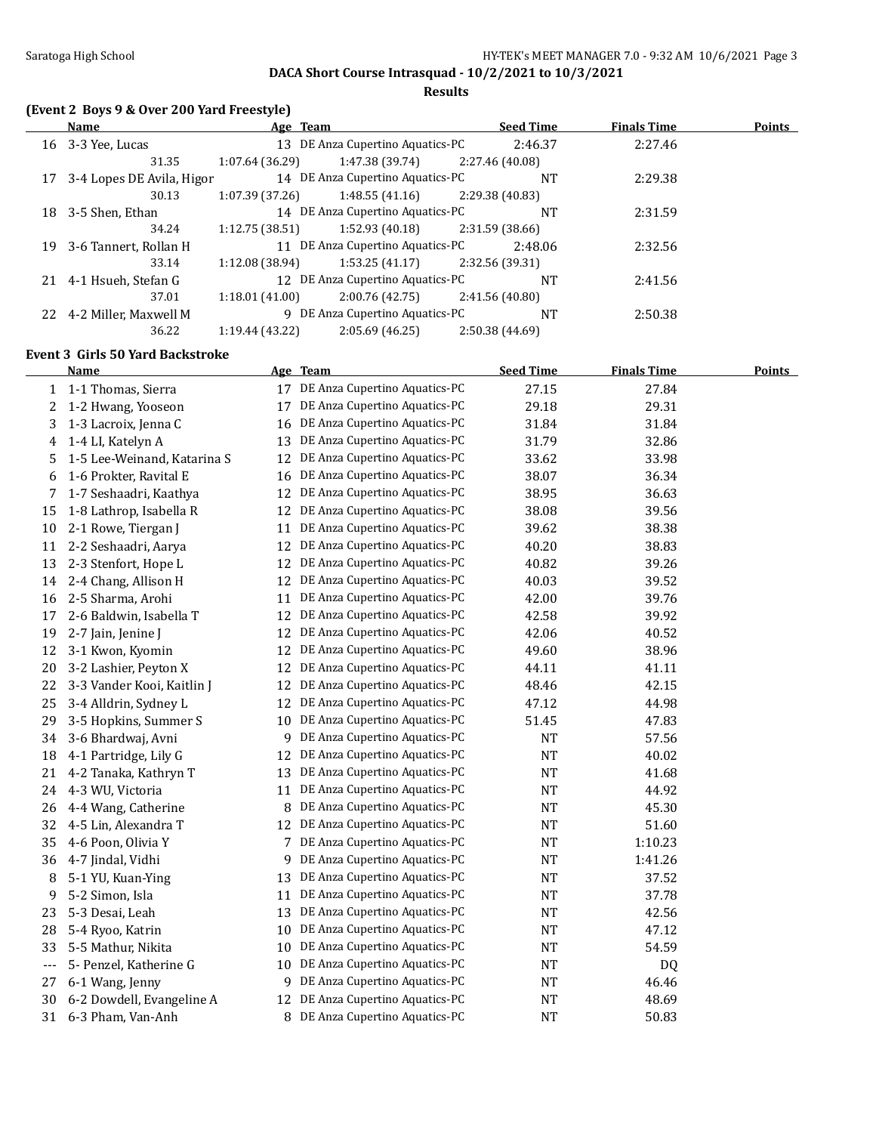**Results**

## **(Event 2 Boys 9 & Over 200 Yard Freestyle)**

|    | Name                      | Age Team        |                                  |                 | <b>Seed Time</b> | <b>Finals Time</b> | <b>Points</b> |
|----|---------------------------|-----------------|----------------------------------|-----------------|------------------|--------------------|---------------|
|    | 16 3-3 Yee, Lucas         |                 | 13 DE Anza Cupertino Aquatics-PC |                 | 2:46.37          | 2:27.46            |               |
|    | 31.35                     | 1:07.64 (36.29) | 1:47.38 (39.74)                  | 2:27.46 (40.08) |                  |                    |               |
| 17 | 3-4 Lopes DE Avila, Higor |                 | 14 DE Anza Cupertino Aquatics-PC |                 | <b>NT</b>        | 2:29.38            |               |
|    | 30.13                     | 1:07.39(37.26)  | 1:48.55(41.16)                   | 2:29.38 (40.83) |                  |                    |               |
| 18 | 3-5 Shen, Ethan           |                 | 14 DE Anza Cupertino Aquatics-PC |                 | <b>NT</b>        | 2:31.59            |               |
|    | 34.24                     | 1:12.75(38.51)  | 1:52.93 (40.18)                  | 2:31.59(38.66)  |                  |                    |               |
| 19 | 3-6 Tannert, Rollan H     |                 | 11 DE Anza Cupertino Aquatics-PC |                 | 2:48.06          | 2:32.56            |               |
|    | 33.14                     | 1:12.08 (38.94) | 1:53.25(41.17)                   | 2:32.56 (39.31) |                  |                    |               |
|    | 21 4-1 Hsueh, Stefan G    |                 | 12 DE Anza Cupertino Aquatics-PC |                 | <b>NT</b>        | 2:41.56            |               |
|    | 37.01                     | 1:18.01(41.00)  | 2:00.76(42.75)                   | 2:41.56 (40.80) |                  |                    |               |
| 22 | 4-2 Miller, Maxwell M     |                 | 9 DE Anza Cupertino Aquatics-PC  |                 | <b>NT</b>        | 2:50.38            |               |
|    | 36.22                     | 1:19.44 (43.22) | 2:05.69(46.25)                   | 2:50.38 (44.69) |                  |                    |               |

### **Event 3 Girls 50 Yard Backstroke**

|                | <b>Name</b>                 |    | Age Team                         | <b>Seed Time</b> | <b>Finals Time</b> | <b>Points</b> |
|----------------|-----------------------------|----|----------------------------------|------------------|--------------------|---------------|
| $\mathbf{1}$   | 1-1 Thomas, Sierra          | 17 | DE Anza Cupertino Aquatics-PC    | 27.15            | 27.84              |               |
| 2              | 1-2 Hwang, Yooseon          | 17 | DE Anza Cupertino Aquatics-PC    | 29.18            | 29.31              |               |
| 3              | 1-3 Lacroix, Jenna C        | 16 | DE Anza Cupertino Aquatics-PC    | 31.84            | 31.84              |               |
| 4              | 1-4 LI, Katelyn A           | 13 | DE Anza Cupertino Aquatics-PC    | 31.79            | 32.86              |               |
| 5              | 1-5 Lee-Weinand, Katarina S | 12 | DE Anza Cupertino Aquatics-PC    | 33.62            | 33.98              |               |
| 6              | 1-6 Prokter, Ravital E      | 16 | DE Anza Cupertino Aquatics-PC    | 38.07            | 36.34              |               |
| 7              | 1-7 Seshaadri, Kaathya      | 12 | DE Anza Cupertino Aquatics-PC    | 38.95            | 36.63              |               |
| 15             | 1-8 Lathrop, Isabella R     | 12 | DE Anza Cupertino Aquatics-PC    | 38.08            | 39.56              |               |
| 10             | 2-1 Rowe, Tiergan J         | 11 | DE Anza Cupertino Aquatics-PC    | 39.62            | 38.38              |               |
| 11             | 2-2 Seshaadri, Aarya        | 12 | DE Anza Cupertino Aquatics-PC    | 40.20            | 38.83              |               |
| 13             | 2-3 Stenfort, Hope L        | 12 | DE Anza Cupertino Aquatics-PC    | 40.82            | 39.26              |               |
| 14             | 2-4 Chang, Allison H        | 12 | DE Anza Cupertino Aquatics-PC    | 40.03            | 39.52              |               |
| 16             | 2-5 Sharma, Arohi           | 11 | DE Anza Cupertino Aquatics-PC    | 42.00            | 39.76              |               |
| 17             | 2-6 Baldwin, Isabella T     | 12 | DE Anza Cupertino Aquatics-PC    | 42.58            | 39.92              |               |
| 19             | 2-7 Jain, Jenine J          |    | 12 DE Anza Cupertino Aquatics-PC | 42.06            | 40.52              |               |
| 12             | 3-1 Kwon, Kyomin            | 12 | DE Anza Cupertino Aquatics-PC    | 49.60            | 38.96              |               |
| 20             | 3-2 Lashier, Peyton X       | 12 | DE Anza Cupertino Aquatics-PC    | 44.11            | 41.11              |               |
| 22             | 3-3 Vander Kooi, Kaitlin J  | 12 | DE Anza Cupertino Aquatics-PC    | 48.46            | 42.15              |               |
| 25             | 3-4 Alldrin, Sydney L       | 12 | DE Anza Cupertino Aquatics-PC    | 47.12            | 44.98              |               |
| 29             | 3-5 Hopkins, Summer S       | 10 | DE Anza Cupertino Aquatics-PC    | 51.45            | 47.83              |               |
| 34             | 3-6 Bhardwaj, Avni          | 9  | DE Anza Cupertino Aquatics-PC    | NT               | 57.56              |               |
| 18             | 4-1 Partridge, Lily G       | 12 | DE Anza Cupertino Aquatics-PC    | <b>NT</b>        | 40.02              |               |
| 21             | 4-2 Tanaka, Kathryn T       | 13 | DE Anza Cupertino Aquatics-PC    | NT               | 41.68              |               |
| 24             | 4-3 WU, Victoria            | 11 | DE Anza Cupertino Aquatics-PC    | <b>NT</b>        | 44.92              |               |
| 26             | 4-4 Wang, Catherine         | 8  | DE Anza Cupertino Aquatics-PC    | <b>NT</b>        | 45.30              |               |
| 32             | 4-5 Lin, Alexandra T        |    | 12 DE Anza Cupertino Aquatics-PC | NT               | 51.60              |               |
| 35             | 4-6 Poon, Olivia Y          | 7  | DE Anza Cupertino Aquatics-PC    | <b>NT</b>        | 1:10.23            |               |
| 36             | 4-7 Jindal, Vidhi           | 9  | DE Anza Cupertino Aquatics-PC    | NT               | 1:41.26            |               |
| 8              | 5-1 YU, Kuan-Ying           | 13 | DE Anza Cupertino Aquatics-PC    | NT               | 37.52              |               |
| 9              | 5-2 Simon, Isla             | 11 | DE Anza Cupertino Aquatics-PC    | NT               | 37.78              |               |
| 23             | 5-3 Desai, Leah             | 13 | DE Anza Cupertino Aquatics-PC    | NT               | 42.56              |               |
| 28             | 5-4 Ryoo, Katrin            | 10 | DE Anza Cupertino Aquatics-PC    | <b>NT</b>        | 47.12              |               |
| 33             | 5-5 Mathur, Nikita          | 10 | DE Anza Cupertino Aquatics-PC    | NT               | 54.59              |               |
| $\overline{a}$ | 5- Penzel, Katherine G      | 10 | DE Anza Cupertino Aquatics-PC    | NT               | <b>DQ</b>          |               |
| 27             | 6-1 Wang, Jenny             | 9  | DE Anza Cupertino Aquatics-PC    | NT               | 46.46              |               |
| 30             | 6-2 Dowdell, Evangeline A   | 12 | DE Anza Cupertino Aquatics-PC    | <b>NT</b>        | 48.69              |               |
| 31             | 6-3 Pham, Van-Anh           | 8  | DE Anza Cupertino Aquatics-PC    | <b>NT</b>        | 50.83              |               |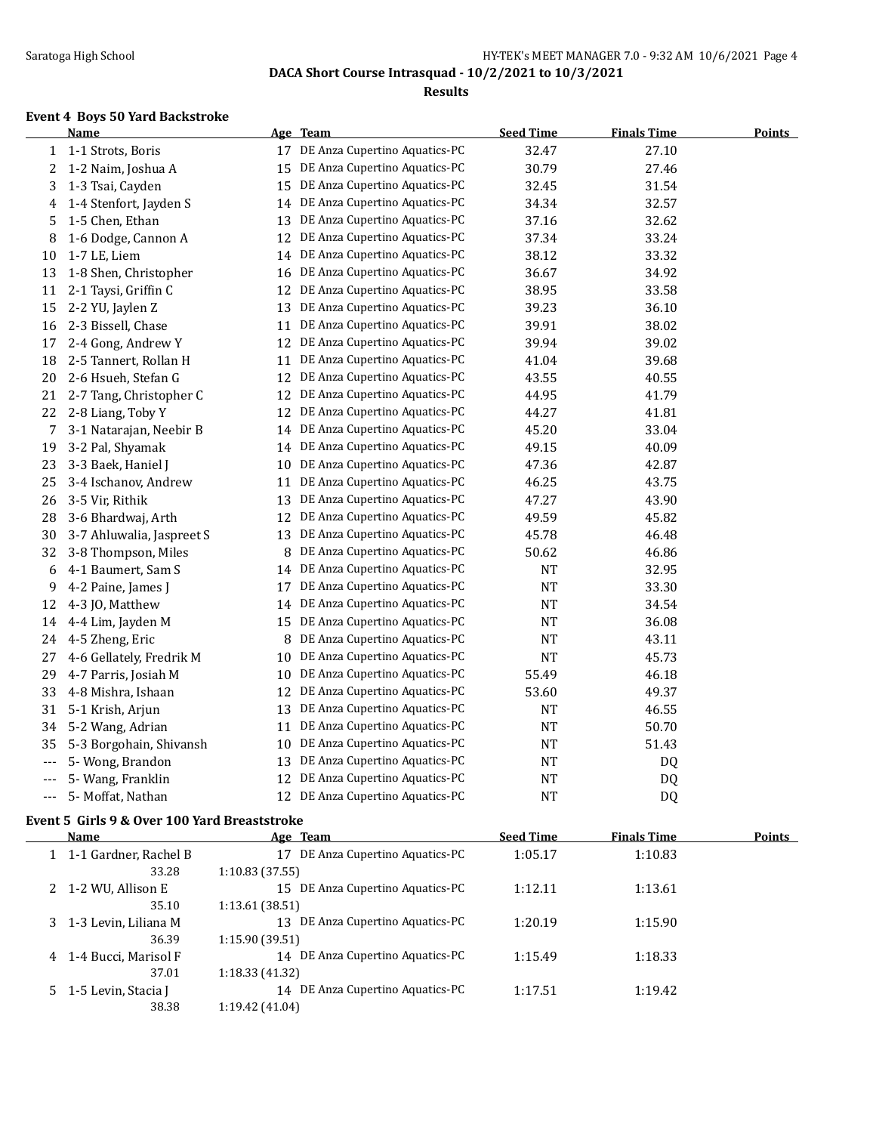**Results**

### **Event 4 Boys 50 Yard Backstroke**

|       | <b>Name</b>               |    | Age Team                         | <b>Seed Time</b> | <b>Finals Time</b> | <b>Points</b> |
|-------|---------------------------|----|----------------------------------|------------------|--------------------|---------------|
| 1     | 1-1 Strots, Boris         | 17 | DE Anza Cupertino Aquatics-PC    | 32.47            | 27.10              |               |
| 2     | 1-2 Naim, Joshua A        | 15 | DE Anza Cupertino Aquatics-PC    | 30.79            | 27.46              |               |
| 3     | 1-3 Tsai, Cayden          | 15 | DE Anza Cupertino Aquatics-PC    | 32.45            | 31.54              |               |
| 4     | 1-4 Stenfort, Jayden S    | 14 | DE Anza Cupertino Aquatics-PC    | 34.34            | 32.57              |               |
| 5     | 1-5 Chen, Ethan           | 13 | DE Anza Cupertino Aquatics-PC    | 37.16            | 32.62              |               |
| 8     | 1-6 Dodge, Cannon A       | 12 | DE Anza Cupertino Aquatics-PC    | 37.34            | 33.24              |               |
| 10    | 1-7 LE, Liem              | 14 | DE Anza Cupertino Aquatics-PC    | 38.12            | 33.32              |               |
| 13    | 1-8 Shen, Christopher     | 16 | DE Anza Cupertino Aquatics-PC    | 36.67            | 34.92              |               |
| 11    | 2-1 Taysi, Griffin C      | 12 | DE Anza Cupertino Aquatics-PC    | 38.95            | 33.58              |               |
| 15    | 2-2 YU, Jaylen Z          | 13 | DE Anza Cupertino Aquatics-PC    | 39.23            | 36.10              |               |
| 16    | 2-3 Bissell, Chase        | 11 | DE Anza Cupertino Aquatics-PC    | 39.91            | 38.02              |               |
| 17    | 2-4 Gong, Andrew Y        | 12 | DE Anza Cupertino Aquatics-PC    | 39.94            | 39.02              |               |
| 18    | 2-5 Tannert, Rollan H     | 11 | DE Anza Cupertino Aquatics-PC    | 41.04            | 39.68              |               |
| 20    | 2-6 Hsueh, Stefan G       | 12 | DE Anza Cupertino Aquatics-PC    | 43.55            | 40.55              |               |
| 21    | 2-7 Tang, Christopher C   | 12 | DE Anza Cupertino Aquatics-PC    | 44.95            | 41.79              |               |
| 22    | 2-8 Liang, Toby Y         | 12 | DE Anza Cupertino Aquatics-PC    | 44.27            | 41.81              |               |
| 7     | 3-1 Natarajan, Neebir B   | 14 | DE Anza Cupertino Aquatics-PC    | 45.20            | 33.04              |               |
| 19    | 3-2 Pal, Shyamak          |    | 14 DE Anza Cupertino Aquatics-PC | 49.15            | 40.09              |               |
| 23    | 3-3 Baek, Haniel J        | 10 | DE Anza Cupertino Aquatics-PC    | 47.36            | 42.87              |               |
| 25    | 3-4 Ischanov, Andrew      | 11 | DE Anza Cupertino Aquatics-PC    | 46.25            | 43.75              |               |
| 26    | 3-5 Vir, Rithik           | 13 | DE Anza Cupertino Aquatics-PC    | 47.27            | 43.90              |               |
| 28    | 3-6 Bhardwaj, Arth        | 12 | DE Anza Cupertino Aquatics-PC    | 49.59            | 45.82              |               |
| 30    | 3-7 Ahluwalia, Jaspreet S | 13 | DE Anza Cupertino Aquatics-PC    | 45.78            | 46.48              |               |
| 32    | 3-8 Thompson, Miles       | 8  | DE Anza Cupertino Aquatics-PC    | 50.62            | 46.86              |               |
| 6     | 4-1 Baumert, Sam S        | 14 | DE Anza Cupertino Aquatics-PC    | <b>NT</b>        | 32.95              |               |
| 9     | 4-2 Paine, James J        | 17 | DE Anza Cupertino Aquatics-PC    | <b>NT</b>        | 33.30              |               |
| 12    | 4-3 JO, Matthew           | 14 | DE Anza Cupertino Aquatics-PC    | <b>NT</b>        | 34.54              |               |
| 14    | 4-4 Lim, Jayden M         | 15 | DE Anza Cupertino Aquatics-PC    | NT               | 36.08              |               |
| 24    | 4-5 Zheng, Eric           | 8  | DE Anza Cupertino Aquatics-PC    | <b>NT</b>        | 43.11              |               |
| 27    | 4-6 Gellately, Fredrik M  | 10 | DE Anza Cupertino Aquatics-PC    | <b>NT</b>        | 45.73              |               |
| 29    | 4-7 Parris, Josiah M      | 10 | DE Anza Cupertino Aquatics-PC    | 55.49            | 46.18              |               |
| 33    | 4-8 Mishra, Ishaan        | 12 | DE Anza Cupertino Aquatics-PC    | 53.60            | 49.37              |               |
| 31    | 5-1 Krish, Arjun          | 13 | DE Anza Cupertino Aquatics-PC    | <b>NT</b>        | 46.55              |               |
| 34    | 5-2 Wang, Adrian          | 11 | DE Anza Cupertino Aquatics-PC    | <b>NT</b>        | 50.70              |               |
| 35    | 5-3 Borgohain, Shivansh   | 10 | DE Anza Cupertino Aquatics-PC    | <b>NT</b>        | 51.43              |               |
| $---$ | 5- Wong, Brandon          | 13 | DE Anza Cupertino Aquatics-PC    | <b>NT</b>        | DQ                 |               |
| ---   | 5- Wang, Franklin         | 12 | DE Anza Cupertino Aquatics-PC    | <b>NT</b>        | DQ                 |               |
| $---$ | 5- Moffat, Nathan         | 12 | DE Anza Cupertino Aquatics-PC    | <b>NT</b>        | DQ                 |               |

#### **Event 5 Girls 9 & Over 100 Yard Breaststroke**

|    | <b>Name</b>             | Age Team                            | <b>Seed Time</b> | <b>Finals Time</b> | <b>Points</b> |
|----|-------------------------|-------------------------------------|------------------|--------------------|---------------|
|    | 1 1-1 Gardner, Rachel B | DE Anza Cupertino Aquatics-PC<br>17 | 1:05.17          | 1:10.83            |               |
|    | 33.28                   | 1:10.83(37.55)                      |                  |                    |               |
|    | 1-2 WU, Allison E       | DE Anza Cupertino Aquatics-PC<br>15 | 1:12.11          | 1:13.61            |               |
|    | 35.10                   | 1:13.61(38.51)                      |                  |                    |               |
| 3. | 1-3 Levin, Liliana M    | DE Anza Cupertino Aquatics-PC<br>13 | 1:20.19          | 1:15.90            |               |
|    | 36.39                   | 1:15.90(39.51)                      |                  |                    |               |
| 4  | 1-4 Bucci, Marisol F    | 14 DE Anza Cupertino Aquatics-PC    | 1:15.49          | 1:18.33            |               |
|    | 37.01                   | 1:18.33(41.32)                      |                  |                    |               |
|    | 5 1-5 Levin, Stacia J   | DE Anza Cupertino Aquatics-PC<br>14 | 1:17.51          | 1:19.42            |               |
|    | 38.38                   | 1:19.42 (41.04)                     |                  |                    |               |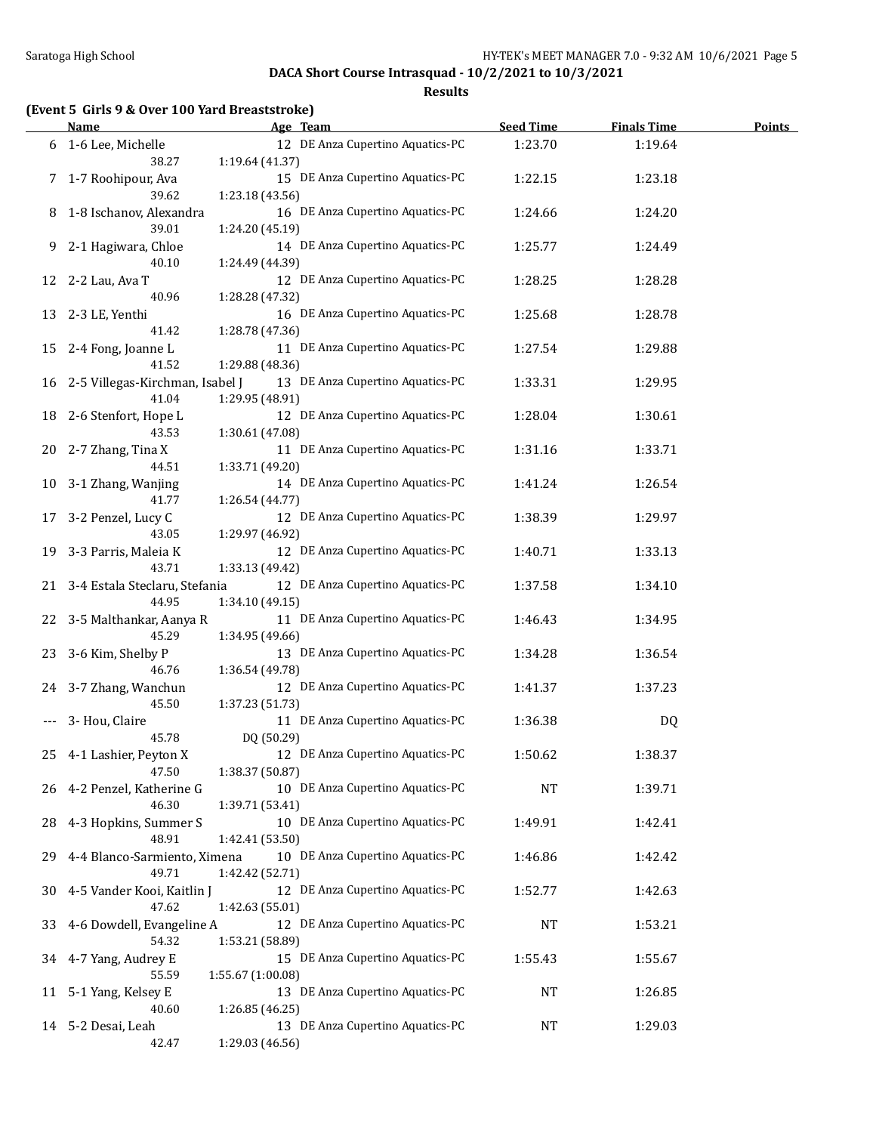**Results**

|  |  |  | (Event 5 Girls 9 & Over 100 Yard Breaststroke) |  |
|--|--|--|------------------------------------------------|--|
|--|--|--|------------------------------------------------|--|

|    | <b>Name</b>                               | Age Team                                              | <b>Seed Time</b> | <b>Finals Time</b> | <b>Points</b> |
|----|-------------------------------------------|-------------------------------------------------------|------------------|--------------------|---------------|
|    | 6 1-6 Lee, Michelle<br>38.27              | 12 DE Anza Cupertino Aquatics-PC<br>1:19.64 (41.37)   | 1:23.70          | 1:19.64            |               |
|    | 7 1-7 Roohipour, Ava<br>39.62             | 15 DE Anza Cupertino Aquatics-PC<br>1:23.18 (43.56)   | 1:22.15          | 1:23.18            |               |
| 8  | 1-8 Ischanov, Alexandra<br>39.01          | 16 DE Anza Cupertino Aquatics-PC<br>1:24.20 (45.19)   | 1:24.66          | 1:24.20            |               |
|    | 9 2-1 Hagiwara, Chloe<br>40.10            | 14 DE Anza Cupertino Aquatics-PC<br>1:24.49 (44.39)   | 1:25.77          | 1:24.49            |               |
|    | 12 2-2 Lau, Ava T<br>40.96                | 12 DE Anza Cupertino Aquatics-PC<br>1:28.28 (47.32)   | 1:28.25          | 1:28.28            |               |
| 13 | 2-3 LE, Yenthi<br>41.42                   | 16 DE Anza Cupertino Aquatics-PC<br>1:28.78 (47.36)   | 1:25.68          | 1:28.78            |               |
| 15 | 2-4 Fong, Joanne L<br>41.52               | 11 DE Anza Cupertino Aquatics-PC<br>1:29.88 (48.36)   | 1:27.54          | 1:29.88            |               |
| 16 | 2-5 Villegas-Kirchman, Isabel J<br>41.04  | 13 DE Anza Cupertino Aquatics-PC<br>1:29.95 (48.91)   | 1:33.31          | 1:29.95            |               |
| 18 | 2-6 Stenfort, Hope L<br>43.53             | 12 DE Anza Cupertino Aquatics-PC<br>1:30.61 (47.08)   | 1:28.04          | 1:30.61            |               |
| 20 | 2-7 Zhang, Tina X<br>44.51                | 11 DE Anza Cupertino Aquatics-PC<br>1:33.71 (49.20)   | 1:31.16          | 1:33.71            |               |
| 10 | 3-1 Zhang, Wanjing<br>41.77               | 14 DE Anza Cupertino Aquatics-PC<br>1:26.54(44.77)    | 1:41.24          | 1:26.54            |               |
|    | 17 3-2 Penzel, Lucy C<br>43.05            | 12 DE Anza Cupertino Aquatics-PC<br>1:29.97 (46.92)   | 1:38.39          | 1:29.97            |               |
|    | 19 3-3 Parris, Maleia K<br>43.71          | 12 DE Anza Cupertino Aquatics-PC<br>1:33.13 (49.42)   | 1:40.71          | 1:33.13            |               |
|    | 21 3-4 Estala Steclaru, Stefania<br>44.95 | 12 DE Anza Cupertino Aquatics-PC<br>1:34.10 (49.15)   | 1:37.58          | 1:34.10            |               |
|    | 22 3-5 Malthankar, Aanya R<br>45.29       | 11 DE Anza Cupertino Aquatics-PC<br>1:34.95 (49.66)   | 1:46.43          | 1:34.95            |               |
|    | 23 3-6 Kim, Shelby P<br>46.76             | 13 DE Anza Cupertino Aquatics-PC<br>1:36.54 (49.78)   | 1:34.28          | 1:36.54            |               |
|    | 24 3-7 Zhang, Wanchun<br>45.50            | 12 DE Anza Cupertino Aquatics-PC<br>1:37.23 (51.73)   | 1:41.37          | 1:37.23            |               |
|    | 3- Hou, Claire<br>45.78                   | 11 DE Anza Cupertino Aquatics-PC<br>DQ (50.29)        | 1:36.38          | DQ                 |               |
| 25 | 4-1 Lashier, Peyton X<br>47.50            | 12 DE Anza Cupertino Aquatics-PC<br>1:38.37 (50.87)   | 1:50.62          | 1:38.37            |               |
| 26 | 4-2 Penzel, Katherine G<br>46.30          | 10 DE Anza Cupertino Aquatics-PC<br>1:39.71 (53.41)   | NT               | 1:39.71            |               |
| 28 | 4-3 Hopkins, Summer S<br>48.91            | 10 DE Anza Cupertino Aquatics-PC<br>1:42.41 (53.50)   | 1:49.91          | 1:42.41            |               |
| 29 | 4-4 Blanco-Sarmiento, Ximena<br>49.71     | 10 DE Anza Cupertino Aquatics-PC<br>1:42.42 (52.71)   | 1:46.86          | 1:42.42            |               |
| 30 | 4-5 Vander Kooi, Kaitlin J<br>47.62       | 12 DE Anza Cupertino Aquatics-PC<br>1:42.63 (55.01)   | 1:52.77          | 1:42.63            |               |
| 33 | 4-6 Dowdell, Evangeline A<br>54.32        | 12 DE Anza Cupertino Aquatics-PC<br>1:53.21 (58.89)   | NT               | 1:53.21            |               |
| 34 | 4-7 Yang, Audrey E<br>55.59               | 15 DE Anza Cupertino Aquatics-PC<br>1:55.67 (1:00.08) | 1:55.43          | 1:55.67            |               |
| 11 | 5-1 Yang, Kelsey E<br>40.60               | 13 DE Anza Cupertino Aquatics-PC<br>1:26.85 (46.25)   | NT               | 1:26.85            |               |
|    | 14 5-2 Desai, Leah<br>42.47               | 13 DE Anza Cupertino Aquatics-PC<br>1:29.03 (46.56)   | NT               | 1:29.03            |               |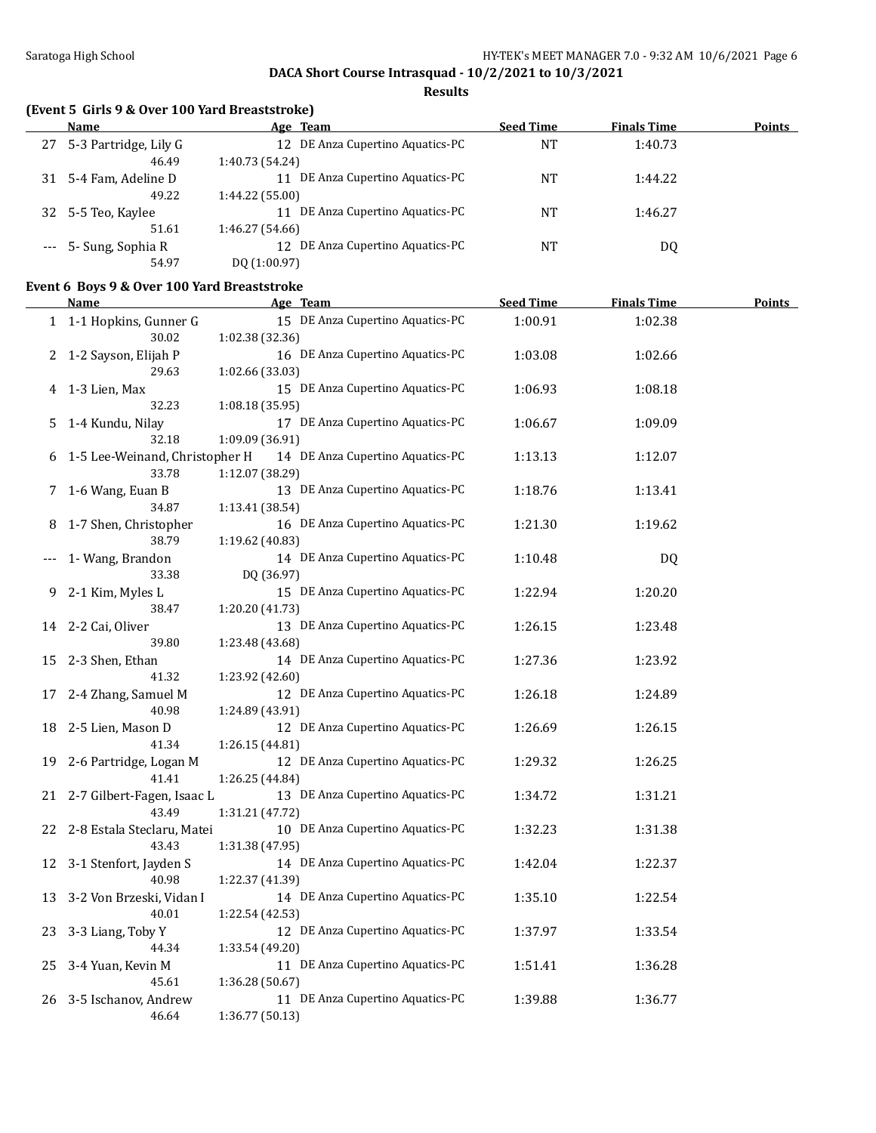**Results**

### **(Event 5 Girls 9 & Over 100 Yard Breaststroke)**

|    | Name                  | Age Team                         | <b>Seed Time</b> | <b>Finals Time</b> | <b>Points</b> |
|----|-----------------------|----------------------------------|------------------|--------------------|---------------|
| 27 | 5-3 Partridge, Lily G | 12 DE Anza Cupertino Aquatics-PC | NΤ               | 1:40.73            |               |
|    | 46.49                 | 1:40.73 (54.24)                  |                  |                    |               |
| 31 | 5-4 Fam, Adeline D    | DE Anza Cupertino Aquatics-PC    | <b>NT</b>        | 1:44.22            |               |
|    | 49.22                 | 1:44.22 (55.00)                  |                  |                    |               |
| 32 | 5-5 Teo, Kaylee       | DE Anza Cupertino Aquatics-PC    | NT               | 1:46.27            |               |
|    | 51.61                 | 1:46.27 (54.66)                  |                  |                    |               |
|    | --- 5- Sung, Sophia R | 12 DE Anza Cupertino Aquatics-PC | ΝT               | DQ                 |               |
|    | 54.97                 | DO (1:00.97)                     |                  |                    |               |

### **Event 6 Boys 9 & Over 100 Yard Breaststroke**

|       | <b>Name</b>                       | Age Team                                            | <b>Seed Time</b> | <b>Finals Time</b> | <u>Points</u> |
|-------|-----------------------------------|-----------------------------------------------------|------------------|--------------------|---------------|
|       | 1 1-1 Hopkins, Gunner G           | 15 DE Anza Cupertino Aquatics-PC                    | 1:00.91          | 1:02.38            |               |
|       | 30.02                             | 1:02.38 (32.36)                                     |                  |                    |               |
| 2     | 1-2 Sayson, Elijah P              | 16 DE Anza Cupertino Aquatics-PC                    | 1:03.08          | 1:02.66            |               |
|       | 29.63                             | 1:02.66 (33.03)                                     |                  |                    |               |
| 4     | 1-3 Lien, Max                     | 15 DE Anza Cupertino Aquatics-PC                    | 1:06.93          | 1:08.18            |               |
|       | 32.23                             | 1:08.18 (35.95)                                     |                  |                    |               |
| 5     | 1-4 Kundu, Nilay                  | 17 DE Anza Cupertino Aquatics-PC                    | 1:06.67          | 1:09.09            |               |
|       | 32.18                             | 1:09.09 (36.91)                                     |                  |                    |               |
|       | 6 1-5 Lee-Weinand, Christopher H  | 14 DE Anza Cupertino Aquatics-PC                    | 1:13.13          | 1:12.07            |               |
|       | 33.78                             | 1:12.07 (38.29)                                     |                  |                    |               |
| 7     | 1-6 Wang, Euan B                  | 13 DE Anza Cupertino Aquatics-PC                    | 1:18.76          | 1:13.41            |               |
|       | 34.87                             | 1:13.41(38.54)                                      |                  |                    |               |
| 8     | 1-7 Shen, Christopher             | 16 DE Anza Cupertino Aquatics-PC                    | 1:21.30          | 1:19.62            |               |
|       | 38.79                             | 1:19.62 (40.83)<br>14 DE Anza Cupertino Aquatics-PC |                  |                    |               |
| $---$ | 1- Wang, Brandon<br>33.38         | DQ (36.97)                                          | 1:10.48          | DQ                 |               |
| 9     | 2-1 Kim, Myles L                  | 15 DE Anza Cupertino Aquatics-PC                    | 1:22.94          | 1:20.20            |               |
|       | 38.47                             | 1:20.20 (41.73)                                     |                  |                    |               |
| 14    | 2-2 Cai, Oliver                   | 13 DE Anza Cupertino Aquatics-PC                    | 1:26.15          | 1:23.48            |               |
|       | 39.80                             | 1:23.48 (43.68)                                     |                  |                    |               |
| 15    | 2-3 Shen, Ethan                   | 14 DE Anza Cupertino Aquatics-PC                    | 1:27.36          | 1:23.92            |               |
|       | 41.32                             | 1:23.92 (42.60)                                     |                  |                    |               |
| 17    | 2-4 Zhang, Samuel M               | 12 DE Anza Cupertino Aquatics-PC                    | 1:26.18          | 1:24.89            |               |
|       | 40.98                             | 1:24.89 (43.91)                                     |                  |                    |               |
| 18    | 2-5 Lien, Mason D                 | 12 DE Anza Cupertino Aquatics-PC                    | 1:26.69          | 1:26.15            |               |
|       | 41.34                             | 1:26.15(44.81)                                      |                  |                    |               |
| 19    | 2-6 Partridge, Logan M            | 12 DE Anza Cupertino Aquatics-PC                    | 1:29.32          | 1:26.25            |               |
|       | 41.41                             | 1:26.25 (44.84)                                     |                  |                    |               |
|       | 21 2-7 Gilbert-Fagen, Isaac L     | 13 DE Anza Cupertino Aquatics-PC                    | 1:34.72          | 1:31.21            |               |
|       | 43.49                             | 1:31.21 (47.72)                                     |                  |                    |               |
| 22    | 2-8 Estala Steclaru, Matei        | 10 DE Anza Cupertino Aquatics-PC                    | 1:32.23          | 1:31.38            |               |
|       | 43.43                             | 1:31.38 (47.95)                                     |                  |                    |               |
| 12    | 3-1 Stenfort, Jayden S            | 14 DE Anza Cupertino Aquatics-PC                    | 1:42.04          | 1:22.37            |               |
|       | 40.98<br>3-2 Von Brzeski, Vidan I | 1:22.37 (41.39)<br>14 DE Anza Cupertino Aquatics-PC | 1:35.10          | 1:22.54            |               |
| 13    | 40.01                             | 1:22.54 (42.53)                                     |                  |                    |               |
| 23    | 3-3 Liang, Toby Y                 | 12 DE Anza Cupertino Aquatics-PC                    | 1:37.97          | 1:33.54            |               |
|       | 44.34                             | 1:33.54 (49.20)                                     |                  |                    |               |
| 25    | 3-4 Yuan, Kevin M                 | 11 DE Anza Cupertino Aquatics-PC                    | 1:51.41          | 1:36.28            |               |
|       | 45.61                             | 1:36.28 (50.67)                                     |                  |                    |               |
| 26    | 3-5 Ischanov, Andrew              | 11 DE Anza Cupertino Aquatics-PC                    | 1:39.88          | 1:36.77            |               |
|       | 46.64                             | 1:36.77 (50.13)                                     |                  |                    |               |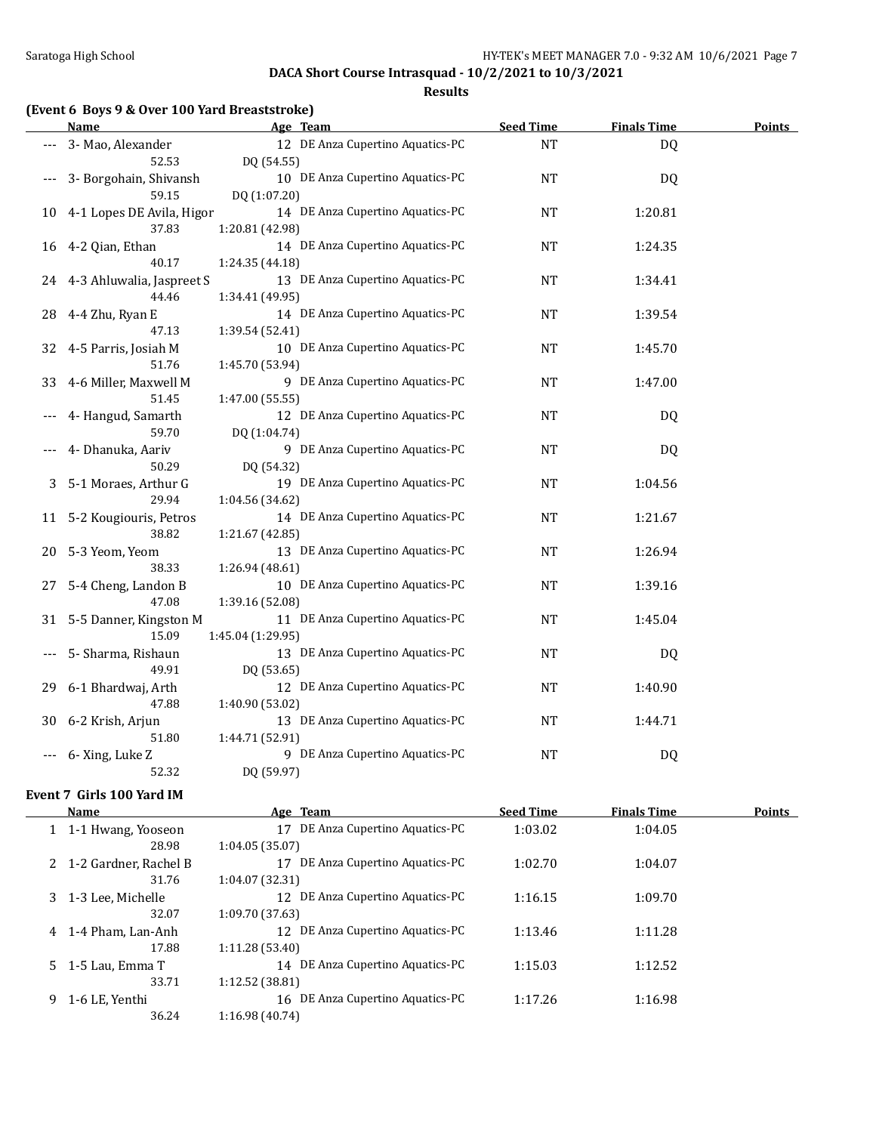**Results**

| (Event 6 Boys 9 & Over 100 Yard Breaststroke) |  |  |  |                         |
|-----------------------------------------------|--|--|--|-------------------------|
|                                               |  |  |  | $\mathbf{A}$ . The same |

|       | <u>Name</u>                  | Age Team                                           | <b>Seed Time</b> | <b>Finals Time</b> | <b>Points</b> |
|-------|------------------------------|----------------------------------------------------|------------------|--------------------|---------------|
|       | 3- Mao, Alexander            | 12 DE Anza Cupertino Aquatics-PC                   | <b>NT</b>        | DQ                 |               |
|       | 52.53                        | DQ (54.55)                                         |                  |                    |               |
| $---$ | 3- Borgohain, Shivansh       | 10 DE Anza Cupertino Aquatics-PC                   | NT               | DQ                 |               |
|       | 59.15                        | DQ (1:07.20)                                       |                  |                    |               |
| 10    | 4-1 Lopes DE Avila, Higor    | 14 DE Anza Cupertino Aquatics-PC                   | <b>NT</b>        | 1:20.81            |               |
|       | 37.83                        | 1:20.81 (42.98)                                    |                  |                    |               |
| 16    | 4-2 Qian, Ethan              | 14 DE Anza Cupertino Aquatics-PC                   | <b>NT</b>        | 1:24.35            |               |
|       | 40.17                        | 1:24.35 (44.18)                                    |                  |                    |               |
|       | 24 4-3 Ahluwalia, Jaspreet S | 13 DE Anza Cupertino Aquatics-PC                   | <b>NT</b>        | 1:34.41            |               |
|       | 44.46                        | 1:34.41 (49.95)                                    |                  |                    |               |
| 28    | 4-4 Zhu, Ryan E              | 14 DE Anza Cupertino Aquatics-PC                   | <b>NT</b>        | 1:39.54            |               |
|       | 47.13                        | 1:39.54 (52.41)                                    |                  |                    |               |
| 32    | 4-5 Parris, Josiah M         | 10 DE Anza Cupertino Aquatics-PC                   | <b>NT</b>        | 1:45.70            |               |
|       | 51.76                        | 1:45.70 (53.94)                                    |                  |                    |               |
| 33    | 4-6 Miller, Maxwell M        | 9 DE Anza Cupertino Aquatics-PC                    | <b>NT</b>        | 1:47.00            |               |
|       | 51.45                        | 1:47.00 (55.55)                                    |                  |                    |               |
|       | 4- Hangud, Samarth           | 12 DE Anza Cupertino Aquatics-PC                   | NT               | DQ                 |               |
|       | 59.70                        | DQ (1:04.74)                                       |                  |                    |               |
|       | 4- Dhanuka, Aariv            | 9 DE Anza Cupertino Aquatics-PC                    | <b>NT</b>        | DQ                 |               |
|       | 50.29                        | DQ (54.32)                                         |                  |                    |               |
| 3     | 5-1 Moraes, Arthur G         | 19 DE Anza Cupertino Aquatics-PC                   | NT               | 1:04.56            |               |
|       | 29.94                        | 1:04.56 (34.62)                                    |                  |                    |               |
| 11    | 5-2 Kougiouris, Petros       | 14 DE Anza Cupertino Aquatics-PC                   | <b>NT</b>        | 1:21.67            |               |
|       | 38.82                        | 1:21.67 (42.85)                                    |                  |                    |               |
| 20    | 5-3 Yeom, Yeom               | 13 DE Anza Cupertino Aquatics-PC                   | $\rm{NT}$        | 1:26.94            |               |
|       | 38.33                        | 1:26.94(48.61)<br>10 DE Anza Cupertino Aquatics-PC |                  |                    |               |
| 27    | 5-4 Cheng, Landon B<br>47.08 | 1:39.16 (52.08)                                    | <b>NT</b>        | 1:39.16            |               |
|       | 31 5-5 Danner, Kingston M    | 11 DE Anza Cupertino Aquatics-PC                   | <b>NT</b>        | 1:45.04            |               |
|       | 15.09                        | 1:45.04 (1:29.95)                                  |                  |                    |               |
| $---$ | 5- Sharma, Rishaun           | 13 DE Anza Cupertino Aquatics-PC                   | <b>NT</b>        | DQ                 |               |
|       | 49.91                        | DQ (53.65)                                         |                  |                    |               |
| 29    | 6-1 Bhardwaj, Arth           | 12 DE Anza Cupertino Aquatics-PC                   | <b>NT</b>        | 1:40.90            |               |
|       | 47.88                        | 1:40.90 (53.02)                                    |                  |                    |               |
| 30    | 6-2 Krish, Arjun             | 13 DE Anza Cupertino Aquatics-PC                   | <b>NT</b>        | 1:44.71            |               |
|       | 51.80                        | 1:44.71 (52.91)                                    |                  |                    |               |
|       | 6-Xing, Luke Z               | 9 DE Anza Cupertino Aquatics-PC                    | <b>NT</b>        | DQ                 |               |
|       | 52.32                        | DQ (59.97)                                         |                  |                    |               |
|       |                              |                                                    |                  |                    |               |

#### **Event 7 Girls 100 Yard IM**

| <b>Name</b>       | Age Team                                                                                           | <b>Seed Time</b> | <b>Finals Time</b> | Points |
|-------------------|----------------------------------------------------------------------------------------------------|------------------|--------------------|--------|
|                   | DE Anza Cupertino Aquatics-PC<br>17                                                                | 1:03.02          | 1:04.05            |        |
| 28.98             | 1:04.05(35.07)                                                                                     |                  |                    |        |
|                   | DE Anza Cupertino Aquatics-PC<br>17                                                                | 1:02.70          | 1:04.07            |        |
| 31.76             | 1:04.07(32.31)                                                                                     |                  |                    |        |
|                   | DE Anza Cupertino Aquatics-PC<br>12                                                                | 1:16.15          | 1:09.70            |        |
| 32.07             | 1:09.70 (37.63)                                                                                    |                  |                    |        |
| 1-4 Pham. Lan-Anh | DE Anza Cupertino Aquatics-PC<br>12                                                                | 1:13.46          | 1:11.28            |        |
| 17.88             | 1:11.28(53.40)                                                                                     |                  |                    |        |
|                   | DE Anza Cupertino Aquatics-PC<br>14                                                                | 1:15.03          | 1:12.52            |        |
| 33.71             | 1:12.52(38.81)                                                                                     |                  |                    |        |
| 1-6 LE, Yenthi    | 16 DE Anza Cupertino Aquatics-PC                                                                   | 1:17.26          | 1:16.98            |        |
| 36.24             | 1:16.98(40.74)                                                                                     |                  |                    |        |
|                   | 1 1-1 Hwang, Yooseon<br>2 1-2 Gardner, Rachel B<br>3 1-3 Lee, Michelle<br>$5\quad 1-5$ Lau. Emma T |                  |                    |        |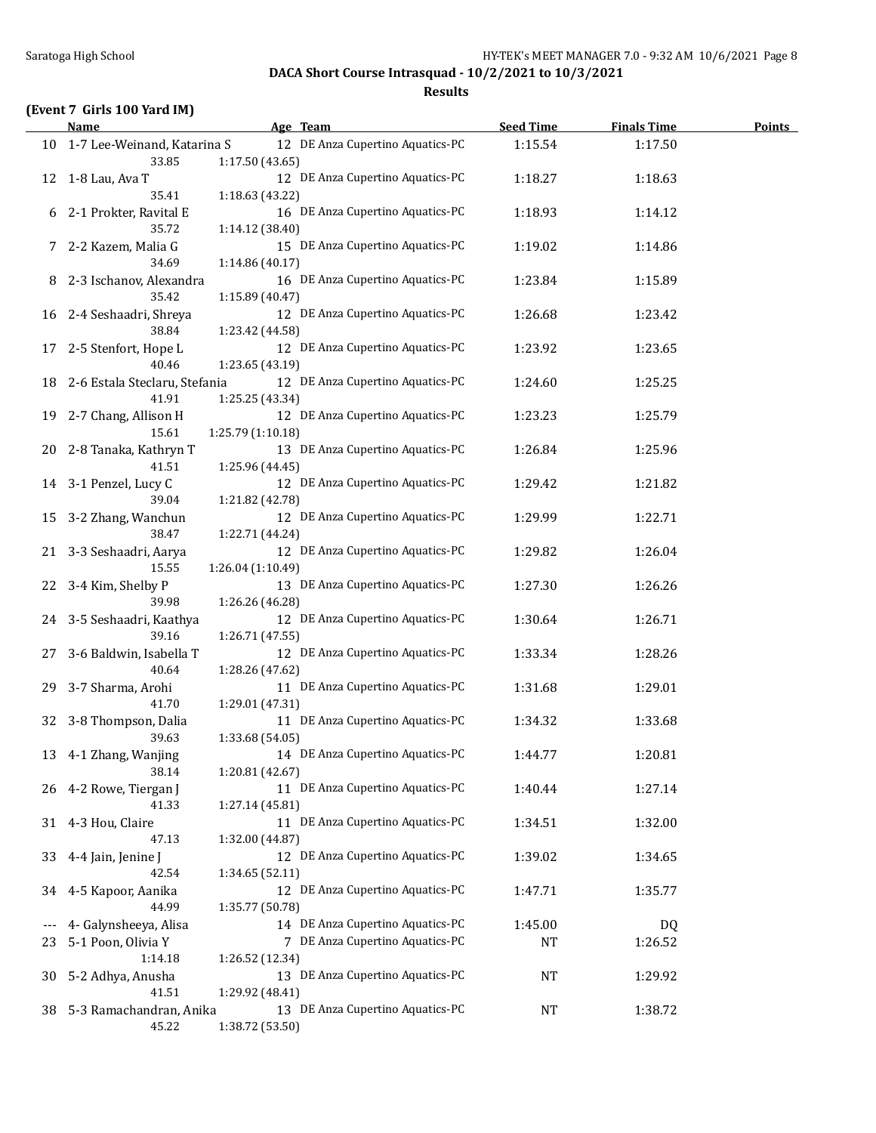**Results**

## **(Event 7 Girls 100 Yard IM)**

|       | <b>Name</b>                      | Age Team                                            | <b>Seed Time</b> | <b>Finals Time</b> | <b>Points</b> |
|-------|----------------------------------|-----------------------------------------------------|------------------|--------------------|---------------|
|       | 10 1-7 Lee-Weinand, Katarina S   | 12 DE Anza Cupertino Aquatics-PC                    | 1:15.54          | 1:17.50            |               |
|       | 33.85                            | 1:17.50 (43.65)                                     |                  |                    |               |
| 12    | 1-8 Lau, Ava T                   | 12 DE Anza Cupertino Aquatics-PC                    | 1:18.27          | 1:18.63            |               |
|       | 35.41                            | 1:18.63 (43.22)                                     |                  |                    |               |
| 6     | 2-1 Prokter, Ravital E           | 16 DE Anza Cupertino Aquatics-PC                    | 1:18.93          | 1:14.12            |               |
|       | 35.72                            | 1:14.12 (38.40)                                     |                  |                    |               |
|       | 7 2-2 Kazem, Malia G             | 15 DE Anza Cupertino Aquatics-PC                    | 1:19.02          | 1:14.86            |               |
|       | 34.69                            | 1:14.86 (40.17)                                     |                  |                    |               |
| 8     | 2-3 Ischanov, Alexandra          | 16 DE Anza Cupertino Aquatics-PC                    | 1:23.84          | 1:15.89            |               |
|       | 35.42                            | 1:15.89 (40.47)                                     |                  |                    |               |
|       | 16 2-4 Seshaadri, Shreya         | 12 DE Anza Cupertino Aquatics-PC                    | 1:26.68          | 1:23.42            |               |
|       | 38.84                            | 1:23.42 (44.58)                                     |                  |                    |               |
|       | 17 2-5 Stenfort, Hope L          | 12 DE Anza Cupertino Aquatics-PC                    | 1:23.92          | 1:23.65            |               |
|       | 40.46                            | 1:23.65 (43.19)                                     |                  |                    |               |
|       | 18 2-6 Estala Steclaru, Stefania | 12 DE Anza Cupertino Aquatics-PC                    | 1:24.60          | 1:25.25            |               |
|       | 41.91<br>19 2-7 Chang, Allison H | 1:25.25 (43.34)<br>12 DE Anza Cupertino Aquatics-PC |                  |                    |               |
|       | 15.61                            | 1:25.79 (1:10.18)                                   | 1:23.23          | 1:25.79            |               |
| 20    | 2-8 Tanaka, Kathryn T            | 13 DE Anza Cupertino Aquatics-PC                    | 1:26.84          | 1:25.96            |               |
|       | 41.51                            | 1:25.96 (44.45)                                     |                  |                    |               |
|       | 14 3-1 Penzel, Lucy C            | 12 DE Anza Cupertino Aquatics-PC                    | 1:29.42          | 1:21.82            |               |
|       | 39.04                            | 1:21.82 (42.78)                                     |                  |                    |               |
|       | 15 3-2 Zhang, Wanchun            | 12 DE Anza Cupertino Aquatics-PC                    | 1:29.99          | 1:22.71            |               |
|       | 38.47                            | 1:22.71 (44.24)                                     |                  |                    |               |
|       | 21 3-3 Seshaadri, Aarya          | 12 DE Anza Cupertino Aquatics-PC                    | 1:29.82          | 1:26.04            |               |
|       | 15.55                            | 1:26.04 (1:10.49)                                   |                  |                    |               |
| 22    | 3-4 Kim, Shelby P                | 13 DE Anza Cupertino Aquatics-PC                    | 1:27.30          | 1:26.26            |               |
|       | 39.98                            | 1:26.26 (46.28)                                     |                  |                    |               |
|       | 24 3-5 Seshaadri, Kaathya        | 12 DE Anza Cupertino Aquatics-PC                    | 1:30.64          | 1:26.71            |               |
|       | 39.16                            | 1:26.71 (47.55)                                     |                  |                    |               |
| 27    | 3-6 Baldwin, Isabella T          | 12 DE Anza Cupertino Aquatics-PC                    | 1:33.34          | 1:28.26            |               |
|       | 40.64                            | 1:28.26 (47.62)                                     |                  |                    |               |
| 29    | 3-7 Sharma, Arohi                | 11 DE Anza Cupertino Aquatics-PC                    | 1:31.68          | 1:29.01            |               |
|       | 41.70                            | 1:29.01 (47.31)                                     |                  |                    |               |
|       | 32 3-8 Thompson, Dalia           | 11 DE Anza Cupertino Aquatics-PC                    | 1:34.32          | 1:33.68            |               |
|       | 39.63                            | 1:33.68 (54.05)                                     |                  |                    |               |
|       | 13 4-1 Zhang, Wanjing            | 14 DE Anza Cupertino Aquatics-PC                    | 1:44.77          | 1:20.81            |               |
|       | 38.14                            | 1:20.81 (42.67)                                     |                  |                    |               |
|       | 26 4-2 Rowe, Tiergan J<br>41.33  | 11 DE Anza Cupertino Aquatics-PC<br>1:27.14 (45.81) | 1:40.44          | 1:27.14            |               |
|       |                                  | 11 DE Anza Cupertino Aquatics-PC                    | 1:34.51          | 1:32.00            |               |
| 31    | 4-3 Hou, Claire<br>47.13         | 1:32.00 (44.87)                                     |                  |                    |               |
| 33    | 4-4 Jain, Jenine J               | 12 DE Anza Cupertino Aquatics-PC                    | 1:39.02          | 1:34.65            |               |
|       | 42.54                            | 1:34.65 (52.11)                                     |                  |                    |               |
| 34    | 4-5 Kapoor, Aanika               | 12 DE Anza Cupertino Aquatics-PC                    | 1:47.71          | 1:35.77            |               |
|       | 44.99                            | 1:35.77 (50.78)                                     |                  |                    |               |
| $---$ | 4- Galynsheeya, Alisa            | 14 DE Anza Cupertino Aquatics-PC                    | 1:45.00          | DQ                 |               |
| 23    | 5-1 Poon, Olivia Y               | 7 DE Anza Cupertino Aquatics-PC                     | NT               | 1:26.52            |               |
|       | 1:14.18                          | 1:26.52 (12.34)                                     |                  |                    |               |
| 30    | 5-2 Adhya, Anusha                | 13 DE Anza Cupertino Aquatics-PC                    | <b>NT</b>        | 1:29.92            |               |
|       | 41.51                            | 1:29.92 (48.41)                                     |                  |                    |               |
| 38    | 5-3 Ramachandran, Anika          | 13 DE Anza Cupertino Aquatics-PC                    | NT               | 1:38.72            |               |
|       | 45.22                            | 1:38.72 (53.50)                                     |                  |                    |               |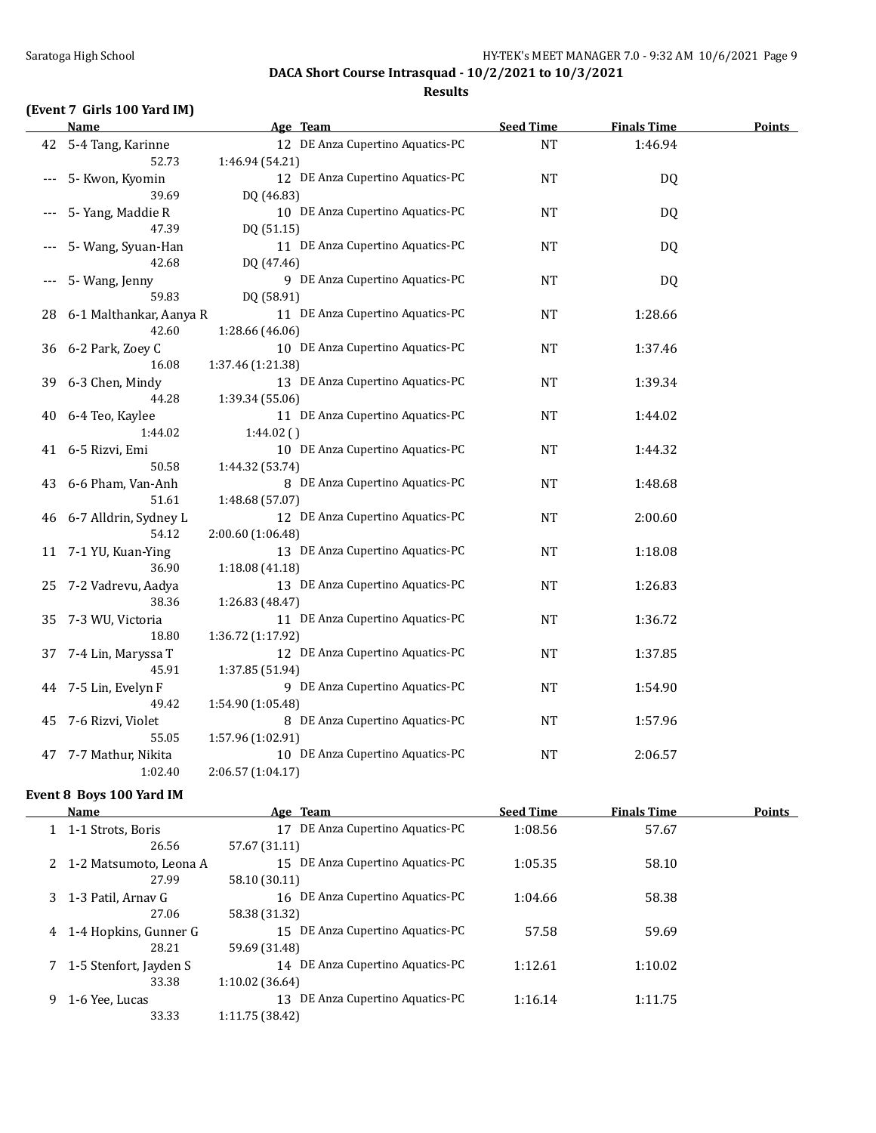#### **Results**

## **(Event 7 Girls 100 Yard IM)**

|       | Name                    | Age Team                         | <b>Seed Time</b> | <b>Finals Time</b> | <b>Points</b> |
|-------|-------------------------|----------------------------------|------------------|--------------------|---------------|
| 42    | 5-4 Tang, Karinne       | 12 DE Anza Cupertino Aquatics-PC | <b>NT</b>        | 1:46.94            |               |
|       | 52.73                   | 1:46.94 (54.21)                  |                  |                    |               |
| $---$ | 5- Kwon, Kyomin         | 12 DE Anza Cupertino Aquatics-PC | <b>NT</b>        | DQ                 |               |
|       | 39.69                   | DQ (46.83)                       |                  |                    |               |
|       | 5- Yang, Maddie R       | 10 DE Anza Cupertino Aquatics-PC | <b>NT</b>        | DQ                 |               |
|       | 47.39                   | DQ (51.15)                       |                  |                    |               |
|       | 5- Wang, Syuan-Han      | 11 DE Anza Cupertino Aquatics-PC | <b>NT</b>        | DQ                 |               |
|       | 42.68                   | DQ (47.46)                       |                  |                    |               |
|       | 5- Wang, Jenny          | 9 DE Anza Cupertino Aquatics-PC  | <b>NT</b>        | DQ                 |               |
|       | 59.83                   | DQ (58.91)                       |                  |                    |               |
| 28    | 6-1 Malthankar, Aanya R | 11 DE Anza Cupertino Aquatics-PC | <b>NT</b>        | 1:28.66            |               |
|       | 42.60                   | 1:28.66 (46.06)                  |                  |                    |               |
| 36    | 6-2 Park, Zoey C        | 10 DE Anza Cupertino Aquatics-PC | <b>NT</b>        | 1:37.46            |               |
|       | 16.08                   | 1:37.46 (1:21.38)                |                  |                    |               |
| 39    | 6-3 Chen, Mindy         | 13 DE Anza Cupertino Aquatics-PC | <b>NT</b>        | 1:39.34            |               |
|       | 44.28                   | 1:39.34 (55.06)                  |                  |                    |               |
| 40    | 6-4 Teo, Kaylee         | 11 DE Anza Cupertino Aquatics-PC | <b>NT</b>        | 1:44.02            |               |
|       | 1:44.02                 | 1:44.02()                        |                  |                    |               |
| 41    | 6-5 Rizvi, Emi          | 10 DE Anza Cupertino Aquatics-PC | <b>NT</b>        | 1:44.32            |               |
|       | 50.58                   | 1:44.32 (53.74)                  |                  |                    |               |
| 43    | 6-6 Pham, Van-Anh       | 8 DE Anza Cupertino Aquatics-PC  | <b>NT</b>        | 1:48.68            |               |
|       | 51.61                   | 1:48.68 (57.07)                  |                  |                    |               |
| 46    | 6-7 Alldrin, Sydney L   | 12 DE Anza Cupertino Aquatics-PC | NT               | 2:00.60            |               |
|       | 54.12                   | 2:00.60 (1:06.48)                |                  |                    |               |
| 11    | 7-1 YU, Kuan-Ying       | 13 DE Anza Cupertino Aquatics-PC | <b>NT</b>        | 1:18.08            |               |
|       | 36.90                   | 1:18.08 (41.18)                  |                  |                    |               |
| 25    | 7-2 Vadrevu, Aadya      | 13 DE Anza Cupertino Aquatics-PC | <b>NT</b>        | 1:26.83            |               |
|       | 38.36                   | 1:26.83 (48.47)                  |                  |                    |               |
| 35    | 7-3 WU, Victoria        | 11 DE Anza Cupertino Aquatics-PC | <b>NT</b>        | 1:36.72            |               |
|       | 18.80                   | 1:36.72 (1:17.92)                |                  |                    |               |
| 37    | 7-4 Lin, Maryssa T      | 12 DE Anza Cupertino Aquatics-PC | <b>NT</b>        | 1:37.85            |               |
|       | 45.91                   | 1:37.85 (51.94)                  |                  |                    |               |
|       | 44 7-5 Lin, Evelyn F    | 9 DE Anza Cupertino Aquatics-PC  | <b>NT</b>        | 1:54.90            |               |
|       | 49.42                   | 1:54.90 (1:05.48)                |                  |                    |               |
| 45    | 7-6 Rizvi, Violet       | 8 DE Anza Cupertino Aquatics-PC  | <b>NT</b>        | 1:57.96            |               |
|       | 55.05                   | 1:57.96 (1:02.91)                |                  |                    |               |
| 47    | 7-7 Mathur, Nikita      | 10 DE Anza Cupertino Aquatics-PC | <b>NT</b>        | 2:06.57            |               |
|       | 1:02.40                 | 2:06.57 (1:04.17)                |                  |                    |               |

### **Event 8 Boys 100 Yard IM**

|   | Name                     | Age Team                            | <b>Seed Time</b> | <b>Finals Time</b> | Points |
|---|--------------------------|-------------------------------------|------------------|--------------------|--------|
|   | 1 1-1 Strots, Boris      | DE Anza Cupertino Aquatics-PC<br>17 | 1:08.56          | 57.67              |        |
|   | 26.56                    | 57.67 (31.11)                       |                  |                    |        |
|   | 2 1-2 Matsumoto, Leona A | 15 DE Anza Cupertino Aquatics-PC    | 1:05.35          | 58.10              |        |
|   | 27.99                    | 58.10 (30.11)                       |                  |                    |        |
|   | 3 1-3 Patil, Arnay G     | 16 DE Anza Cupertino Aquatics-PC    | 1:04.66          | 58.38              |        |
|   | 27.06                    | 58.38 (31.32)                       |                  |                    |        |
|   | 4 1-4 Hopkins, Gunner G  | 15 DE Anza Cupertino Aquatics-PC    | 57.58            | 59.69              |        |
|   | 28.21                    | 59.69 (31.48)                       |                  |                    |        |
|   | 7 1-5 Stenfort, Jayden S | 14 DE Anza Cupertino Aquatics-PC    | 1:12.61          | 1:10.02            |        |
|   | 33.38                    | 1:10.02(36.64)                      |                  |                    |        |
| 9 | 1-6 Yee, Lucas           | DE Anza Cupertino Aquatics-PC<br>13 | 1:16.14          | 1:11.75            |        |
|   | 33.33                    | 1:11.75(38.42)                      |                  |                    |        |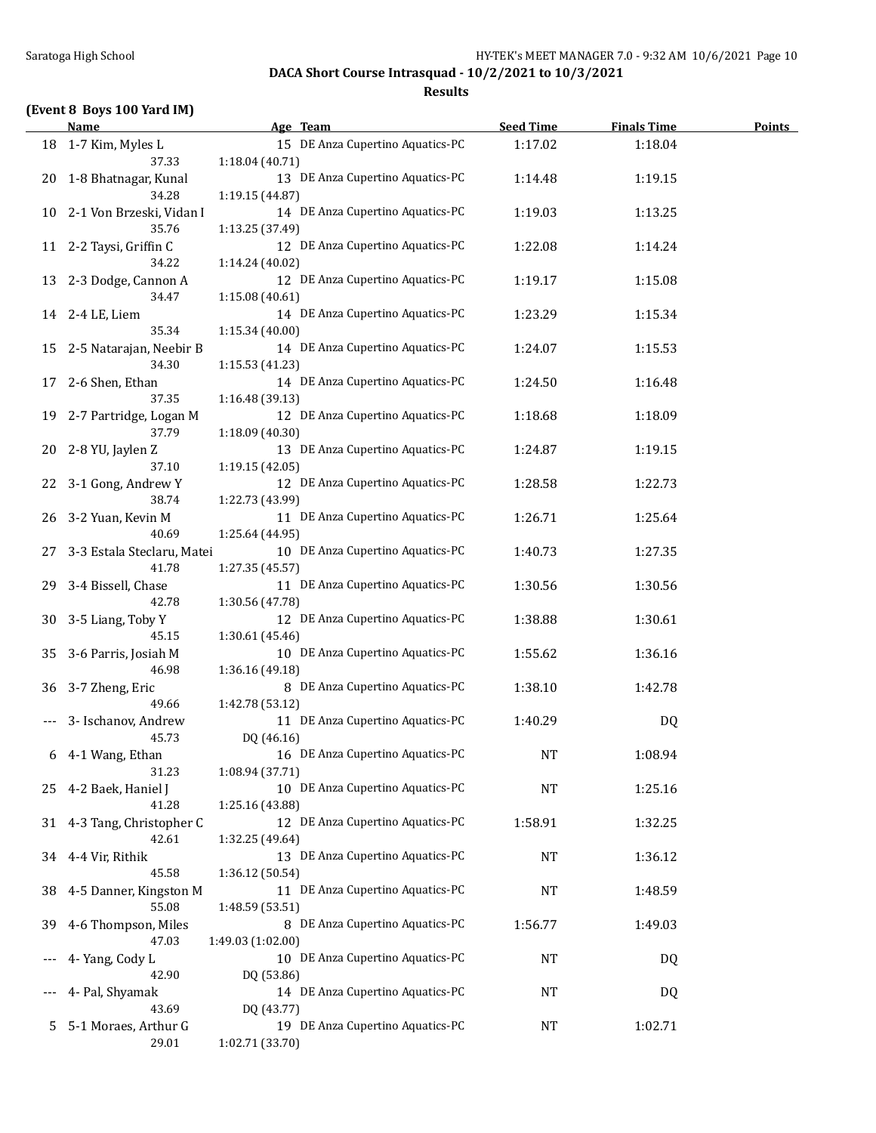#### **Results**

## **(Event 8 Boys 100 Yard IM)**

|    | <b>Name</b>                          | Age Team                                             | <b>Seed Time</b> | <b>Finals Time</b> | <b>Points</b> |
|----|--------------------------------------|------------------------------------------------------|------------------|--------------------|---------------|
|    | 18 1-7 Kim, Myles L<br>37.33         | 15 DE Anza Cupertino Aquatics-PC<br>1:18.04 (40.71)  | 1:17.02          | 1:18.04            |               |
| 20 | 1-8 Bhatnagar, Kunal<br>34.28        | 13 DE Anza Cupertino Aquatics-PC<br>1:19.15 (44.87)  | 1:14.48          | 1:19.15            |               |
|    | 10 2-1 Von Brzeski, Vidan I<br>35.76 | 14 DE Anza Cupertino Aquatics-PC<br>1:13.25 (37.49)  | 1:19.03          | 1:13.25            |               |
|    | 11 2-2 Taysi, Griffin C<br>34.22     | 12 DE Anza Cupertino Aquatics-PC<br>1:14.24 (40.02)  | 1:22.08          | 1:14.24            |               |
| 13 | 2-3 Dodge, Cannon A<br>34.47         | 12 DE Anza Cupertino Aquatics-PC<br>1:15.08(40.61)   | 1:19.17          | 1:15.08            |               |
|    | 14 2-4 LE, Liem<br>35.34             | 14 DE Anza Cupertino Aquatics-PC<br>1:15.34 (40.00)  | 1:23.29          | 1:15.34            |               |
| 15 | 2-5 Natarajan, Neebir B<br>34.30     | 14 DE Anza Cupertino Aquatics-PC<br>1:15.53 (41.23)  | 1:24.07          | 1:15.53            |               |
| 17 | 2-6 Shen, Ethan<br>37.35             | 14 DE Anza Cupertino Aquatics-PC<br>1:16.48 (39.13)  | 1:24.50          | 1:16.48            |               |
| 19 | 2-7 Partridge, Logan M<br>37.79      | 12 DE Anza Cupertino Aquatics-PC<br>1:18.09 (40.30)  | 1:18.68          | 1:18.09            |               |
| 20 | 2-8 YU, Jaylen Z<br>37.10            | 13 DE Anza Cupertino Aquatics-PC<br>1:19.15 (42.05)  | 1:24.87          | 1:19.15            |               |
| 22 | 3-1 Gong, Andrew Y<br>38.74          | 12 DE Anza Cupertino Aquatics-PC<br>1:22.73 (43.99)  | 1:28.58          | 1:22.73            |               |
| 26 | 3-2 Yuan, Kevin M<br>40.69           | 11 DE Anza Cupertino Aquatics-PC<br>1:25.64 (44.95)  | 1:26.71          | 1:25.64            |               |
| 27 | 3-3 Estala Steclaru, Matei<br>41.78  | 10 DE Anza Cupertino Aquatics-PC<br>1:27.35 (45.57)  | 1:40.73          | 1:27.35            |               |
| 29 | 3-4 Bissell, Chase<br>42.78          | 11 DE Anza Cupertino Aquatics-PC<br>1:30.56 (47.78)  | 1:30.56          | 1:30.56            |               |
| 30 | 3-5 Liang, Toby Y<br>45.15           | 12 DE Anza Cupertino Aquatics-PC<br>1:30.61 (45.46)  | 1:38.88          | 1:30.61            |               |
| 35 | 3-6 Parris, Josiah M<br>46.98        | 10 DE Anza Cupertino Aquatics-PC<br>1:36.16 (49.18)  | 1:55.62          | 1:36.16            |               |
| 36 | 3-7 Zheng, Eric<br>49.66             | 8 DE Anza Cupertino Aquatics-PC<br>1:42.78 (53.12)   | 1:38.10          | 1:42.78            |               |
|    | 3- Ischanov, Andrew<br>45.73         | 11 DE Anza Cupertino Aquatics-PC<br>DQ (46.16)       | 1:40.29          | DQ                 |               |
| 6  | 4-1 Wang, Ethan<br>31.23             | 16 DE Anza Cupertino Aquatics-PC<br>1:08.94 (37.71)  | <b>NT</b>        | 1:08.94            |               |
| 25 | 4-2 Baek, Haniel J<br>41.28          | 10 DE Anza Cupertino Aquatics-PC<br>1:25.16 (43.88)  | NT               | 1:25.16            |               |
| 31 | 4-3 Tang, Christopher C<br>42.61     | 12 DE Anza Cupertino Aquatics-PC<br>1:32.25 (49.64)  | 1:58.91          | 1:32.25            |               |
| 34 | 4-4 Vir, Rithik<br>45.58             | 13 DE Anza Cupertino Aquatics-PC<br>1:36.12 (50.54)  | NT               | 1:36.12            |               |
| 38 | 4-5 Danner, Kingston M<br>55.08      | 11 DE Anza Cupertino Aquatics-PC<br>1:48.59 (53.51)  | <b>NT</b>        | 1:48.59            |               |
| 39 | 4-6 Thompson, Miles<br>47.03         | 8 DE Anza Cupertino Aquatics-PC<br>1:49.03 (1:02.00) | 1:56.77          | 1:49.03            |               |
|    | 4- Yang, Cody L<br>42.90             | 10 DE Anza Cupertino Aquatics-PC<br>DQ (53.86)       | NT               | DQ                 |               |
|    | 4- Pal, Shyamak<br>43.69             | 14 DE Anza Cupertino Aquatics-PC<br>DQ (43.77)       | NT               | DQ                 |               |
| 5  | 5-1 Moraes, Arthur G<br>29.01        | 19 DE Anza Cupertino Aquatics-PC<br>1:02.71 (33.70)  | NT               | 1:02.71            |               |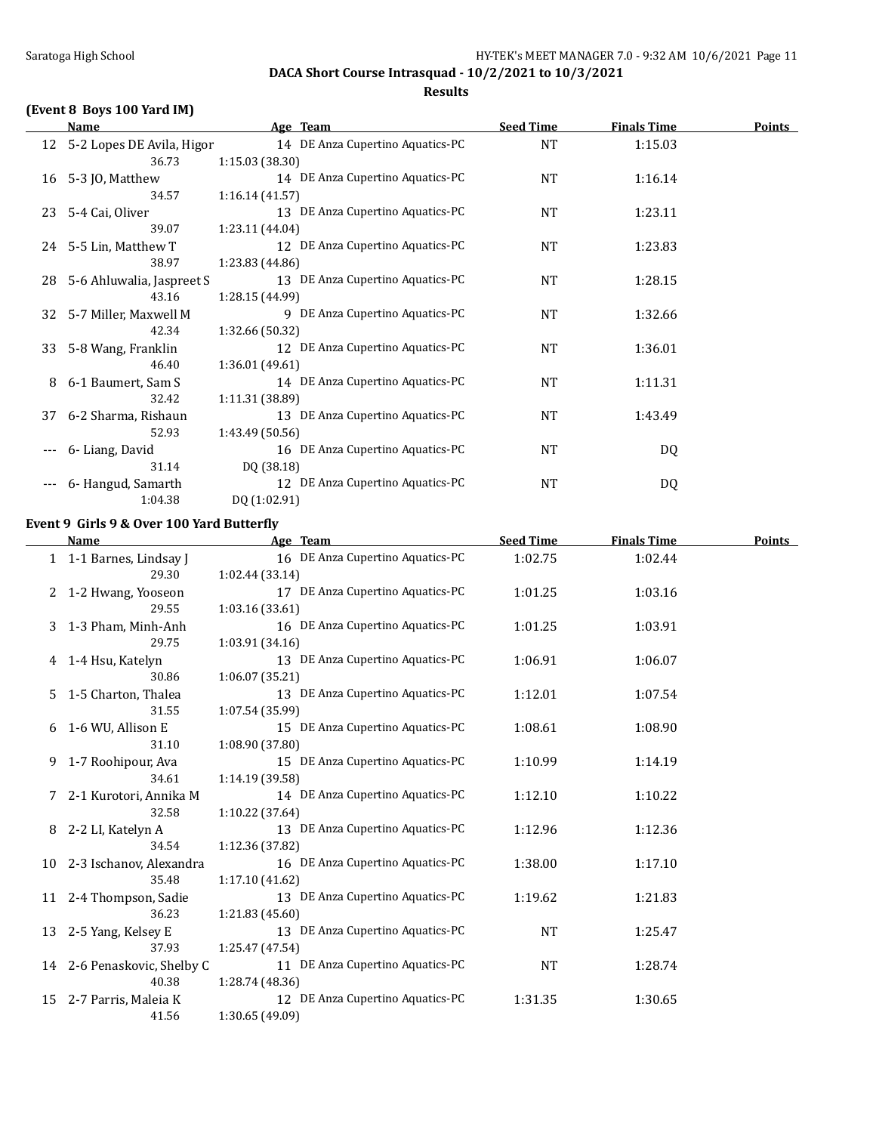### **Results**

## **(Event 8 Boys 100 Yard IM)**

|    | Name                         | Age Team                         | <b>Seed Time</b> | <b>Finals Time</b> | <b>Points</b> |
|----|------------------------------|----------------------------------|------------------|--------------------|---------------|
|    | 12 5-2 Lopes DE Avila, Higor | 14 DE Anza Cupertino Aquatics-PC | NT               | 1:15.03            |               |
|    | 36.73                        | 1:15.03(38.30)                   |                  |                    |               |
| 16 | 5-3 JO, Matthew              | 14 DE Anza Cupertino Aquatics-PC | NT               | 1:16.14            |               |
|    | 34.57                        | 1:16.14(41.57)                   |                  |                    |               |
| 23 | 5-4 Cai, Oliver              | 13 DE Anza Cupertino Aquatics-PC | <b>NT</b>        | 1:23.11            |               |
|    | 39.07                        | 1:23.11 (44.04)                  |                  |                    |               |
|    | 24 5-5 Lin, Matthew T        | 12 DE Anza Cupertino Aquatics-PC | NT               | 1:23.83            |               |
|    | 38.97                        | 1:23.83 (44.86)                  |                  |                    |               |
|    | 28 5-6 Ahluwalia, Jaspreet S | 13 DE Anza Cupertino Aquatics-PC | NT               | 1:28.15            |               |
|    | 43.16                        | 1:28.15 (44.99)                  |                  |                    |               |
| 32 | 5-7 Miller, Maxwell M        | 9 DE Anza Cupertino Aquatics-PC  | NT               | 1:32.66            |               |
|    | 42.34                        | 1:32.66 (50.32)                  |                  |                    |               |
| 33 | 5-8 Wang, Franklin           | 12 DE Anza Cupertino Aquatics-PC | NT               | 1:36.01            |               |
|    | 46.40                        | 1:36.01(49.61)                   |                  |                    |               |
| 8  | 6-1 Baumert, Sam S           | 14 DE Anza Cupertino Aquatics-PC | NT               | 1:11.31            |               |
|    | 32.42                        | 1:11.31(38.89)                   |                  |                    |               |
| 37 | 6-2 Sharma, Rishaun          | 13 DE Anza Cupertino Aquatics-PC | NT               | 1:43.49            |               |
|    | 52.93                        | 1:43.49(50.56)                   |                  |                    |               |
|    | 6- Liang, David              | 16 DE Anza Cupertino Aquatics-PC | NT               | DQ                 |               |
|    | 31.14                        | DQ (38.18)                       |                  |                    |               |
|    | 6- Hangud, Samarth           | 12 DE Anza Cupertino Aquatics-PC | NT               | DQ                 |               |
|    | 1:04.38                      | DQ (1:02.91)                     |                  |                    |               |

#### **Event 9 Girls 9 & Over 100 Yard Butterfly**

|    | <b>Name</b>                 | Age Team                         | <b>Seed Time</b> | <b>Finals Time</b> | Points |
|----|-----------------------------|----------------------------------|------------------|--------------------|--------|
|    | 1 1-1 Barnes, Lindsay J     | 16 DE Anza Cupertino Aquatics-PC | 1:02.75          | 1:02.44            |        |
|    | 29.30                       | 1:02.44(33.14)                   |                  |                    |        |
|    | 2 1-2 Hwang, Yooseon        | 17 DE Anza Cupertino Aquatics-PC | 1:01.25          | 1:03.16            |        |
|    | 29.55                       | 1:03.16(33.61)                   |                  |                    |        |
|    | 3 1-3 Pham, Minh-Anh        | 16 DE Anza Cupertino Aquatics-PC | 1:01.25          | 1:03.91            |        |
|    | 29.75                       | 1:03.91(34.16)                   |                  |                    |        |
|    | 4 1-4 Hsu, Katelyn          | 13 DE Anza Cupertino Aquatics-PC | 1:06.91          | 1:06.07            |        |
|    | 30.86                       | 1:06.07 (35.21)                  |                  |                    |        |
|    | 5 1-5 Charton, Thalea       | 13 DE Anza Cupertino Aquatics-PC | 1:12.01          | 1:07.54            |        |
|    | 31.55                       | 1:07.54 (35.99)                  |                  |                    |        |
| 6  | 1-6 WU, Allison E           | 15 DE Anza Cupertino Aquatics-PC | 1:08.61          | 1:08.90            |        |
|    | 31.10                       | 1:08.90 (37.80)                  |                  |                    |        |
| 9  | 1-7 Roohipour, Ava          | 15 DE Anza Cupertino Aquatics-PC | 1:10.99          | 1:14.19            |        |
|    | 34.61                       | 1:14.19 (39.58)                  |                  |                    |        |
|    | 2-1 Kurotori, Annika M      | 14 DE Anza Cupertino Aquatics-PC | 1:12.10          | 1:10.22            |        |
|    | 32.58                       | 1:10.22 (37.64)                  |                  |                    |        |
| 8  | 2-2 LI, Katelyn A           | 13 DE Anza Cupertino Aquatics-PC | 1:12.96          | 1:12.36            |        |
|    | 34.54                       | 1:12.36 (37.82)                  |                  |                    |        |
|    | 10 2-3 Ischanov, Alexandra  | 16 DE Anza Cupertino Aquatics-PC | 1:38.00          | 1:17.10            |        |
|    | 35.48                       | 1:17.10(41.62)                   |                  |                    |        |
| 11 | 2-4 Thompson, Sadie         | 13 DE Anza Cupertino Aquatics-PC | 1:19.62          | 1:21.83            |        |
|    | 36.23                       | 1:21.83 (45.60)                  |                  |                    |        |
| 13 | 2-5 Yang, Kelsey E          | 13 DE Anza Cupertino Aquatics-PC | <b>NT</b>        | 1:25.47            |        |
|    | 37.93                       | 1:25.47 (47.54)                  |                  |                    |        |
|    | 14 2-6 Penaskovic, Shelby C | 11 DE Anza Cupertino Aquatics-PC | <b>NT</b>        | 1:28.74            |        |
|    | 40.38                       | 1:28.74 (48.36)                  |                  |                    |        |
|    | 15 2-7 Parris, Maleia K     | 12 DE Anza Cupertino Aquatics-PC | 1:31.35          | 1:30.65            |        |
|    | 41.56                       | 1:30.65 (49.09)                  |                  |                    |        |
|    |                             |                                  |                  |                    |        |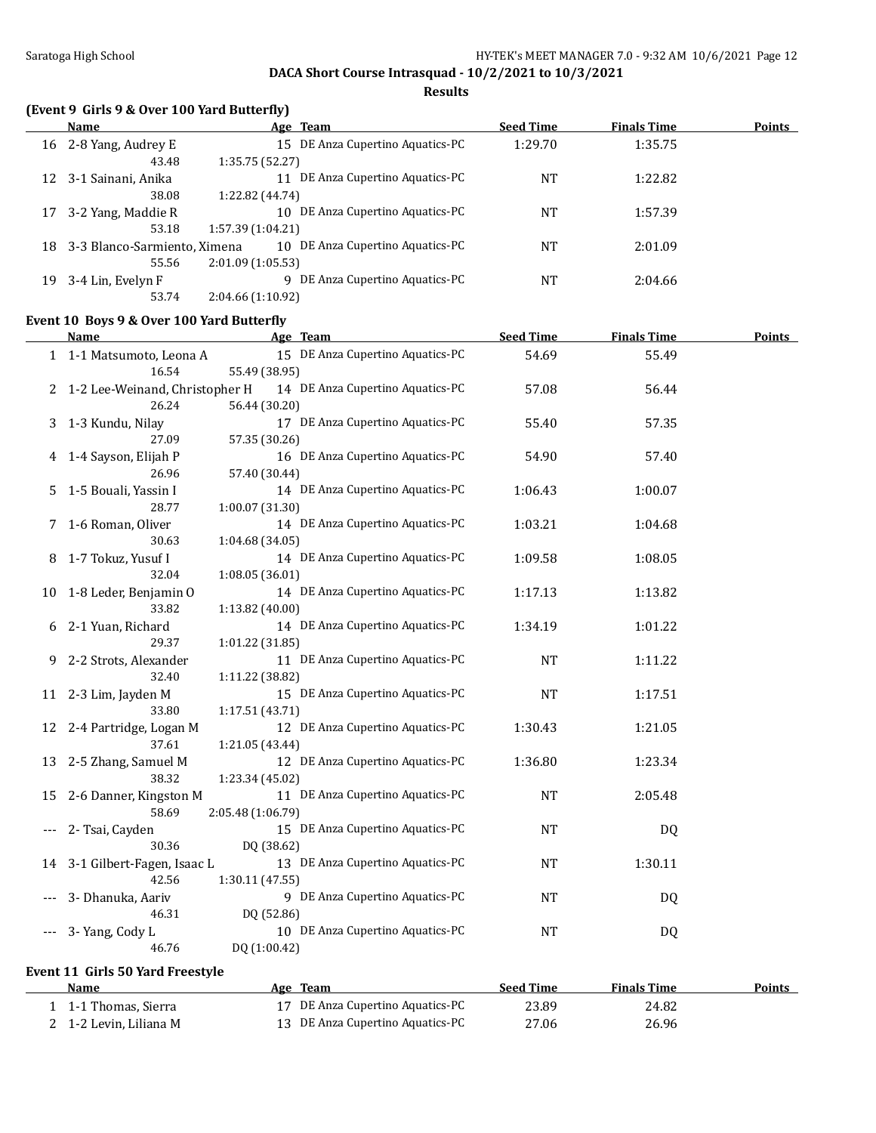**Results**

## **(Event 9 Girls 9 & Over 100 Yard Butterfly)**

|    | Name                         |                  | Age Team                         | <b>Seed Time</b> | <b>Finals Time</b> | <b>Points</b> |
|----|------------------------------|------------------|----------------------------------|------------------|--------------------|---------------|
| 16 | 2-8 Yang, Audrey E           |                  | 15 DE Anza Cupertino Aquatics-PC | 1:29.70          | 1:35.75            |               |
|    | 43.48                        | 1:35.75 (52.27)  |                                  |                  |                    |               |
| 12 | 3-1 Sainani, Anika           |                  | DE Anza Cupertino Aquatics-PC    | NT               | 1:22.82            |               |
|    | 38.08                        | 1:22.82 (44.74)  |                                  |                  |                    |               |
| 17 | 3-2 Yang, Maddie R           |                  | 10 DE Anza Cupertino Aquatics-PC | NT               | 1:57.39            |               |
|    | 53.18                        | 1:57.39(1:04.21) |                                  |                  |                    |               |
| 18 | 3-3 Blanco-Sarmiento, Ximena |                  | 10 DE Anza Cupertino Aquatics-PC | NT               | 2:01.09            |               |
|    | 55.56                        | 2:01.09(1:05.53) |                                  |                  |                    |               |
| 19 | 3-4 Lin, Evelyn F            | 9                | DE Anza Cupertino Aquatics-PC    | NT               | 2:04.66            |               |
|    | 53.74                        | 2:04.66(1:10.92) |                                  |                  |                    |               |

### **Event 10 Boys 9 & Over 100 Yard Butterfly**

|    | <b>Name</b>                             | Age Team                                              | <b>Seed Time</b> | <b>Finals Time</b> | <b>Points</b> |
|----|-----------------------------------------|-------------------------------------------------------|------------------|--------------------|---------------|
|    | 1 1-1 Matsumoto, Leona A<br>16.54       | 15 DE Anza Cupertino Aquatics-PC<br>55.49 (38.95)     | 54.69            | 55.49              |               |
| 2  | 1-2 Lee-Weinand, Christopher H<br>26.24 | 14 DE Anza Cupertino Aquatics-PC<br>56.44 (30.20)     | 57.08            | 56.44              |               |
| 3  | 1-3 Kundu, Nilay<br>27.09               | 17 DE Anza Cupertino Aquatics-PC<br>57.35 (30.26)     | 55.40            | 57.35              |               |
| 4  | 1-4 Sayson, Elijah P<br>26.96           | 16 DE Anza Cupertino Aquatics-PC<br>57.40 (30.44)     | 54.90            | 57.40              |               |
| 5. | 1-5 Bouali, Yassin I<br>28.77           | 14 DE Anza Cupertino Aquatics-PC<br>1:00.07 (31.30)   | 1:06.43          | 1:00.07            |               |
| 7  | 1-6 Roman, Oliver<br>30.63              | 14 DE Anza Cupertino Aquatics-PC<br>1:04.68 (34.05)   | 1:03.21          | 1:04.68            |               |
|    | 1-7 Tokuz, Yusuf I<br>32.04             | 14 DE Anza Cupertino Aquatics-PC<br>1:08.05(36.01)    | 1:09.58          | 1:08.05            |               |
|    | 10 1-8 Leder, Benjamin O<br>33.82       | 14 DE Anza Cupertino Aquatics-PC<br>1:13.82 (40.00)   | 1:17.13          | 1:13.82            |               |
| 6  | 2-1 Yuan, Richard<br>29.37              | 14 DE Anza Cupertino Aquatics-PC<br>1:01.22 (31.85)   | 1:34.19          | 1:01.22            |               |
| 9. | 2-2 Strots, Alexander<br>32.40          | 11 DE Anza Cupertino Aquatics-PC<br>1:11.22 (38.82)   | <b>NT</b>        | 1:11.22            |               |
|    | 11 2-3 Lim, Jayden M<br>33.80           | 15 DE Anza Cupertino Aquatics-PC<br>1:17.51 (43.71)   | <b>NT</b>        | 1:17.51            |               |
|    | 12 2-4 Partridge, Logan M<br>37.61      | 12 DE Anza Cupertino Aquatics-PC<br>1:21.05 (43.44)   | 1:30.43          | 1:21.05            |               |
| 13 | 2-5 Zhang, Samuel M<br>38.32            | 12 DE Anza Cupertino Aquatics-PC<br>1:23.34 (45.02)   | 1:36.80          | 1:23.34            |               |
| 15 | 2-6 Danner, Kingston M<br>58.69         | 11 DE Anza Cupertino Aquatics-PC<br>2:05.48 (1:06.79) | <b>NT</b>        | 2:05.48            |               |
|    | 2- Tsai, Cayden<br>30.36                | 15 DE Anza Cupertino Aquatics-PC<br>DQ (38.62)        | <b>NT</b>        | DQ                 |               |
|    | 14 3-1 Gilbert-Fagen, Isaac L<br>42.56  | 13 DE Anza Cupertino Aquatics-PC<br>1:30.11 (47.55)   | <b>NT</b>        | 1:30.11            |               |
|    | 3- Dhanuka, Aariv<br>46.31              | 9 DE Anza Cupertino Aquatics-PC<br>DQ (52.86)         | <b>NT</b>        | DQ                 |               |
|    | 3- Yang, Cody L<br>46.76                | 10 DE Anza Cupertino Aquatics-PC<br>DQ (1:00.42)      | <b>NT</b>        | DQ                 |               |

### **Event 11 Girls 50 Yard Freestyle**

| <b>Name</b>            | Age Team                         | <b>Seed Time</b> | <b>Finals Time</b> | Points |
|------------------------|----------------------------------|------------------|--------------------|--------|
| 1-1 Thomas, Sierra     | 17 DE Anza Cupertino Aquatics-PC | 23.89            | 24.82              |        |
| 2 1-2 Levin, Liliana M | 13 DE Anza Cupertino Aquatics-PC | 27.06            | 26.96              |        |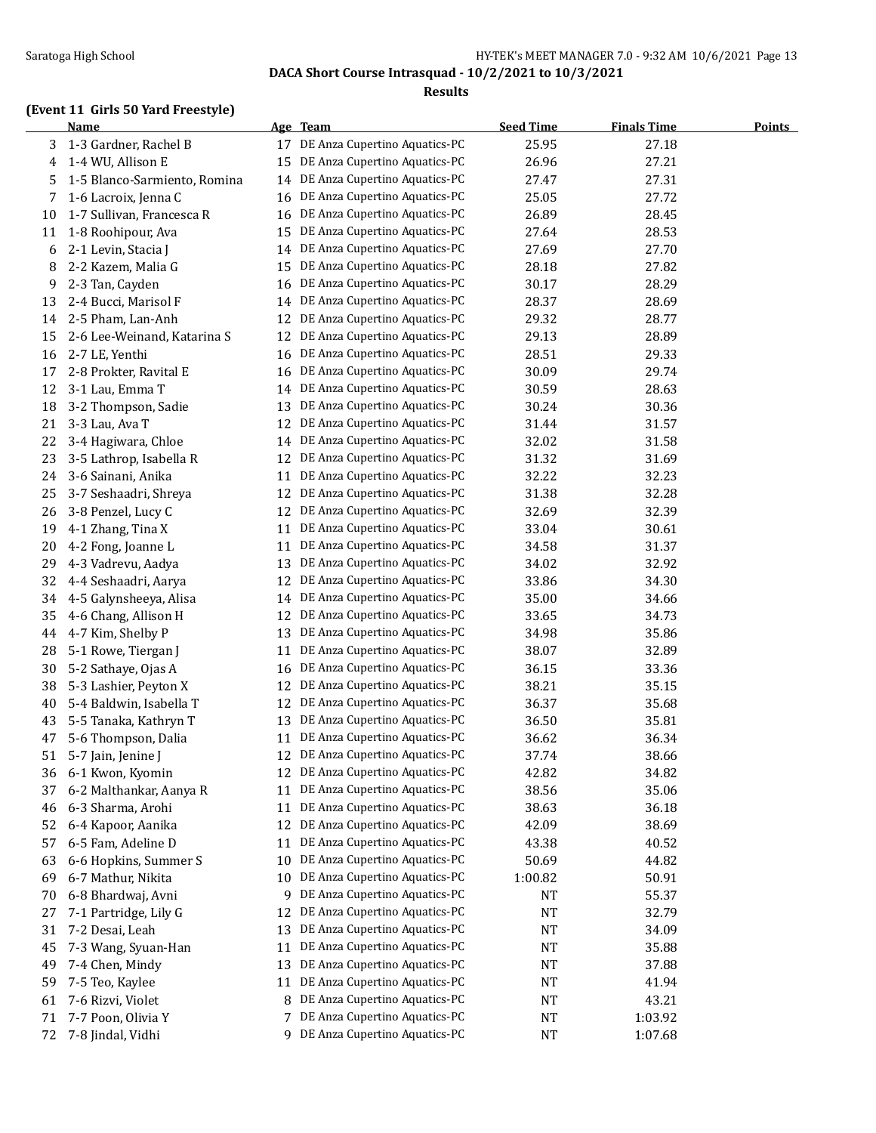### Saratoga High School Saratoga High School School Saratoga High School School School School School School School School School School School School School School School School School School School School School School Schoo

**DACA Short Course Intrasquad - 10/2/2021 to 10/3/2021**

#### **Results**

### **(Event 11 Girls 50 Yard Freestyle)**

|    | <b>Name</b>                  |    | Age Team                      | <b>Seed Time</b> | <b>Finals Time</b> | <b>Points</b> |
|----|------------------------------|----|-------------------------------|------------------|--------------------|---------------|
| 3  | 1-3 Gardner, Rachel B        | 17 | DE Anza Cupertino Aquatics-PC | 25.95            | 27.18              |               |
| 4  | 1-4 WU, Allison E            | 15 | DE Anza Cupertino Aquatics-PC | 26.96            | 27.21              |               |
| 5  | 1-5 Blanco-Sarmiento, Romina | 14 | DE Anza Cupertino Aquatics-PC | 27.47            | 27.31              |               |
| 7  | 1-6 Lacroix, Jenna C         | 16 | DE Anza Cupertino Aquatics-PC | 25.05            | 27.72              |               |
| 10 | 1-7 Sullivan, Francesca R    | 16 | DE Anza Cupertino Aquatics-PC | 26.89            | 28.45              |               |
| 11 | 1-8 Roohipour, Ava           | 15 | DE Anza Cupertino Aquatics-PC | 27.64            | 28.53              |               |
| 6  | 2-1 Levin, Stacia J          | 14 | DE Anza Cupertino Aquatics-PC | 27.69            | 27.70              |               |
| 8  | 2-2 Kazem, Malia G           | 15 | DE Anza Cupertino Aquatics-PC | 28.18            | 27.82              |               |
| 9  | 2-3 Tan, Cayden              | 16 | DE Anza Cupertino Aquatics-PC | 30.17            | 28.29              |               |
| 13 | 2-4 Bucci, Marisol F         | 14 | DE Anza Cupertino Aquatics-PC | 28.37            | 28.69              |               |
| 14 | 2-5 Pham, Lan-Anh            | 12 | DE Anza Cupertino Aquatics-PC | 29.32            | 28.77              |               |
| 15 | 2-6 Lee-Weinand, Katarina S  | 12 | DE Anza Cupertino Aquatics-PC | 29.13            | 28.89              |               |
| 16 | 2-7 LE, Yenthi               | 16 | DE Anza Cupertino Aquatics-PC | 28.51            | 29.33              |               |
| 17 | 2-8 Prokter, Ravital E       | 16 | DE Anza Cupertino Aquatics-PC | 30.09            | 29.74              |               |
| 12 | 3-1 Lau, Emma T              | 14 | DE Anza Cupertino Aquatics-PC | 30.59            | 28.63              |               |
| 18 | 3-2 Thompson, Sadie          | 13 | DE Anza Cupertino Aquatics-PC | 30.24            | 30.36              |               |
| 21 | 3-3 Lau, Ava T               | 12 | DE Anza Cupertino Aquatics-PC | 31.44            | 31.57              |               |
| 22 | 3-4 Hagiwara, Chloe          | 14 | DE Anza Cupertino Aquatics-PC | 32.02            | 31.58              |               |
| 23 | 3-5 Lathrop, Isabella R      | 12 | DE Anza Cupertino Aquatics-PC | 31.32            | 31.69              |               |
| 24 | 3-6 Sainani, Anika           | 11 | DE Anza Cupertino Aquatics-PC | 32.22            | 32.23              |               |
| 25 | 3-7 Seshaadri, Shreya        | 12 | DE Anza Cupertino Aquatics-PC | 31.38            | 32.28              |               |
| 26 | 3-8 Penzel, Lucy C           | 12 | DE Anza Cupertino Aquatics-PC | 32.69            | 32.39              |               |
| 19 | 4-1 Zhang, Tina X            | 11 | DE Anza Cupertino Aquatics-PC | 33.04            | 30.61              |               |
| 20 | 4-2 Fong, Joanne L           | 11 | DE Anza Cupertino Aquatics-PC | 34.58            | 31.37              |               |
| 29 | 4-3 Vadrevu, Aadya           | 13 | DE Anza Cupertino Aquatics-PC | 34.02            | 32.92              |               |
| 32 | 4-4 Seshaadri, Aarya         | 12 | DE Anza Cupertino Aquatics-PC | 33.86            | 34.30              |               |
| 34 | 4-5 Galynsheeya, Alisa       | 14 | DE Anza Cupertino Aquatics-PC | 35.00            | 34.66              |               |
| 35 | 4-6 Chang, Allison H         | 12 | DE Anza Cupertino Aquatics-PC | 33.65            | 34.73              |               |
| 44 | 4-7 Kim, Shelby P            | 13 | DE Anza Cupertino Aquatics-PC | 34.98            | 35.86              |               |
| 28 | 5-1 Rowe, Tiergan J          | 11 | DE Anza Cupertino Aquatics-PC | 38.07            | 32.89              |               |
| 30 | 5-2 Sathaye, Ojas A          | 16 | DE Anza Cupertino Aquatics-PC | 36.15            | 33.36              |               |
| 38 | 5-3 Lashier, Peyton X        | 12 | DE Anza Cupertino Aquatics-PC | 38.21            | 35.15              |               |
| 40 | 5-4 Baldwin, Isabella T      | 12 | DE Anza Cupertino Aquatics-PC | 36.37            | 35.68              |               |
| 43 | 5-5 Tanaka, Kathryn T        | 13 | DE Anza Cupertino Aquatics-PC | 36.50            | 35.81              |               |
| 47 | 5-6 Thompson, Dalia          | 11 | DE Anza Cupertino Aquatics-PC | 36.62            | 36.34              |               |
| 51 | 5-7 Jain, Jenine J           | 12 | DE Anza Cupertino Aquatics-PC | 37.74            | 38.66              |               |
| 36 | 6-1 Kwon, Kyomin             | 12 | DE Anza Cupertino Aquatics-PC | 42.82            | 34.82              |               |
| 37 | 6-2 Malthankar, Aanya R      | 11 | DE Anza Cupertino Aquatics-PC | 38.56            | 35.06              |               |
| 46 | 6-3 Sharma, Arohi            | 11 | DE Anza Cupertino Aquatics-PC | 38.63            | 36.18              |               |
| 52 | 6-4 Kapoor, Aanika           | 12 | DE Anza Cupertino Aquatics-PC | 42.09            | 38.69              |               |
| 57 | 6-5 Fam, Adeline D           | 11 | DE Anza Cupertino Aquatics-PC | 43.38            | 40.52              |               |
| 63 | 6-6 Hopkins, Summer S        | 10 | DE Anza Cupertino Aquatics-PC | 50.69            | 44.82              |               |
| 69 | 6-7 Mathur, Nikita           | 10 | DE Anza Cupertino Aquatics-PC | 1:00.82          | 50.91              |               |
| 70 | 6-8 Bhardwaj, Avni           | 9  | DE Anza Cupertino Aquatics-PC | NT               | 55.37              |               |
| 27 | 7-1 Partridge, Lily G        | 12 | DE Anza Cupertino Aquatics-PC | NT               | 32.79              |               |
| 31 | 7-2 Desai, Leah              | 13 | DE Anza Cupertino Aquatics-PC | NT               | 34.09              |               |
| 45 | 7-3 Wang, Syuan-Han          | 11 | DE Anza Cupertino Aquatics-PC | <b>NT</b>        | 35.88              |               |
| 49 | 7-4 Chen, Mindy              | 13 | DE Anza Cupertino Aquatics-PC | <b>NT</b>        | 37.88              |               |
| 59 | 7-5 Teo, Kaylee              | 11 | DE Anza Cupertino Aquatics-PC | <b>NT</b>        | 41.94              |               |
| 61 | 7-6 Rizvi, Violet            | 8  | DE Anza Cupertino Aquatics-PC | NT               | 43.21              |               |
| 71 | 7-7 Poon, Olivia Y           | 7  | DE Anza Cupertino Aquatics-PC | <b>NT</b>        | 1:03.92            |               |
|    | 7-8 Jindal, Vidhi            | 9  | DE Anza Cupertino Aquatics-PC | NT               | 1:07.68            |               |
| 72 |                              |    |                               |                  |                    |               |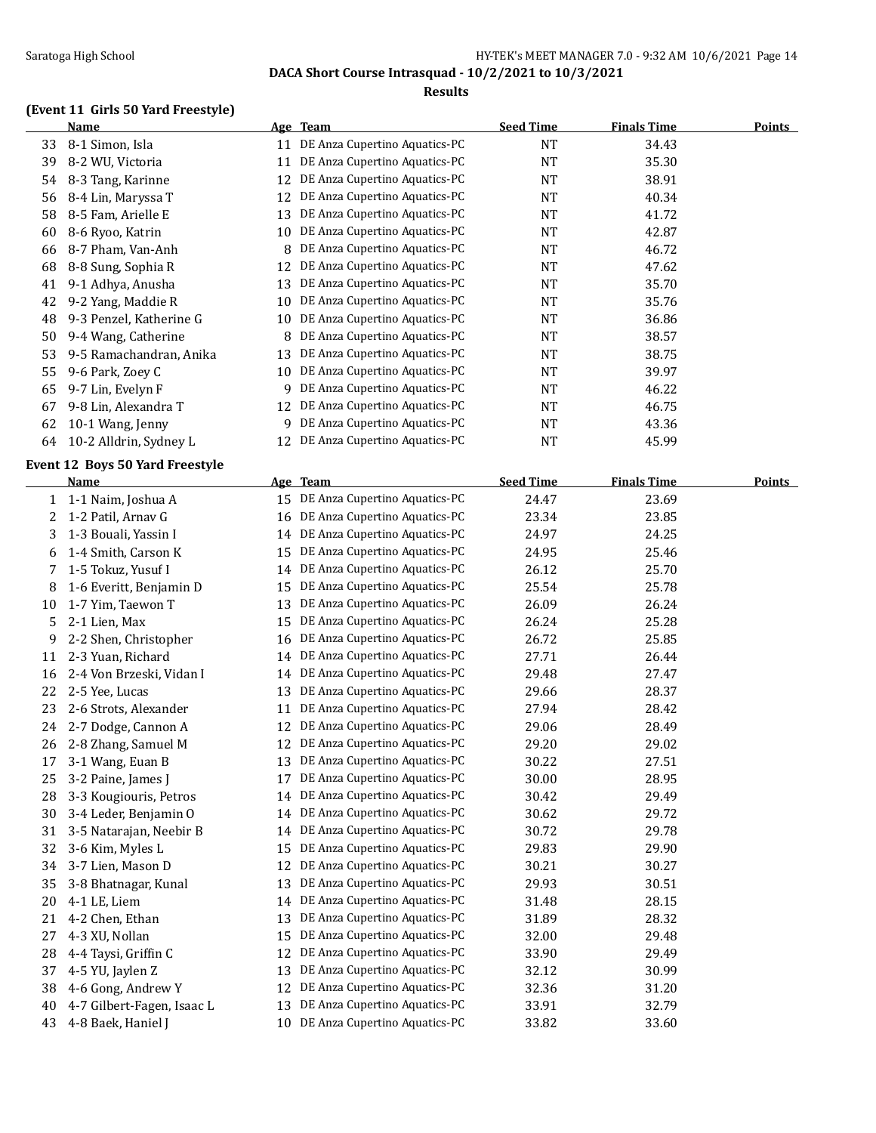### Saratoga High School **Example 2018** HY-TEK's MEET MANAGER 7.0 - 9:32 AM 10/6/2021 Page 14

**DACA Short Course Intrasquad - 10/2/2021 to 10/3/2021**

#### **Results**

### **(Event 11 Girls 50 Yard Freestyle)**

|    | <b>Name</b>                     |    | Age Team                         | <b>Seed Time</b> | <b>Finals Time</b> | <b>Points</b> |
|----|---------------------------------|----|----------------------------------|------------------|--------------------|---------------|
| 33 | 8-1 Simon, Isla                 |    | 11 DE Anza Cupertino Aquatics-PC | <b>NT</b>        | 34.43              |               |
| 39 | 8-2 WU, Victoria                | 11 | DE Anza Cupertino Aquatics-PC    | $\rm{NT}$        | 35.30              |               |
| 54 | 8-3 Tang, Karinne               | 12 | DE Anza Cupertino Aquatics-PC    | NT               | 38.91              |               |
| 56 | 8-4 Lin, Maryssa T              | 12 | DE Anza Cupertino Aquatics-PC    | NT               | 40.34              |               |
| 58 | 8-5 Fam, Arielle E              | 13 | DE Anza Cupertino Aquatics-PC    | <b>NT</b>        | 41.72              |               |
| 60 | 8-6 Ryoo, Katrin                | 10 | DE Anza Cupertino Aquatics-PC    | NT               | 42.87              |               |
| 66 | 8-7 Pham, Van-Anh               | 8  | DE Anza Cupertino Aquatics-PC    | <b>NT</b>        | 46.72              |               |
| 68 | 8-8 Sung, Sophia R              | 12 | DE Anza Cupertino Aquatics-PC    | <b>NT</b>        | 47.62              |               |
| 41 | 9-1 Adhya, Anusha               | 13 | DE Anza Cupertino Aquatics-PC    | <b>NT</b>        | 35.70              |               |
| 42 | 9-2 Yang, Maddie R              | 10 | DE Anza Cupertino Aquatics-PC    | <b>NT</b>        | 35.76              |               |
| 48 | 9-3 Penzel, Katherine G         | 10 | DE Anza Cupertino Aquatics-PC    | NT               | 36.86              |               |
| 50 | 9-4 Wang, Catherine             | 8  | DE Anza Cupertino Aquatics-PC    | NT               | 38.57              |               |
| 53 | 9-5 Ramachandran, Anika         | 13 | DE Anza Cupertino Aquatics-PC    | NT               | 38.75              |               |
| 55 | 9-6 Park, Zoey C                | 10 | DE Anza Cupertino Aquatics-PC    | NT               | 39.97              |               |
| 65 | 9-7 Lin, Evelyn F               | 9  | DE Anza Cupertino Aquatics-PC    | NT               | 46.22              |               |
| 67 | 9-8 Lin, Alexandra T            | 12 | DE Anza Cupertino Aquatics-PC    | <b>NT</b>        | 46.75              |               |
| 62 | 10-1 Wang, Jenny                | 9. | DE Anza Cupertino Aquatics-PC    | <b>NT</b>        | 43.36              |               |
| 64 | 10-2 Alldrin, Sydney L          | 12 | DE Anza Cupertino Aquatics-PC    | NT               | 45.99              |               |
|    |                                 |    |                                  |                  |                    |               |
|    | Event 12 Boys 50 Yard Freestyle |    |                                  |                  |                    |               |
|    | <u>Name</u>                     |    | Age Team                         | <b>Seed Time</b> | <b>Finals Time</b> | <b>Points</b> |
| 1  | 1-1 Naim, Joshua A              | 15 | DE Anza Cupertino Aquatics-PC    | 24.47            | 23.69              |               |
| 2  | 1-2 Patil, Arnav G              | 16 | DE Anza Cupertino Aquatics-PC    | 23.34            | 23.85              |               |
| 3  | 1-3 Bouali, Yassin I            | 14 | DE Anza Cupertino Aquatics-PC    | 24.97            | 24.25              |               |
| 6  | 1-4 Smith, Carson K             | 15 | DE Anza Cupertino Aquatics-PC    | 24.95            | 25.46              |               |
| 7  | 1-5 Tokuz, Yusuf I              | 14 | DE Anza Cupertino Aquatics-PC    | 26.12            | 25.70              |               |
| 8  | 1-6 Everitt, Benjamin D         | 15 | DE Anza Cupertino Aquatics-PC    | 25.54            | 25.78              |               |
| 10 | 1-7 Yim, Taewon T               | 13 | DE Anza Cupertino Aquatics-PC    | 26.09            | 26.24              |               |
| 5  | 2-1 Lien, Max                   | 15 | DE Anza Cupertino Aquatics-PC    | 26.24            | 25.28              |               |
| 9  | 2-2 Shen, Christopher           | 16 | DE Anza Cupertino Aquatics-PC    | 26.72            | 25.85              |               |
| 11 | 2-3 Yuan, Richard               | 14 | DE Anza Cupertino Aquatics-PC    | 27.71            | 26.44              |               |
| 16 | 2-4 Von Brzeski, Vidan I        | 14 | DE Anza Cupertino Aquatics-PC    | 29.48            | 27.47              |               |
| 22 | 2-5 Yee, Lucas                  | 13 | DE Anza Cupertino Aquatics-PC    | 29.66            | 28.37              |               |
| 23 | 2-6 Strots, Alexander           | 11 | DE Anza Cupertino Aquatics-PC    | 27.94            | 28.42              |               |
| 24 | 2-7 Dodge, Cannon A             | 12 | DE Anza Cupertino Aquatics-PC    | 29.06            | 28.49              |               |
| 26 | 2-8 Zhang, Samuel M             | 12 | DE Anza Cupertino Aquatics-PC    | 29.20            | 29.02              |               |
| 17 | 3-1 Wang, Euan B                |    | 13 DE Anza Cupertino Aquatics-PC | 30.22            | 27.51              |               |
| 25 | 3-2 Paine, James J              | 17 | DE Anza Cupertino Aquatics-PC    | 30.00            | 28.95              |               |
| 28 | 3-3 Kougiouris, Petros          | 14 | DE Anza Cupertino Aquatics-PC    | 30.42            | 29.49              |               |
| 30 | 3-4 Leder, Benjamin O           | 14 | DE Anza Cupertino Aquatics-PC    | 30.62            | 29.72              |               |
| 31 | 3-5 Natarajan, Neebir B         | 14 | DE Anza Cupertino Aquatics-PC    | 30.72            | 29.78              |               |
| 32 | 3-6 Kim, Myles L                | 15 | DE Anza Cupertino Aquatics-PC    | 29.83            | 29.90              |               |
| 34 | 3-7 Lien, Mason D               | 12 | DE Anza Cupertino Aquatics-PC    | 30.21            | 30.27              |               |
| 35 | 3-8 Bhatnagar, Kunal            | 13 | DE Anza Cupertino Aquatics-PC    | 29.93            | 30.51              |               |
| 20 | 4-1 LE, Liem                    | 14 | DE Anza Cupertino Aquatics-PC    | 31.48            | 28.15              |               |
| 21 | 4-2 Chen, Ethan                 | 13 | DE Anza Cupertino Aquatics-PC    | 31.89            | 28.32              |               |
| 27 | 4-3 XU, Nollan                  | 15 | DE Anza Cupertino Aquatics-PC    | 32.00            | 29.48              |               |
| 28 | 4-4 Taysi, Griffin C            | 12 | DE Anza Cupertino Aquatics-PC    | 33.90            | 29.49              |               |
| 37 | 4-5 YU, Jaylen Z                | 13 | DE Anza Cupertino Aquatics-PC    | 32.12            | 30.99              |               |
| 38 | 4-6 Gong, Andrew Y              | 12 | DE Anza Cupertino Aquatics-PC    | 32.36            | 31.20              |               |
| 40 | 4-7 Gilbert-Fagen, Isaac L      | 13 | DE Anza Cupertino Aquatics-PC    | 33.91            | 32.79              |               |
| 43 | 4-8 Baek, Haniel J              | 10 | DE Anza Cupertino Aquatics-PC    | 33.82            | 33.60              |               |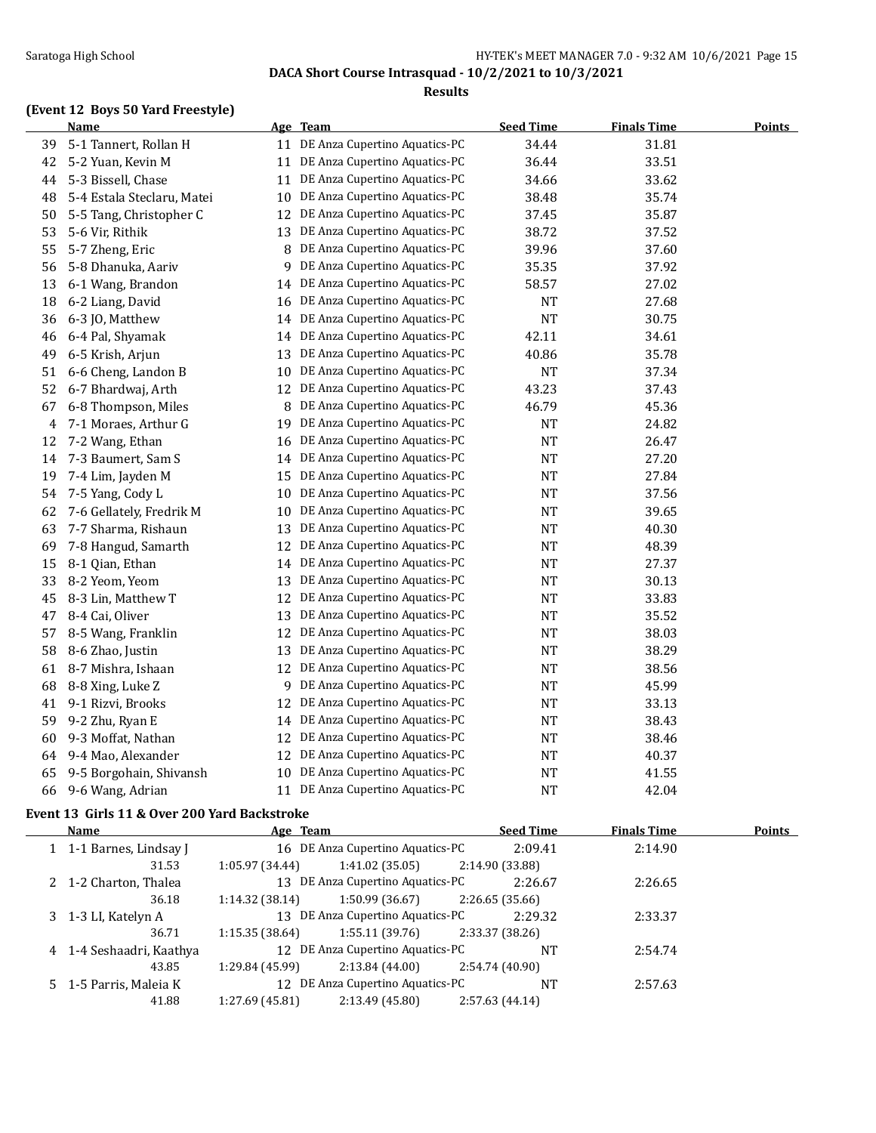### Saratoga High School Saratoga High School School Saratoga High School School School School School School School School School School School School School School School School School School School School School School Schoo

**DACA Short Course Intrasquad - 10/2/2021 to 10/3/2021**

#### **Results**

## **(Event 12 Boys 50 Yard Freestyle)**

|    | <b>Name</b>                |    | Age Team                         | <b>Seed Time</b> | <b>Finals Time</b> | <b>Points</b> |
|----|----------------------------|----|----------------------------------|------------------|--------------------|---------------|
| 39 | 5-1 Tannert, Rollan H      | 11 | DE Anza Cupertino Aquatics-PC    | 34.44            | 31.81              |               |
| 42 | 5-2 Yuan, Kevin M          | 11 | DE Anza Cupertino Aquatics-PC    | 36.44            | 33.51              |               |
| 44 | 5-3 Bissell, Chase         | 11 | DE Anza Cupertino Aquatics-PC    | 34.66            | 33.62              |               |
| 48 | 5-4 Estala Steclaru, Matei | 10 | DE Anza Cupertino Aquatics-PC    | 38.48            | 35.74              |               |
| 50 | 5-5 Tang, Christopher C    | 12 | DE Anza Cupertino Aquatics-PC    | 37.45            | 35.87              |               |
| 53 | 5-6 Vir, Rithik            | 13 | DE Anza Cupertino Aquatics-PC    | 38.72            | 37.52              |               |
| 55 | 5-7 Zheng, Eric            | 8  | DE Anza Cupertino Aquatics-PC    | 39.96            | 37.60              |               |
| 56 | 5-8 Dhanuka, Aariv         | 9  | DE Anza Cupertino Aquatics-PC    | 35.35            | 37.92              |               |
| 13 | 6-1 Wang, Brandon          | 14 | DE Anza Cupertino Aquatics-PC    | 58.57            | 27.02              |               |
| 18 | 6-2 Liang, David           | 16 | DE Anza Cupertino Aquatics-PC    | <b>NT</b>        | 27.68              |               |
| 36 | 6-3 JO, Matthew            | 14 | DE Anza Cupertino Aquatics-PC    | <b>NT</b>        | 30.75              |               |
| 46 | 6-4 Pal, Shyamak           | 14 | DE Anza Cupertino Aquatics-PC    | 42.11            | 34.61              |               |
| 49 | 6-5 Krish, Arjun           | 13 | DE Anza Cupertino Aquatics-PC    | 40.86            | 35.78              |               |
| 51 | 6-6 Cheng, Landon B        | 10 | DE Anza Cupertino Aquatics-PC    | <b>NT</b>        | 37.34              |               |
| 52 | 6-7 Bhardwaj, Arth         | 12 | DE Anza Cupertino Aquatics-PC    | 43.23            | 37.43              |               |
| 67 | 6-8 Thompson, Miles        | 8  | DE Anza Cupertino Aquatics-PC    | 46.79            | 45.36              |               |
| 4  | 7-1 Moraes, Arthur G       | 19 | DE Anza Cupertino Aquatics-PC    | NT               | 24.82              |               |
| 12 | 7-2 Wang, Ethan            | 16 | DE Anza Cupertino Aquatics-PC    | <b>NT</b>        | 26.47              |               |
| 14 | 7-3 Baumert, Sam S         | 14 | DE Anza Cupertino Aquatics-PC    | <b>NT</b>        | 27.20              |               |
| 19 | 7-4 Lim, Jayden M          | 15 | DE Anza Cupertino Aquatics-PC    | <b>NT</b>        | 27.84              |               |
| 54 | 7-5 Yang, Cody L           | 10 | DE Anza Cupertino Aquatics-PC    | <b>NT</b>        | 37.56              |               |
| 62 | 7-6 Gellately, Fredrik M   | 10 | DE Anza Cupertino Aquatics-PC    | <b>NT</b>        | 39.65              |               |
| 63 | 7-7 Sharma, Rishaun        | 13 | DE Anza Cupertino Aquatics-PC    | <b>NT</b>        | 40.30              |               |
| 69 | 7-8 Hangud, Samarth        | 12 | DE Anza Cupertino Aquatics-PC    | <b>NT</b>        | 48.39              |               |
| 15 | 8-1 Qian, Ethan            | 14 | DE Anza Cupertino Aquatics-PC    | <b>NT</b>        | 27.37              |               |
| 33 | 8-2 Yeom, Yeom             | 13 | DE Anza Cupertino Aquatics-PC    | <b>NT</b>        | 30.13              |               |
| 45 | 8-3 Lin, Matthew T         | 12 | DE Anza Cupertino Aquatics-PC    | NT               | 33.83              |               |
| 47 | 8-4 Cai, Oliver            | 13 | DE Anza Cupertino Aquatics-PC    | <b>NT</b>        | 35.52              |               |
| 57 | 8-5 Wang, Franklin         | 12 | DE Anza Cupertino Aquatics-PC    | <b>NT</b>        | 38.03              |               |
| 58 | 8-6 Zhao, Justin           | 13 | DE Anza Cupertino Aquatics-PC    | NT               | 38.29              |               |
| 61 | 8-7 Mishra, Ishaan         | 12 | DE Anza Cupertino Aquatics-PC    | <b>NT</b>        | 38.56              |               |
| 68 | 8-8 Xing, Luke Z           | 9  | DE Anza Cupertino Aquatics-PC    | <b>NT</b>        | 45.99              |               |
| 41 | 9-1 Rizvi, Brooks          | 12 | DE Anza Cupertino Aquatics-PC    | <b>NT</b>        | 33.13              |               |
| 59 | 9-2 Zhu, Ryan E            | 14 | DE Anza Cupertino Aquatics-PC    | <b>NT</b>        | 38.43              |               |
| 60 | 9-3 Moffat, Nathan         | 12 | DE Anza Cupertino Aquatics-PC    | <b>NT</b>        | 38.46              |               |
| 64 | 9-4 Mao, Alexander         | 12 | DE Anza Cupertino Aquatics-PC    | <b>NT</b>        | 40.37              |               |
| 65 | 9-5 Borgohain, Shivansh    | 10 | DE Anza Cupertino Aquatics-PC    | <b>NT</b>        | 41.55              |               |
| 66 | 9-6 Wang, Adrian           |    | 11 DE Anza Cupertino Aquatics-PC | <b>NT</b>        | 42.04              |               |

### **Event 13 Girls 11 & Over 200 Yard Backstroke**

| <b>Name</b>              | Age Team        |                                  | <b>Seed Time</b> | <b>Finals Time</b> | Points |
|--------------------------|-----------------|----------------------------------|------------------|--------------------|--------|
| 1 1-1 Barnes, Lindsay J  |                 | 16 DE Anza Cupertino Aquatics-PC | 2:09.41          | 2:14.90            |        |
| 31.53                    | 1:05.97(34.44)  | 1:41.02 (35.05)                  | 2:14.90 (33.88)  |                    |        |
| 2 1-2 Charton, Thalea    |                 | 13 DE Anza Cupertino Aquatics-PC | 2:26.67          | 2:26.65            |        |
| 36.18                    | 1:14.32(38.14)  | 1:50.99 (36.67)                  | 2:26.65(35.66)   |                    |        |
| 3 1-3 LI, Katelyn A      |                 | 13 DE Anza Cupertino Aquatics-PC | 2:29.32          | 2:33.37            |        |
| 36.71                    | 1:15.35(38.64)  | 1:55.11 (39.76)                  | 2:33.37 (38.26)  |                    |        |
| 4 1-4 Seshaadri, Kaathya |                 | 12 DE Anza Cupertino Aquatics-PC | <b>NT</b>        | 2:54.74            |        |
| 43.85                    | 1:29.84 (45.99) | 2:13.84(44.00)                   | 2:54.74 (40.90)  |                    |        |
| 5 1-5 Parris, Maleia K   |                 | 12 DE Anza Cupertino Aquatics-PC | <b>NT</b>        | 2:57.63            |        |
| 41.88                    | 1:27.69(45.81)  | 2:13.49 (45.80)                  | 2:57.63 (44.14)  |                    |        |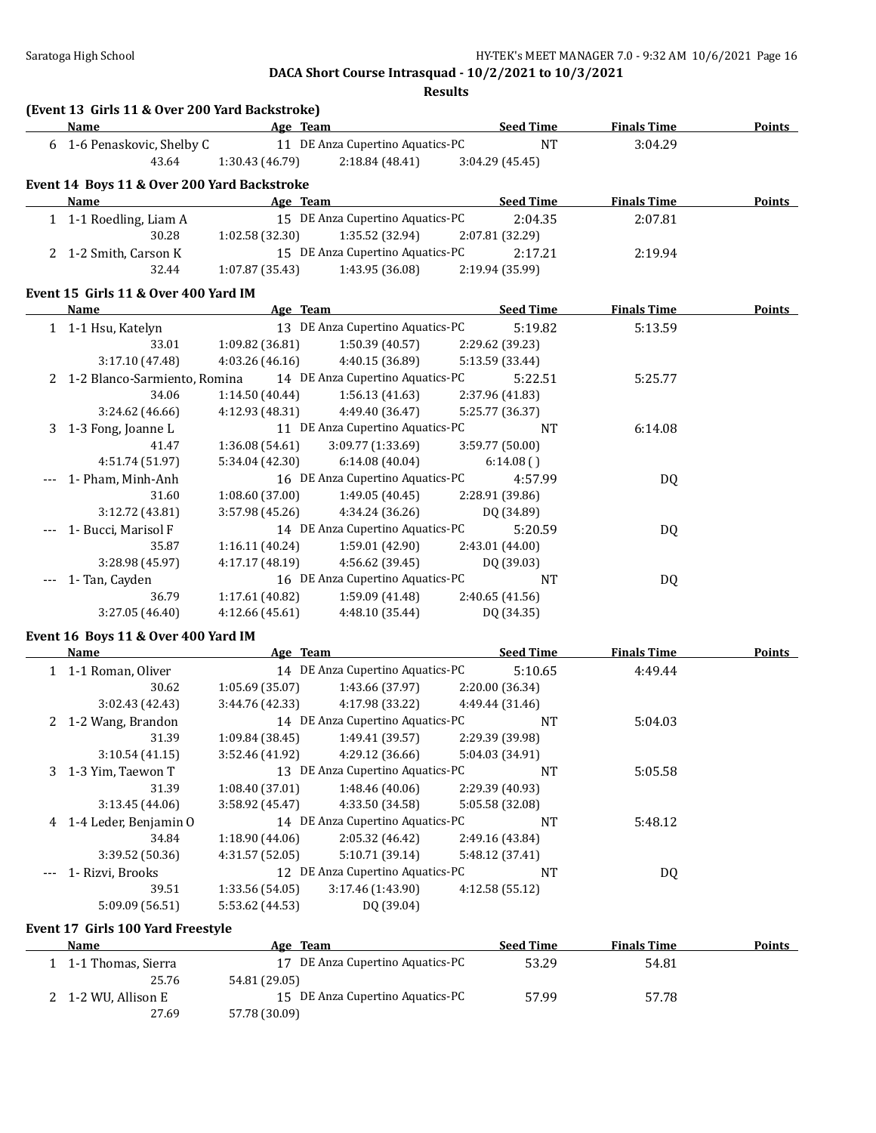**Results**

|   | (Event 13 Girls 11 & Over 200 Yard Backstroke) |                           |                                                      |                            |                    |               |
|---|------------------------------------------------|---------------------------|------------------------------------------------------|----------------------------|--------------------|---------------|
|   | Name                                           | Age Team                  |                                                      | <b>Seed Time</b>           | <b>Finals Time</b> | Points        |
|   | 6 1-6 Penaskovic, Shelby C                     |                           | 11 DE Anza Cupertino Aquatics-PC                     | <b>NT</b>                  | 3:04.29            |               |
|   | 43.64                                          | 1:30.43 (46.79)           | 2:18.84 (48.41)                                      | 3:04.29(45.45)             |                    |               |
|   | Event 14 Boys 11 & Over 200 Yard Backstroke    |                           |                                                      |                            |                    |               |
|   | <b>Name</b>                                    | <b>Example 2</b> Age Team |                                                      | <b>Example 2 Seed Time</b> | <b>Finals Time</b> | Points        |
|   | 1 1-1 Roedling, Liam A                         |                           | 15 DE Anza Cupertino Aquatics-PC                     | 2:04.35                    | 2:07.81            |               |
|   | 30.28                                          | 1:02.58(32.30)            | 1:35.52 (32.94)                                      | 2:07.81 (32.29)            |                    |               |
|   | 2 1-2 Smith, Carson K                          |                           | 15 DE Anza Cupertino Aquatics-PC                     | 2:17.21                    | 2:19.94            |               |
|   | 32.44                                          |                           | $1:07.87(35.43)$ $1:43.95(36.08)$                    | 2:19.94 (35.99)            |                    |               |
|   | Event 15 Girls 11 & Over 400 Yard IM           |                           |                                                      |                            |                    |               |
|   | Name                                           |                           | <b>Example 20 Age Team</b> Seed Time                 |                            | <b>Finals Time</b> | <b>Points</b> |
|   | 1 1-1 Hsu, Katelyn                             |                           | 13 DE Anza Cupertino Aquatics-PC                     | 5:19.82                    | 5:13.59            |               |
|   | 33.01                                          | 1:09.82(36.81)            | 1:50.39(40.57)                                       | 2:29.62 (39.23)            |                    |               |
|   | 3:17.10(47.48)                                 | 4:03.26(46.16)            | 4:40.15 (36.89)                                      | 5:13.59 (33.44)            |                    |               |
|   | 2 1-2 Blanco-Sarmiento, Romina                 |                           | 14 DE Anza Cupertino Aquatics-PC                     | 5:22.51                    | 5:25.77            |               |
|   | 34.06                                          |                           | $1:14.50(40.44)$ $1:56.13(41.63)$                    | 2:37.96 (41.83)            |                    |               |
|   | 3:24.62(46.66)                                 | 4:12.93 (48.31)           | 4:49.40 (36.47)                                      | 5:25.77 (36.37)            |                    |               |
| 3 | 1-3 Fong, Joanne L                             |                           | 11 DE Anza Cupertino Aquatics-PC                     | <b>NT</b>                  | 6:14.08            |               |
|   | 41.47                                          |                           | $1:36.08(54.61)$ $3:09.77(1:33.69)$ $3:59.77(50.00)$ |                            |                    |               |
|   | 4:51.74 (51.97)                                |                           | $5:34.04(42.30)$ $6:14.08(40.04)$                    | 6:14.08()                  |                    |               |
|   | --- 1- Pham, Minh-Anh                          |                           | 16 DE Anza Cupertino Aquatics-PC                     | 4:57.99                    | DQ                 |               |
|   | 31.60                                          |                           | $1:08.60(37.00)$ $1:49.05(40.45)$                    | 2:28.91 (39.86)            |                    |               |
|   | 3:12.72 (43.81)                                | 3:57.98(45.26)            | 4:34.24 (36.26)                                      | DQ (34.89)                 |                    |               |
|   | 1- Bucci, Marisol F                            |                           | 14 DE Anza Cupertino Aquatics-PC                     | 5:20.59                    | DQ                 |               |
|   | 35.87                                          |                           | $1:16.11(40.24)$ $1:59.01(42.90)$                    | 2:43.01 (44.00)            |                    |               |
|   | 3:28.98 (45.97)                                | 4:17.17(48.19)            | 4:56.62 (39.45)                                      | DQ (39.03)                 |                    |               |
|   | 1- Tan, Cayden                                 |                           | 16 DE Anza Cupertino Aquatics-PC                     | <b>NT</b>                  | DQ                 |               |
|   | 36.79                                          | 1:17.61(40.82)            | 1:59.09 (41.48)                                      | 2:40.65(41.56)             |                    |               |
|   | 3:27.05 (46.40)                                | 4:12.66(45.61)            | 4:48.10(35.44)                                       | DQ (34.35)                 |                    |               |

### **Event 16 Boys 11 & Over 400 Yard IM**

| <b>Name</b>             | Age Team        |                                  | <b>Seed Time</b> | <b>Finals Time</b> | <b>Points</b> |
|-------------------------|-----------------|----------------------------------|------------------|--------------------|---------------|
| 1 1-1 Roman, Oliver     |                 | 14 DE Anza Cupertino Aquatics-PC | 5:10.65          | 4:49.44            |               |
| 30.62                   | 1:05.69(35.07)  | 1:43.66 (37.97)                  | 2:20.00(36.34)   |                    |               |
| 3:02.43(42.43)          | 3:44.76 (42.33) | 4:17.98 (33.22)                  | 4:49.44 (31.46)  |                    |               |
| 2 1-2 Wang, Brandon     |                 | 14 DE Anza Cupertino Aquatics-PC | <b>NT</b>        | 5:04.03            |               |
| 31.39                   | 1:09.84 (38.45) | 1:49.41(39.57)                   | 2:29.39 (39.98)  |                    |               |
| 3:10.54(41.15)          | 3:52.46 (41.92) | 4:29.12 (36.66)                  | 5:04.03 (34.91)  |                    |               |
| 3 1-3 Yim, Taewon T     |                 | 13 DE Anza Cupertino Aquatics-PC | <b>NT</b>        | 5:05.58            |               |
| 31.39                   | 1:08.40 (37.01) | 1:48.46(40.06)                   | 2:29.39 (40.93)  |                    |               |
| 3:13.45(44.06)          | 3:58.92(45.47)  | 4:33.50 (34.58)                  | 5:05.58 (32.08)  |                    |               |
| 4 1-4 Leder, Benjamin 0 |                 | 14 DE Anza Cupertino Aquatics-PC | <b>NT</b>        | 5:48.12            |               |
| 34.84                   | 1:18.90(44.06)  | 2:05.32(46.42)                   | 2:49.16 (43.84)  |                    |               |
| 3:39.52(50.36)          | 4:31.57 (52.05) | 5:10.71 (39.14)                  | 5:48.12 (37.41)  |                    |               |
| 1- Rizvi, Brooks        |                 | 12 DE Anza Cupertino Aquatics-PC | <b>NT</b>        | DQ                 |               |
| 39.51                   | 1:33.56(54.05)  | 3:17.46(1:43.90)                 | 4:12.58(55.12)   |                    |               |
| 5:09.09 (56.51)         | 5:53.62 (44.53) | DQ (39.04)                       |                  |                    |               |

#### **Event 17 Girls 100 Yard Freestyle**

| Name                | Age Team                         | <b>Seed Time</b> | <b>Finals Time</b> | <b>Points</b> |
|---------------------|----------------------------------|------------------|--------------------|---------------|
| 1-1 Thomas, Sierra  | 17 DE Anza Cupertino Aquatics-PC | 53.29            | 54.81              |               |
| 25.76               | 54.81 (29.05)                    |                  |                    |               |
| 2 1-2 WU, Allison E | 15 DE Anza Cupertino Aquatics-PC | 57.99            | 57.78              |               |
| 27.69               | 57.78 (30.09)                    |                  |                    |               |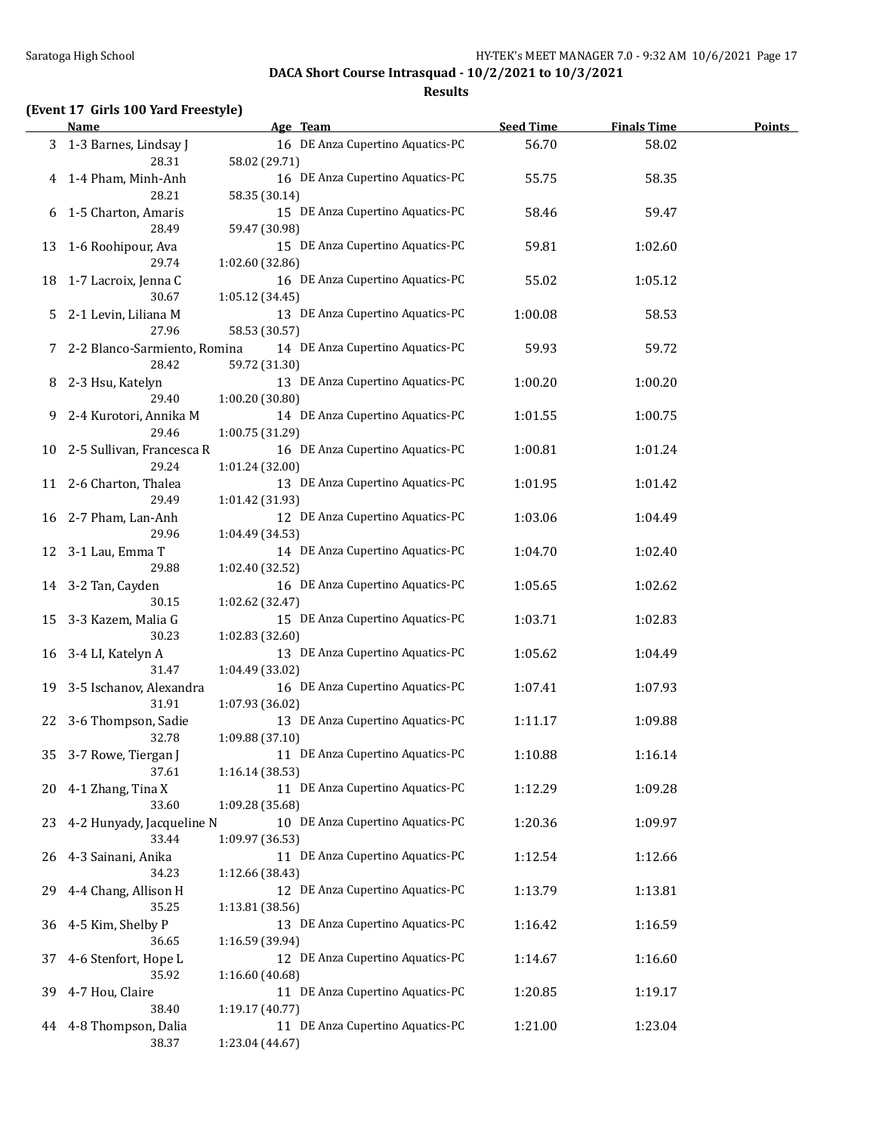### **Results**

### **(Event 17 Girls 100 Yard Freestyle)**

|    | <b>Name</b>                           | Age Team                                            | <b>Seed Time</b> | <b>Finals Time</b> | Points |
|----|---------------------------------------|-----------------------------------------------------|------------------|--------------------|--------|
|    | 3 1-3 Barnes, Lindsay J<br>28.31      | 16 DE Anza Cupertino Aquatics-PC<br>58.02 (29.71)   | 56.70            | 58.02              |        |
| 4  | 1-4 Pham, Minh-Anh<br>28.21           | 16 DE Anza Cupertino Aquatics-PC<br>58.35 (30.14)   | 55.75            | 58.35              |        |
| 6  | 1-5 Charton, Amaris<br>28.49          | 15 DE Anza Cupertino Aquatics-PC<br>59.47 (30.98)   | 58.46            | 59.47              |        |
| 13 | 1-6 Roohipour, Ava<br>29.74           | 15 DE Anza Cupertino Aquatics-PC<br>1:02.60 (32.86) | 59.81            | 1:02.60            |        |
| 18 | 1-7 Lacroix, Jenna C<br>30.67         | 16 DE Anza Cupertino Aquatics-PC<br>1:05.12 (34.45) | 55.02            | 1:05.12            |        |
| 5  | 2-1 Levin, Liliana M<br>27.96         | 13 DE Anza Cupertino Aquatics-PC<br>58.53 (30.57)   | 1:00.08          | 58.53              |        |
| 7  | 2-2 Blanco-Sarmiento, Romina<br>28.42 | 14 DE Anza Cupertino Aquatics-PC<br>59.72 (31.30)   | 59.93            | 59.72              |        |
| 8  | 2-3 Hsu, Katelyn<br>29.40             | 13 DE Anza Cupertino Aquatics-PC<br>1:00.20 (30.80) | 1:00.20          | 1:00.20            |        |
| 9  | 2-4 Kurotori, Annika M<br>29.46       | 14 DE Anza Cupertino Aquatics-PC<br>1:00.75 (31.29) | 1:01.55          | 1:00.75            |        |
| 10 | 2-5 Sullivan, Francesca R<br>29.24    | 16 DE Anza Cupertino Aquatics-PC<br>1:01.24(32.00)  | 1:00.81          | 1:01.24            |        |
| 11 | 2-6 Charton, Thalea<br>29.49          | 13 DE Anza Cupertino Aquatics-PC<br>1:01.42 (31.93) | 1:01.95          | 1:01.42            |        |
|    | 16 2-7 Pham, Lan-Anh<br>29.96         | 12 DE Anza Cupertino Aquatics-PC<br>1:04.49 (34.53) | 1:03.06          | 1:04.49            |        |
|    | 12 3-1 Lau, Emma T<br>29.88           | 14 DE Anza Cupertino Aquatics-PC<br>1:02.40 (32.52) | 1:04.70          | 1:02.40            |        |
|    | 14 3-2 Tan, Cayden<br>30.15           | 16 DE Anza Cupertino Aquatics-PC<br>1:02.62 (32.47) | 1:05.65          | 1:02.62            |        |
| 15 | 3-3 Kazem, Malia G<br>30.23           | 15 DE Anza Cupertino Aquatics-PC<br>1:02.83 (32.60) | 1:03.71          | 1:02.83            |        |
| 16 | 3-4 LI, Katelyn A<br>31.47            | 13 DE Anza Cupertino Aquatics-PC<br>1:04.49 (33.02) | 1:05.62          | 1:04.49            |        |
| 19 | 3-5 Ischanov, Alexandra<br>31.91      | 16 DE Anza Cupertino Aquatics-PC<br>1:07.93 (36.02) | 1:07.41          | 1:07.93            |        |
| 22 | 3-6 Thompson, Sadie<br>32.78          | 13 DE Anza Cupertino Aquatics-PC<br>1:09.88 (37.10) | 1:11.17          | 1:09.88            |        |
| 35 | 3-7 Rowe, Tiergan J<br>37.61          | 11 DE Anza Cupertino Aquatics-PC<br>1:16.14 (38.53) | 1:10.88          | 1:16.14            |        |
| 20 | 4-1 Zhang, Tina X<br>33.60            | 11 DE Anza Cupertino Aquatics-PC<br>1:09.28 (35.68) | 1:12.29          | 1:09.28            |        |
| 23 | 4-2 Hunyady, Jacqueline N<br>33.44    | 10 DE Anza Cupertino Aquatics-PC<br>1:09.97 (36.53) | 1:20.36          | 1:09.97            |        |
| 26 | 4-3 Sainani, Anika<br>34.23           | 11 DE Anza Cupertino Aquatics-PC<br>1:12.66 (38.43) | 1:12.54          | 1:12.66            |        |
| 29 | 4-4 Chang, Allison H<br>35.25         | 12 DE Anza Cupertino Aquatics-PC<br>1:13.81 (38.56) | 1:13.79          | 1:13.81            |        |
| 36 | 4-5 Kim, Shelby P<br>36.65            | 13 DE Anza Cupertino Aquatics-PC<br>1:16.59 (39.94) | 1:16.42          | 1:16.59            |        |
| 37 | 4-6 Stenfort, Hope L<br>35.92         | 12 DE Anza Cupertino Aquatics-PC<br>1:16.60 (40.68) | 1:14.67          | 1:16.60            |        |
| 39 | 4-7 Hou, Claire<br>38.40              | 11 DE Anza Cupertino Aquatics-PC<br>1:19.17 (40.77) | 1:20.85          | 1:19.17            |        |
| 44 | 4-8 Thompson, Dalia<br>38.37          | 11 DE Anza Cupertino Aquatics-PC<br>1:23.04 (44.67) | 1:21.00          | 1:23.04            |        |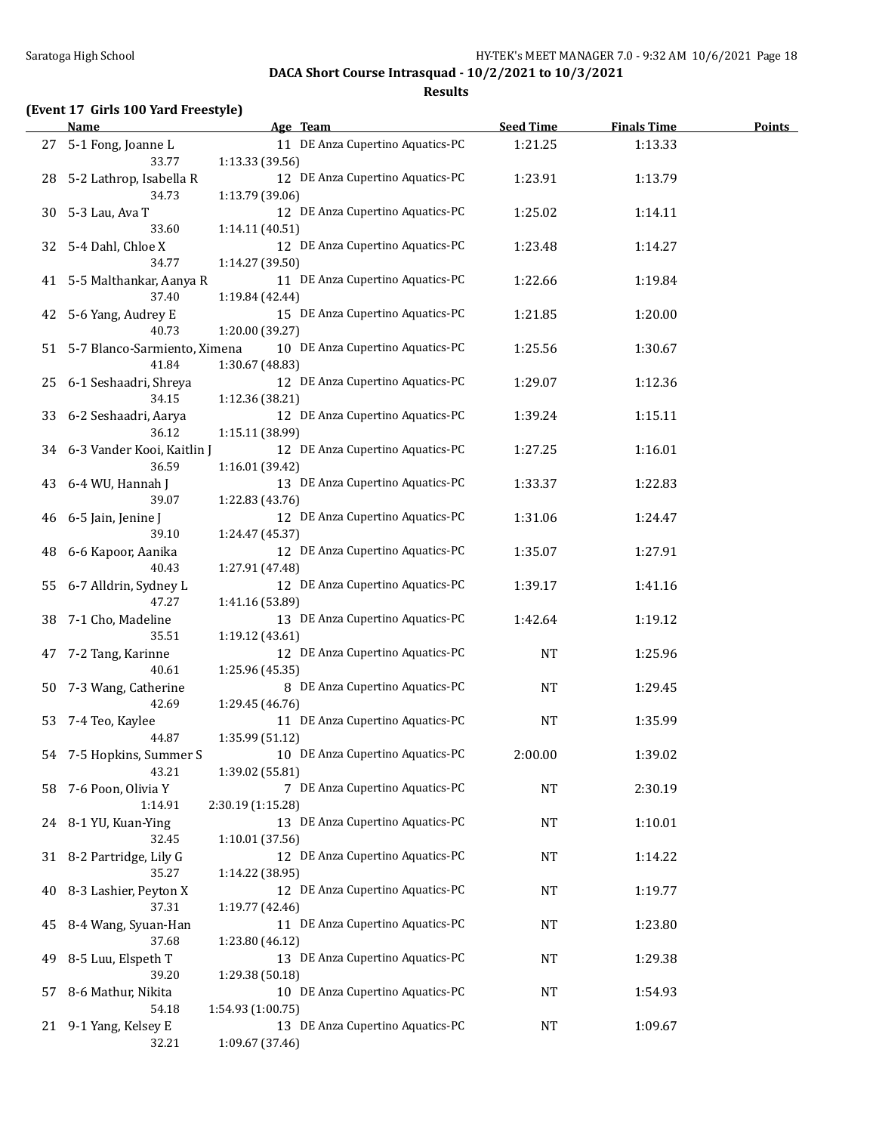**Results**

### **(Event 17 Girls 100 Yard Freestyle)**

|      | <b>Name</b>                         | Age Team                                            | <b>Seed Time</b> | <b>Finals Time</b> | <b>Points</b> |
|------|-------------------------------------|-----------------------------------------------------|------------------|--------------------|---------------|
| 27   | 5-1 Fong, Joanne L                  | 11 DE Anza Cupertino Aquatics-PC                    | 1:21.25          | 1:13.33            |               |
|      | 33.77                               | 1:13.33 (39.56)                                     |                  |                    |               |
| 28   | 5-2 Lathrop, Isabella R             | 12 DE Anza Cupertino Aquatics-PC                    | 1:23.91          | 1:13.79            |               |
|      | 34.73                               | 1:13.79 (39.06)                                     |                  |                    |               |
| 30   | 5-3 Lau, Ava T                      | 12 DE Anza Cupertino Aquatics-PC                    | 1:25.02          | 1:14.11            |               |
| 32   | 33.60<br>5-4 Dahl, Chloe X          | 1:14.11 (40.51)<br>12 DE Anza Cupertino Aquatics-PC | 1:23.48          | 1:14.27            |               |
|      | 34.77                               | 1:14.27 (39.50)                                     |                  |                    |               |
|      | 41 5-5 Malthankar, Aanya R          | 11 DE Anza Cupertino Aquatics-PC                    | 1:22.66          | 1:19.84            |               |
|      | 37.40                               | 1:19.84 (42.44)                                     |                  |                    |               |
| 42   | 5-6 Yang, Audrey E                  | 15 DE Anza Cupertino Aquatics-PC                    | 1:21.85          | 1:20.00            |               |
|      | 40.73                               | 1:20.00 (39.27)                                     |                  |                    |               |
| 51   | 5-7 Blanco-Sarmiento, Ximena        | 10 DE Anza Cupertino Aquatics-PC                    | 1:25.56          | 1:30.67            |               |
|      | 41.84                               | 1:30.67 (48.83)                                     |                  |                    |               |
| 25   | 6-1 Seshaadri, Shreya               | 12 DE Anza Cupertino Aquatics-PC                    | 1:29.07          | 1:12.36            |               |
|      | 34.15                               | 1:12.36 (38.21)                                     |                  |                    |               |
| 33   | 6-2 Seshaadri, Aarya                | 12 DE Anza Cupertino Aquatics-PC                    | 1:39.24          | 1:15.11            |               |
|      | 36.12                               | 1:15.11 (38.99)<br>12 DE Anza Cupertino Aquatics-PC |                  |                    |               |
| 34   | 6-3 Vander Kooi, Kaitlin J<br>36.59 | 1:16.01 (39.42)                                     | 1:27.25          | 1:16.01            |               |
| 43   | 6-4 WU, Hannah J                    | 13 DE Anza Cupertino Aquatics-PC                    | 1:33.37          | 1:22.83            |               |
|      | 39.07                               | 1:22.83 (43.76)                                     |                  |                    |               |
| 46   | 6-5 Jain, Jenine J                  | 12 DE Anza Cupertino Aquatics-PC                    | 1:31.06          | 1:24.47            |               |
|      | 39.10                               | 1:24.47 (45.37)                                     |                  |                    |               |
| 48   | 6-6 Kapoor, Aanika                  | 12 DE Anza Cupertino Aquatics-PC                    | 1:35.07          | 1:27.91            |               |
|      | 40.43                               | 1:27.91 (47.48)                                     |                  |                    |               |
| 55   | 6-7 Alldrin, Sydney L               | 12 DE Anza Cupertino Aquatics-PC                    | 1:39.17          | 1:41.16            |               |
|      | 47.27                               | 1:41.16 (53.89)                                     |                  |                    |               |
| 38   | 7-1 Cho, Madeline                   | 13 DE Anza Cupertino Aquatics-PC                    | 1:42.64          | 1:19.12            |               |
|      | 35.51                               | 1:19.12 (43.61)                                     |                  |                    |               |
| 47   | 7-2 Tang, Karinne<br>40.61          | 12 DE Anza Cupertino Aquatics-PC                    | <b>NT</b>        | 1:25.96            |               |
| 50   | 7-3 Wang, Catherine                 | 1:25.96 (45.35)<br>8 DE Anza Cupertino Aquatics-PC  | NT               | 1:29.45            |               |
|      | 42.69                               | 1:29.45 (46.76)                                     |                  |                    |               |
| 53   | 7-4 Teo, Kaylee                     | 11 DE Anza Cupertino Aquatics-PC                    | NT               | 1:35.99            |               |
|      | 44.87                               | 1:35.99 (51.12)                                     |                  |                    |               |
|      | 54 7-5 Hopkins, Summer S            | 10 DE Anza Cupertino Aquatics-PC                    | 2:00.00          | 1:39.02            |               |
|      | 43.21                               | 1:39.02 (55.81)                                     |                  |                    |               |
| 58   | 7-6 Poon, Olivia Y                  | 7 DE Anza Cupertino Aquatics-PC                     | <b>NT</b>        | 2:30.19            |               |
|      | 1:14.91                             | 2:30.19 (1:15.28)                                   |                  |                    |               |
| 24   | 8-1 YU, Kuan-Ying                   | 13 DE Anza Cupertino Aquatics-PC                    | NT               | 1:10.01            |               |
|      | 32.45                               | 1:10.01 (37.56)                                     |                  |                    |               |
| 31   | 8-2 Partridge, Lily G               | 12 DE Anza Cupertino Aquatics-PC                    | NT               | 1:14.22            |               |
| 40   | 35.27<br>8-3 Lashier, Peyton X      | 1:14.22 (38.95)<br>12 DE Anza Cupertino Aquatics-PC | NT               | 1:19.77            |               |
|      | 37.31                               | 1:19.77 (42.46)                                     |                  |                    |               |
| 45   | 8-4 Wang, Syuan-Han                 | 11 DE Anza Cupertino Aquatics-PC                    | NT               | 1:23.80            |               |
|      | 37.68                               | 1:23.80 (46.12)                                     |                  |                    |               |
| 49   | 8-5 Luu, Elspeth T                  | 13 DE Anza Cupertino Aquatics-PC                    | NT               | 1:29.38            |               |
|      | 39.20                               | 1:29.38 (50.18)                                     |                  |                    |               |
| 57   | 8-6 Mathur, Nikita                  | 10 DE Anza Cupertino Aquatics-PC                    | NT               | 1:54.93            |               |
|      | 54.18                               | 1:54.93 (1:00.75)                                   |                  |                    |               |
| 21 - | 9-1 Yang, Kelsey E                  | 13 DE Anza Cupertino Aquatics-PC                    | NT               | 1:09.67            |               |
|      | 32.21                               | 1:09.67 (37.46)                                     |                  |                    |               |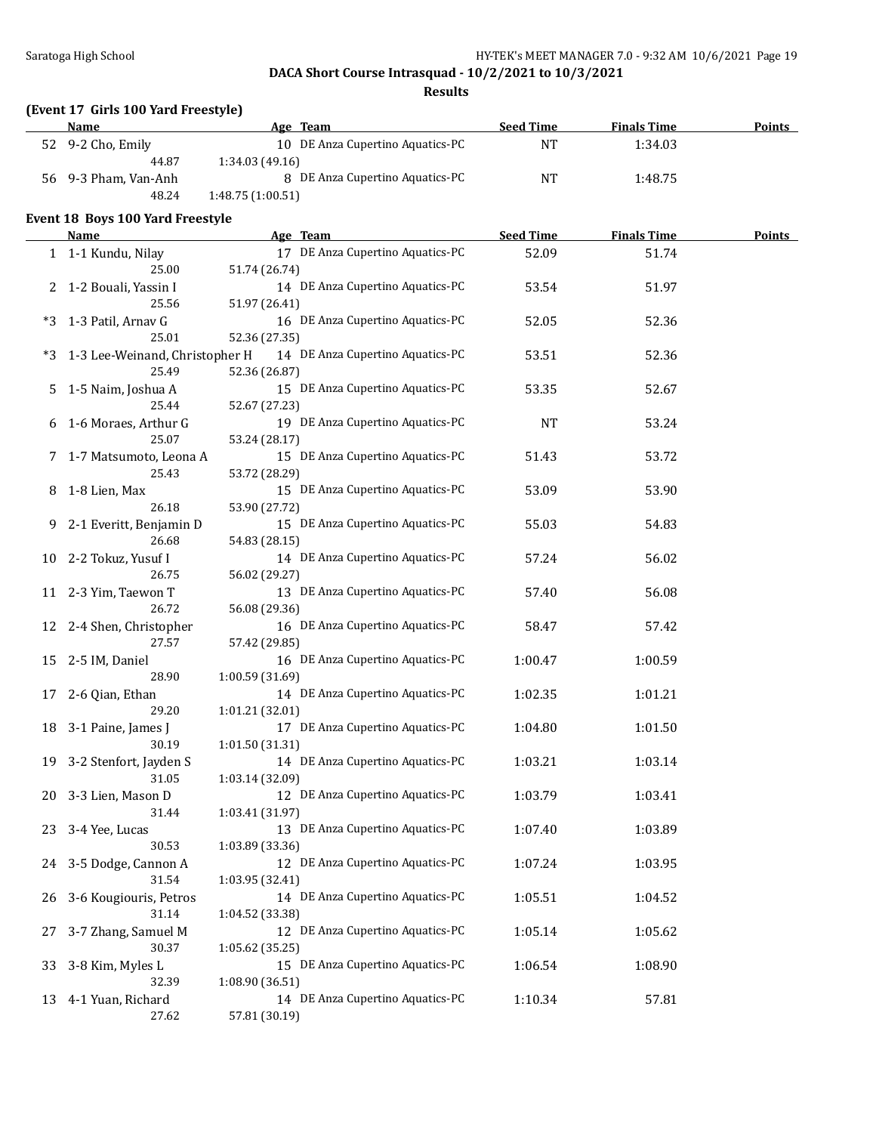### Saratoga High School **Exercise 20** HY-TEK's MEET MANAGER 7.0 - 9:32 AM 10/6/2021 Page 19

### **DACA Short Course Intrasquad - 10/2/2021 to 10/3/2021**

**Results**

## **(Event 17 Girls 100 Yard Freestyle)**

| <b>Name</b>               | Age Team                         | <b>Seed Time</b> | <b>Finals Time</b> | <b>Points</b> |
|---------------------------|----------------------------------|------------------|--------------------|---------------|
| $52 \quad 9-2$ Cho, Emily | 10 DE Anza Cupertino Aquatics-PC | <b>NT</b>        | 1:34.03            |               |
| 44.87                     | 1:34.03(49.16)                   |                  |                    |               |
| 56 9-3 Pham, Van-Anh      | 8 DE Anza Cupertino Aquatics-PC  | NT               | 1:48.75            |               |
| 48.24                     | 1:48.75(1:00.51)                 |                  |                    |               |

#### **Event 18 Boys 100 Yard Freestyle**

|      | <b>Name</b>                    | Age Team                                          | <b>Seed Time</b> | <b>Finals Time</b> | <b>Points</b> |
|------|--------------------------------|---------------------------------------------------|------------------|--------------------|---------------|
|      | 1 1-1 Kundu, Nilay             | 17 DE Anza Cupertino Aquatics-PC                  | 52.09            | 51.74              |               |
|      | 25.00                          | 51.74 (26.74)                                     |                  |                    |               |
|      | 2 1-2 Bouali, Yassin I         | 14 DE Anza Cupertino Aquatics-PC                  | 53.54            | 51.97              |               |
|      | 25.56                          | 51.97 (26.41)                                     |                  |                    |               |
| $*3$ | 1-3 Patil, Arnav G             | 16 DE Anza Cupertino Aquatics-PC                  | 52.05            | 52.36              |               |
|      | 25.01                          | 52.36 (27.35)                                     |                  |                    |               |
| $*3$ | 1-3 Lee-Weinand, Christopher H | 14 DE Anza Cupertino Aquatics-PC                  | 53.51            | 52.36              |               |
|      | 25.49                          | 52.36 (26.87)                                     |                  |                    |               |
| 5    | 1-5 Naim, Joshua A             | 15 DE Anza Cupertino Aquatics-PC                  | 53.35            | 52.67              |               |
|      | 25.44                          | 52.67 (27.23)                                     |                  |                    |               |
| 6    | 1-6 Moraes, Arthur G           | 19 DE Anza Cupertino Aquatics-PC                  | <b>NT</b>        | 53.24              |               |
|      | 25.07                          | 53.24 (28.17)                                     |                  |                    |               |
|      | 7 1-7 Matsumoto, Leona A       | 15 DE Anza Cupertino Aquatics-PC                  | 51.43            | 53.72              |               |
|      | 25.43                          | 53.72 (28.29)                                     |                  |                    |               |
| 8    | 1-8 Lien, Max                  | 15 DE Anza Cupertino Aquatics-PC                  | 53.09            | 53.90              |               |
|      | 26.18                          | 53.90 (27.72)                                     |                  |                    |               |
| 9    | 2-1 Everitt, Benjamin D        | 15 DE Anza Cupertino Aquatics-PC                  | 55.03            | 54.83              |               |
|      | 26.68                          | 54.83 (28.15)                                     |                  |                    |               |
|      |                                | 14 DE Anza Cupertino Aquatics-PC                  |                  | 56.02              |               |
|      | 10 2-2 Tokuz, Yusuf I          |                                                   | 57.24            |                    |               |
|      | 26.75                          | 56.02 (29.27)<br>13 DE Anza Cupertino Aquatics-PC |                  |                    |               |
|      | 11 2-3 Yim, Taewon T           |                                                   | 57.40            | 56.08              |               |
|      | 26.72                          | 56.08 (29.36)                                     |                  |                    |               |
|      | 12 2-4 Shen, Christopher       | 16 DE Anza Cupertino Aquatics-PC                  | 58.47            | 57.42              |               |
|      | 27.57                          | 57.42 (29.85)                                     |                  |                    |               |
|      | 15 2-5 IM, Daniel              | 16 DE Anza Cupertino Aquatics-PC                  | 1:00.47          | 1:00.59            |               |
|      | 28.90                          | 1:00.59 (31.69)                                   |                  |                    |               |
|      | 17 2-6 Qian, Ethan             | 14 DE Anza Cupertino Aquatics-PC                  | 1:02.35          | 1:01.21            |               |
|      | 29.20                          | 1:01.21 (32.01)                                   |                  |                    |               |
|      | 18 3-1 Paine, James J          | 17 DE Anza Cupertino Aquatics-PC                  | 1:04.80          | 1:01.50            |               |
|      | 30.19                          | 1:01.50 (31.31)                                   |                  |                    |               |
|      | 19 3-2 Stenfort, Jayden S      | 14 DE Anza Cupertino Aquatics-PC                  | 1:03.21          | 1:03.14            |               |
|      | 31.05                          | 1:03.14 (32.09)                                   |                  |                    |               |
| 20   | 3-3 Lien, Mason D              | 12 DE Anza Cupertino Aquatics-PC                  | 1:03.79          | 1:03.41            |               |
|      | 31.44                          | 1:03.41 (31.97)                                   |                  |                    |               |
| 23   | 3-4 Yee, Lucas                 | 13 DE Anza Cupertino Aquatics-PC                  | 1:07.40          | 1:03.89            |               |
|      | 30.53                          | 1:03.89 (33.36)                                   |                  |                    |               |
|      | 24 3-5 Dodge, Cannon A         | 12 DE Anza Cupertino Aquatics-PC                  | 1:07.24          | 1:03.95            |               |
|      | 31.54                          | 1:03.95 (32.41)                                   |                  |                    |               |
| 26   | 3-6 Kougiouris, Petros         | 14 DE Anza Cupertino Aquatics-PC                  | 1:05.51          | 1:04.52            |               |
|      | 31.14                          | 1:04.52 (33.38)                                   |                  |                    |               |
| 27   | 3-7 Zhang, Samuel M            | 12 DE Anza Cupertino Aquatics-PC                  | 1:05.14          | 1:05.62            |               |
|      | 30.37                          | 1:05.62 (35.25)                                   |                  |                    |               |
| 33   | 3-8 Kim, Myles L               | 15 DE Anza Cupertino Aquatics-PC                  | 1:06.54          | 1:08.90            |               |
|      | 32.39                          | 1:08.90 (36.51)                                   |                  |                    |               |
| 13   | 4-1 Yuan, Richard              | 14 DE Anza Cupertino Aquatics-PC                  | 1:10.34          | 57.81              |               |
|      | 27.62                          | 57.81 (30.19)                                     |                  |                    |               |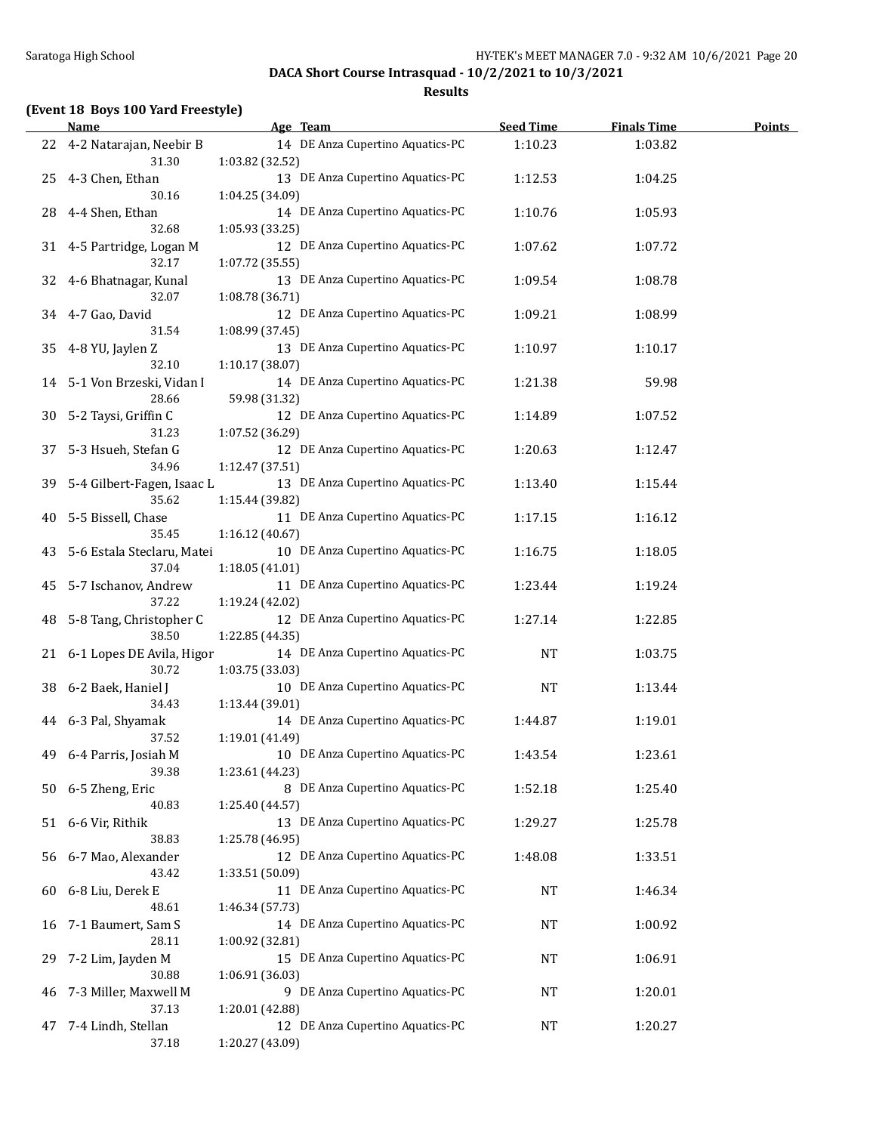**Results**

## **(Event 18 Boys 100 Yard Freestyle)**

|    | Name                                   | Age Team                                            | <b>Seed Time</b> | <b>Finals Time</b> | <b>Points</b> |
|----|----------------------------------------|-----------------------------------------------------|------------------|--------------------|---------------|
|    | 22 4-2 Natarajan, Neebir B<br>31.30    | 14 DE Anza Cupertino Aquatics-PC<br>1:03.82 (32.52) | 1:10.23          | 1:03.82            |               |
| 25 | 4-3 Chen, Ethan<br>30.16               | 13 DE Anza Cupertino Aquatics-PC<br>1:04.25 (34.09) | 1:12.53          | 1:04.25            |               |
| 28 | 4-4 Shen, Ethan<br>32.68               | 14 DE Anza Cupertino Aquatics-PC<br>1:05.93 (33.25) | 1:10.76          | 1:05.93            |               |
|    | 31 4-5 Partridge, Logan M<br>32.17     | 12 DE Anza Cupertino Aquatics-PC<br>1:07.72 (35.55) | 1:07.62          | 1:07.72            |               |
| 32 | 4-6 Bhatnagar, Kunal<br>32.07          | 13 DE Anza Cupertino Aquatics-PC<br>1:08.78 (36.71) | 1:09.54          | 1:08.78            |               |
| 34 | 4-7 Gao, David<br>31.54                | 12 DE Anza Cupertino Aquatics-PC<br>1:08.99 (37.45) | 1:09.21          | 1:08.99            |               |
| 35 | 4-8 YU, Jaylen Z<br>32.10              | 13 DE Anza Cupertino Aquatics-PC<br>1:10.17 (38.07) | 1:10.97          | 1:10.17            |               |
|    | 14 5-1 Von Brzeski, Vidan I<br>28.66   | 14 DE Anza Cupertino Aquatics-PC<br>59.98 (31.32)   | 1:21.38          | 59.98              |               |
|    | 30 5-2 Taysi, Griffin C<br>31.23       | 12 DE Anza Cupertino Aquatics-PC<br>1:07.52 (36.29) | 1:14.89          | 1:07.52            |               |
| 37 | 5-3 Hsueh, Stefan G<br>34.96           | 12 DE Anza Cupertino Aquatics-PC<br>1:12.47 (37.51) | 1:20.63          | 1:12.47            |               |
|    | 39 5-4 Gilbert-Fagen, Isaac L<br>35.62 | 13 DE Anza Cupertino Aquatics-PC<br>1:15.44 (39.82) | 1:13.40          | 1:15.44            |               |
| 40 | 5-5 Bissell, Chase<br>35.45            | 11 DE Anza Cupertino Aquatics-PC<br>1:16.12 (40.67) | 1:17.15          | 1:16.12            |               |
| 43 | 5-6 Estala Steclaru, Matei<br>37.04    | 10 DE Anza Cupertino Aquatics-PC<br>1:18.05 (41.01) | 1:16.75          | 1:18.05            |               |
| 45 | 5-7 Ischanov, Andrew<br>37.22          | 11 DE Anza Cupertino Aquatics-PC<br>1:19.24 (42.02) | 1:23.44          | 1:19.24            |               |
| 48 | 5-8 Tang, Christopher C<br>38.50       | 12 DE Anza Cupertino Aquatics-PC<br>1:22.85 (44.35) | 1:27.14          | 1:22.85            |               |
|    | 21 6-1 Lopes DE Avila, Higor<br>30.72  | 14 DE Anza Cupertino Aquatics-PC<br>1:03.75 (33.03) | <b>NT</b>        | 1:03.75            |               |
| 38 | 6-2 Baek, Haniel J<br>34.43            | 10 DE Anza Cupertino Aquatics-PC<br>1:13.44 (39.01) | <b>NT</b>        | 1:13.44            |               |
|    | 44 6-3 Pal, Shyamak<br>37.52           | 14 DE Anza Cupertino Aquatics-PC<br>1:19.01 (41.49) | 1:44.87          | 1:19.01            |               |
| 49 | 6-4 Parris, Josiah M<br>39.38          | 10 DE Anza Cupertino Aquatics-PC<br>1:23.61 (44.23) | 1:43.54          | 1:23.61            |               |
|    | 50 6-5 Zheng, Eric<br>40.83            | 8 DE Anza Cupertino Aquatics-PC<br>1:25.40 (44.57)  | 1:52.18          | 1:25.40            |               |
|    | 51 6-6 Vir, Rithik<br>38.83            | 13 DE Anza Cupertino Aquatics-PC<br>1:25.78 (46.95) | 1:29.27          | 1:25.78            |               |
| 56 | 6-7 Mao, Alexander<br>43.42            | 12 DE Anza Cupertino Aquatics-PC<br>1:33.51 (50.09) | 1:48.08          | 1:33.51            |               |
| 60 | 6-8 Liu, Derek E<br>48.61              | 11 DE Anza Cupertino Aquatics-PC<br>1:46.34 (57.73) | <b>NT</b>        | 1:46.34            |               |
| 16 | 7-1 Baumert, Sam S<br>28.11            | 14 DE Anza Cupertino Aquatics-PC<br>1:00.92 (32.81) | <b>NT</b>        | 1:00.92            |               |
| 29 | 7-2 Lim, Jayden M<br>30.88             | 15 DE Anza Cupertino Aquatics-PC<br>1:06.91 (36.03) | NT               | 1:06.91            |               |
| 46 | 7-3 Miller, Maxwell M<br>37.13         | 9 DE Anza Cupertino Aquatics-PC<br>1:20.01 (42.88)  | NT               | 1:20.01            |               |
| 47 | 7-4 Lindh, Stellan<br>37.18            | 12 DE Anza Cupertino Aquatics-PC<br>1:20.27 (43.09) | NT               | 1:20.27            |               |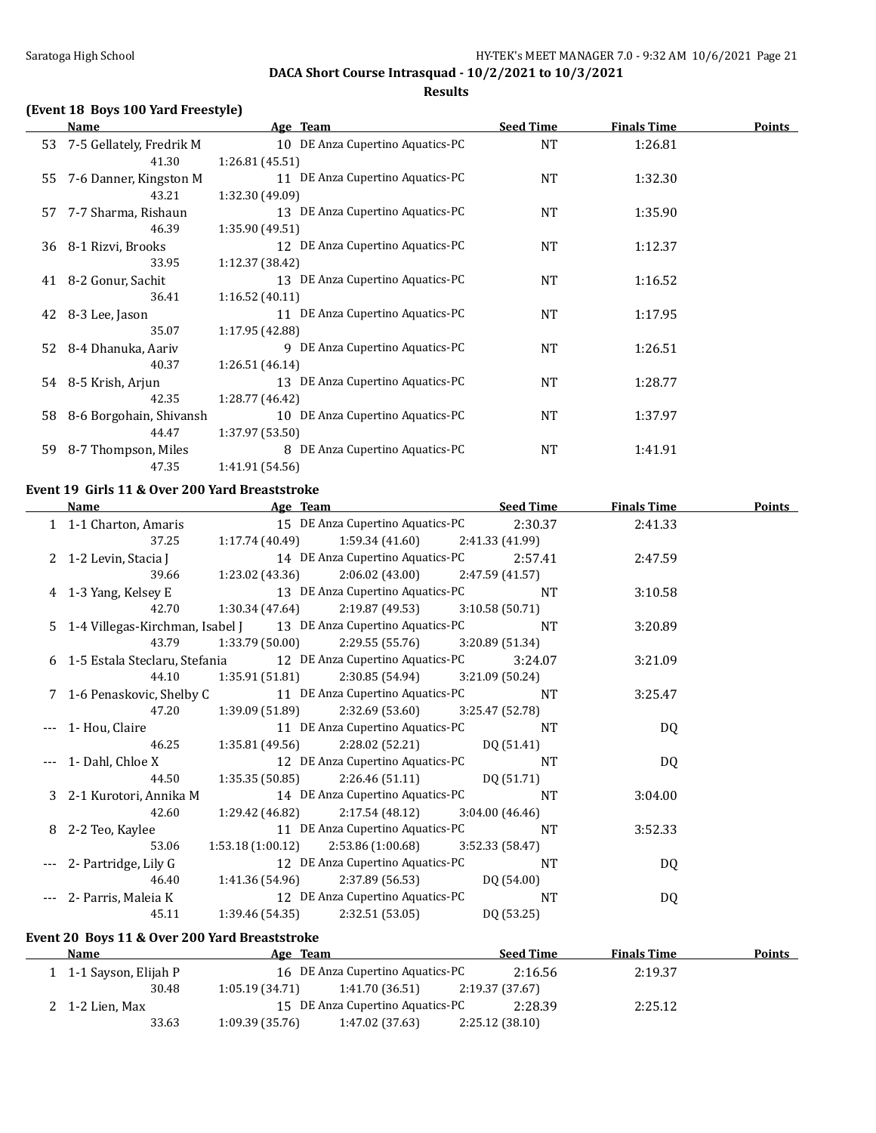### **Results**

### **(Event 18 Boys 100 Yard Freestyle)**

|    | Name                        | Age Team                         | <b>Seed Time</b> | <b>Finals Time</b> | <b>Points</b> |
|----|-----------------------------|----------------------------------|------------------|--------------------|---------------|
|    | 53 7-5 Gellately, Fredrik M | 10 DE Anza Cupertino Aquatics-PC | <b>NT</b>        | 1:26.81            |               |
|    | 41.30                       | 1:26.81 (45.51)                  |                  |                    |               |
| 55 | 7-6 Danner, Kingston M      | 11 DE Anza Cupertino Aquatics-PC | <b>NT</b>        | 1:32.30            |               |
|    | 43.21                       | 1:32.30 (49.09)                  |                  |                    |               |
| 57 | 7-7 Sharma, Rishaun         | 13 DE Anza Cupertino Aquatics-PC | NT               | 1:35.90            |               |
|    | 46.39                       | 1:35.90(49.51)                   |                  |                    |               |
| 36 | 8-1 Rizvi, Brooks           | 12 DE Anza Cupertino Aquatics-PC | <b>NT</b>        | 1:12.37            |               |
|    | 33.95                       | 1:12.37 (38.42)                  |                  |                    |               |
| 41 | 8-2 Gonur, Sachit           | 13 DE Anza Cupertino Aquatics-PC | NT               | 1:16.52            |               |
|    | 36.41                       | 1:16.52 (40.11)                  |                  |                    |               |
|    | 42 8-3 Lee, Jason           | 11 DE Anza Cupertino Aquatics-PC | <b>NT</b>        | 1:17.95            |               |
|    | 35.07                       | 1:17.95 (42.88)                  |                  |                    |               |
| 52 | 8-4 Dhanuka, Aariv          | 9 DE Anza Cupertino Aquatics-PC  | NT               | 1:26.51            |               |
|    | 40.37                       | 1:26.51(46.14)                   |                  |                    |               |
|    | 54 8-5 Krish, Arjun         | 13 DE Anza Cupertino Aquatics-PC | NT               | 1:28.77            |               |
|    | 42.35                       | 1:28.77 (46.42)                  |                  |                    |               |
| 58 | 8-6 Borgohain, Shivansh     | 10 DE Anza Cupertino Aquatics-PC | <b>NT</b>        | 1:37.97            |               |
|    | 44.47                       | 1:37.97 (53.50)                  |                  |                    |               |
| 59 | 8-7 Thompson, Miles         | 8 DE Anza Cupertino Aquatics-PC  | NT               | 1:41.91            |               |
|    | 47.35                       | 1:41.91 (54.56)                  |                  |                    |               |

### **Event 19 Girls 11 & Over 200 Yard Breaststroke**

| <b>Name</b>                                   | Age Team Seed Time                                                       |                 | <b>Finals Time</b> | <b>Points</b> |
|-----------------------------------------------|--------------------------------------------------------------------------|-----------------|--------------------|---------------|
|                                               | 15 DE Anza Cupertino Aquatics-PC 2:30.37                                 |                 | 2:41.33            |               |
| 37.25                                         | $1:17.74(40.49)$ $1:59.34(41.60)$ $2:41.33(41.99)$                       |                 |                    |               |
|                                               | 2 1-2 Levin, Stacia J 14 DE Anza Cupertino Aquatics-PC 2:57.41           |                 | 2:47.59            |               |
|                                               | 39.66 1:23.02 (43.36) 2:06.02 (43.00) 2:47.59 (41.57)                    |                 |                    |               |
|                                               | 4 1-3 Yang, Kelsey E 13 DE Anza Cupertino Aquatics-PC                    | <b>NT</b>       | 3:10.58            |               |
| 42.70                                         | $1:30.34$ $(47.64)$ $2:19.87$ $(49.53)$ $3:10.58$ $(50.71)$              |                 |                    |               |
|                                               | 5 1-4 Villegas-Kirchman, Isabel J 13 DE Anza Cupertino Aquatics-PC NT    |                 | 3:20.89            |               |
| 43.79                                         | $1:33.79(50.00)$ $2:29.55(55.76)$ $3:20.89(51.34)$                       |                 |                    |               |
|                                               | 6 1-5 Estala Steclaru, Stefania 12 DE Anza Cupertino Aquatics-PC 3:24.07 |                 | 3:21.09            |               |
| 44.10                                         | $1:35.91(51.81)$ $2:30.85(54.94)$ $3:21.09(50.24)$                       |                 |                    |               |
|                                               | 7 1-6 Penaskovic, Shelby C 11 DE Anza Cupertino Aquatics-PC              | NT              | 3:25.47            |               |
| 47.20                                         | $1:39.09(51.89)$ $2:32.69(53.60)$ $3:25.47(52.78)$                       |                 |                    |               |
| 1- Hou, Claire                                | 11 DE Anza Cupertino Aquatics-PC                                         | NT              | <b>DQ</b>          |               |
| 46.25                                         | 1:35.81 (49.56) $2:28.02$ (52.21) DQ (51.41)                             |                 |                    |               |
|                                               | 1- Dahl, Chloe X 12 DE Anza Cupertino Aquatics-PC NT                     |                 | DQ                 |               |
|                                               | 44.50 1:35.35 (50.85) 2:26.46 (51.11) DQ (51.71)                         |                 |                    |               |
| 3 2-1 Kurotori, Annika M                      | 14 DE Anza Cupertino Aquatics-PC                                         | NT.             | 3:04.00            |               |
| 42.60                                         | 1:29.42 (46.82) $2:17.54$ (48.12) $3:04.00$ (46.46)                      |                 |                    |               |
| 8 2-2 Teo, Kaylee                             | 11 DE Anza Cupertino Aquatics-PC                                         | NT              | 3:52.33            |               |
| 53.06                                         | $1:53.18(1:00.12)$ $2:53.86(1:00.68)$                                    | 3:52.33 (58.47) |                    |               |
|                                               | --- 2- Partridge, Lily G 12 DE Anza Cupertino Aquatics-PC NT             |                 | DQ                 |               |
| 46.40                                         | $1:41.36(54.96)$ $2:37.89(56.53)$ DQ $(54.00)$                           |                 |                    |               |
|                                               | --- 2- Parris, Maleia K 12 DE Anza Cupertino Aquatics-PC                 | NT.             | DQ                 |               |
| 45.11                                         | 1:39.46 (54.35) 2:32.51 (53.05) DQ (53.25)                               |                 |                    |               |
| Event 20 Boys 11 & Over 200 Yard Breaststroke |                                                                          |                 |                    |               |
| <b>Name</b>                                   | <b>Example 2 Seed Time</b> Finals Time<br>Age Team                       |                 |                    | Points        |
| 1 1-1 Sayson, Elijah P                        | 16 DE Anza Cupertino Aquatics-PC                                         | 2:16.56         | 2:19.37            |               |

| .               |                        | $1 - 2$        |                                  |                 | .       | - ----- |
|-----------------|------------------------|----------------|----------------------------------|-----------------|---------|---------|
|                 | 1 1-1 Sayson, Elijah P |                | 16 DE Anza Cupertino Aquatics-PC | 2:16.56         | 2:19.37 |         |
|                 | 30.48                  | 1:05.19(34.71) | 1:41.70 (36.51)                  | 2:19.37 (37.67) |         |         |
| 2 1-2 Lien, Max |                        |                | 15 DE Anza Cupertino Aquatics-PC | 2:28.39         | 2:25.12 |         |
|                 | 33.63                  | 1:09.39(35.76) | 1:47.02 (37.63)                  | 2:25.12(38.10)  |         |         |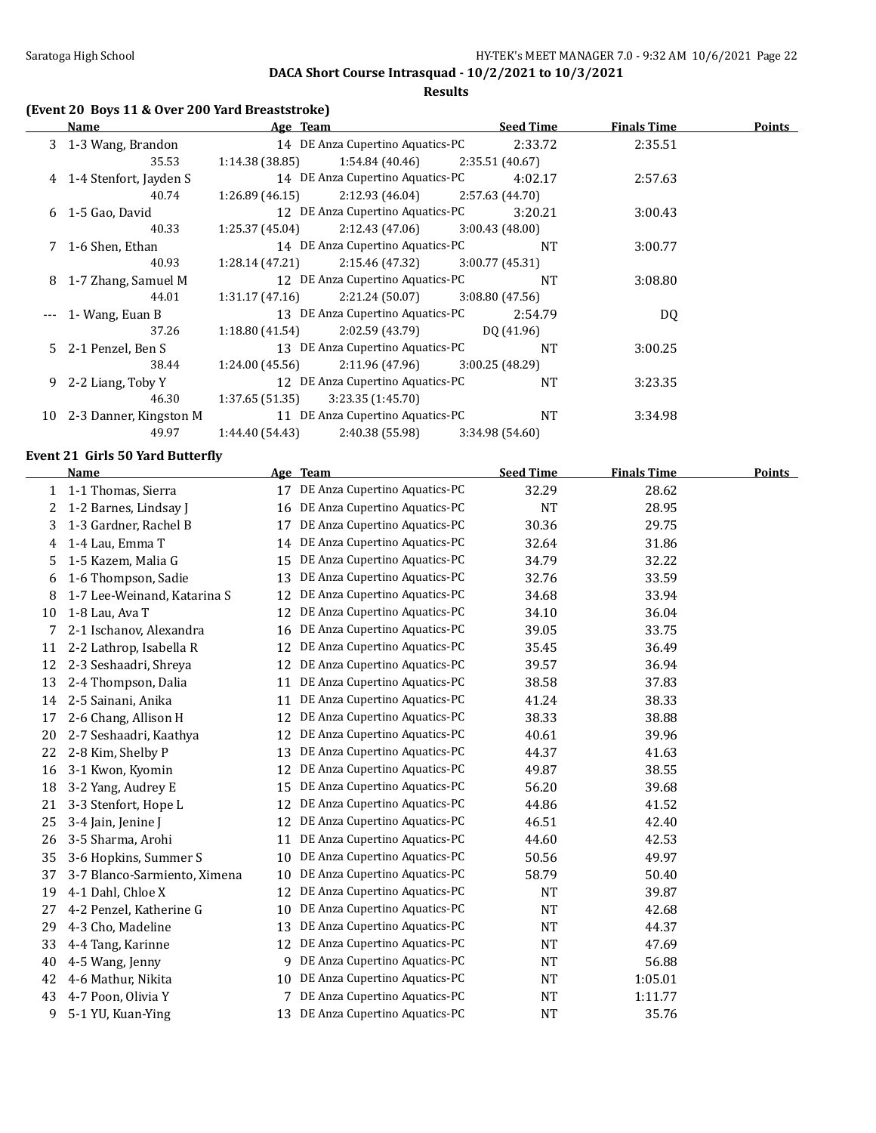**Results**

## **(Event 20 Boys 11 & Over 200 Yard Breaststroke)**

|    | Name                     | Age Team                           | <b>Seed Time</b> | <b>Finals Time</b> | Points |
|----|--------------------------|------------------------------------|------------------|--------------------|--------|
|    | 3 1-3 Wang, Brandon      | 14 DE Anza Cupertino Aquatics-PC   | 2:33.72          | 2:35.51            |        |
|    | 35.53                    | 1:14.38 (38.85)<br>1:54.84 (40.46) | 2:35.51(40.67)   |                    |        |
|    | 4 1-4 Stenfort, Jayden S | 14 DE Anza Cupertino Aquatics-PC   | 4:02.17          | 2:57.63            |        |
|    | 40.74                    | 2:12.93 (46.04)<br>1:26.89(46.15)  | 2:57.63 (44.70)  |                    |        |
|    | $6$ 1-5 Gao, David       | 12 DE Anza Cupertino Aquatics-PC   | 3:20.21          | 3:00.43            |        |
|    | 40.33                    | 2:12.43 (47.06)<br>1:25.37 (45.04) | 3:00.43(48.00)   |                    |        |
|    | 7 1-6 Shen, Ethan        | 14 DE Anza Cupertino Aquatics-PC   | <b>NT</b>        | 3:00.77            |        |
|    | 40.93                    | 1:28.14(47.21)<br>2:15.46 (47.32)  | 3:00.77(45.31)   |                    |        |
|    | 8 1-7 Zhang, Samuel M    | 12 DE Anza Cupertino Aquatics-PC   | <b>NT</b>        | 3:08.80            |        |
|    | 44.01                    | 2:21.24 (50.07)<br>1:31.17 (47.16) | 3:08.80(47.56)   |                    |        |
|    | 1- Wang, Euan B          | 13 DE Anza Cupertino Aquatics-PC   | 2:54.79          | DQ                 |        |
|    | 37.26                    | 2:02.59 (43.79)<br>1:18.80(41.54)  | DO (41.96)       |                    |        |
|    | 5 2-1 Penzel, Ben S      | 13 DE Anza Cupertino Aquatics-PC   | <b>NT</b>        | 3:00.25            |        |
|    | 38.44                    | 2:11.96 (47.96)<br>1:24.00 (45.56) | 3:00.25(48.29)   |                    |        |
| 9. | 2-2 Liang, Toby Y        | 12 DE Anza Cupertino Aquatics-PC   | <b>NT</b>        | 3:23.35            |        |
|    | 46.30                    | 1:37.65(51.35)<br>3:23.35(1:45.70) |                  |                    |        |
| 10 | 2-3 Danner, Kingston M   | 11 DE Anza Cupertino Aquatics-PC   | <b>NT</b>        | 3:34.98            |        |
|    | 49.97                    | 1:44.40(54.43)<br>2:40.38 (55.98)  | 3:34.98 (54.60)  |                    |        |

### **Event 21 Girls 50 Yard Butterfly**

|    | <b>Name</b>                  |    | Age Team                      | <b>Seed Time</b> | <b>Finals Time</b> | <b>Points</b> |
|----|------------------------------|----|-------------------------------|------------------|--------------------|---------------|
| 1  | 1-1 Thomas, Sierra           | 17 | DE Anza Cupertino Aquatics-PC | 32.29            | 28.62              |               |
| 2  | 1-2 Barnes, Lindsay J        | 16 | DE Anza Cupertino Aquatics-PC | <b>NT</b>        | 28.95              |               |
| 3  | 1-3 Gardner, Rachel B        | 17 | DE Anza Cupertino Aquatics-PC | 30.36            | 29.75              |               |
| 4  | 1-4 Lau, Emma T              | 14 | DE Anza Cupertino Aquatics-PC | 32.64            | 31.86              |               |
| 5  | 1-5 Kazem, Malia G           | 15 | DE Anza Cupertino Aquatics-PC | 34.79            | 32.22              |               |
| 6  | 1-6 Thompson, Sadie          | 13 | DE Anza Cupertino Aquatics-PC | 32.76            | 33.59              |               |
| 8  | 1-7 Lee-Weinand, Katarina S  | 12 | DE Anza Cupertino Aquatics-PC | 34.68            | 33.94              |               |
| 10 | 1-8 Lau, Ava T               | 12 | DE Anza Cupertino Aquatics-PC | 34.10            | 36.04              |               |
| 7  | 2-1 Ischanov, Alexandra      | 16 | DE Anza Cupertino Aquatics-PC | 39.05            | 33.75              |               |
| 11 | 2-2 Lathrop, Isabella R      | 12 | DE Anza Cupertino Aquatics-PC | 35.45            | 36.49              |               |
| 12 | 2-3 Seshaadri, Shreya        | 12 | DE Anza Cupertino Aquatics-PC | 39.57            | 36.94              |               |
| 13 | 2-4 Thompson, Dalia          | 11 | DE Anza Cupertino Aquatics-PC | 38.58            | 37.83              |               |
| 14 | 2-5 Sainani, Anika           | 11 | DE Anza Cupertino Aquatics-PC | 41.24            | 38.33              |               |
| 17 | 2-6 Chang, Allison H         | 12 | DE Anza Cupertino Aquatics-PC | 38.33            | 38.88              |               |
| 20 | 2-7 Seshaadri, Kaathya       | 12 | DE Anza Cupertino Aquatics-PC | 40.61            | 39.96              |               |
| 22 | 2-8 Kim, Shelby P            | 13 | DE Anza Cupertino Aquatics-PC | 44.37            | 41.63              |               |
| 16 | 3-1 Kwon, Kyomin             | 12 | DE Anza Cupertino Aquatics-PC | 49.87            | 38.55              |               |
| 18 | 3-2 Yang, Audrey E           | 15 | DE Anza Cupertino Aquatics-PC | 56.20            | 39.68              |               |
| 21 | 3-3 Stenfort, Hope L         | 12 | DE Anza Cupertino Aquatics-PC | 44.86            | 41.52              |               |
| 25 | 3-4 Jain, Jenine J           | 12 | DE Anza Cupertino Aquatics-PC | 46.51            | 42.40              |               |
| 26 | 3-5 Sharma, Arohi            | 11 | DE Anza Cupertino Aquatics-PC | 44.60            | 42.53              |               |
| 35 | 3-6 Hopkins, Summer S        | 10 | DE Anza Cupertino Aquatics-PC | 50.56            | 49.97              |               |
| 37 | 3-7 Blanco-Sarmiento, Ximena | 10 | DE Anza Cupertino Aquatics-PC | 58.79            | 50.40              |               |
| 19 | 4-1 Dahl, Chloe X            | 12 | DE Anza Cupertino Aquatics-PC | <b>NT</b>        | 39.87              |               |
| 27 | 4-2 Penzel, Katherine G      | 10 | DE Anza Cupertino Aquatics-PC | <b>NT</b>        | 42.68              |               |
| 29 | 4-3 Cho, Madeline            | 13 | DE Anza Cupertino Aquatics-PC | <b>NT</b>        | 44.37              |               |
| 33 | 4-4 Tang, Karinne            | 12 | DE Anza Cupertino Aquatics-PC | <b>NT</b>        | 47.69              |               |
| 40 | 4-5 Wang, Jenny              | 9  | DE Anza Cupertino Aquatics-PC | <b>NT</b>        | 56.88              |               |
| 42 | 4-6 Mathur, Nikita           | 10 | DE Anza Cupertino Aquatics-PC | <b>NT</b>        | 1:05.01            |               |
| 43 | 4-7 Poon, Olivia Y           | 7  | DE Anza Cupertino Aquatics-PC | <b>NT</b>        | 1:11.77            |               |
| 9  | 5-1 YU, Kuan-Ying            | 13 | DE Anza Cupertino Aquatics-PC | <b>NT</b>        | 35.76              |               |
|    |                              |    |                               |                  |                    |               |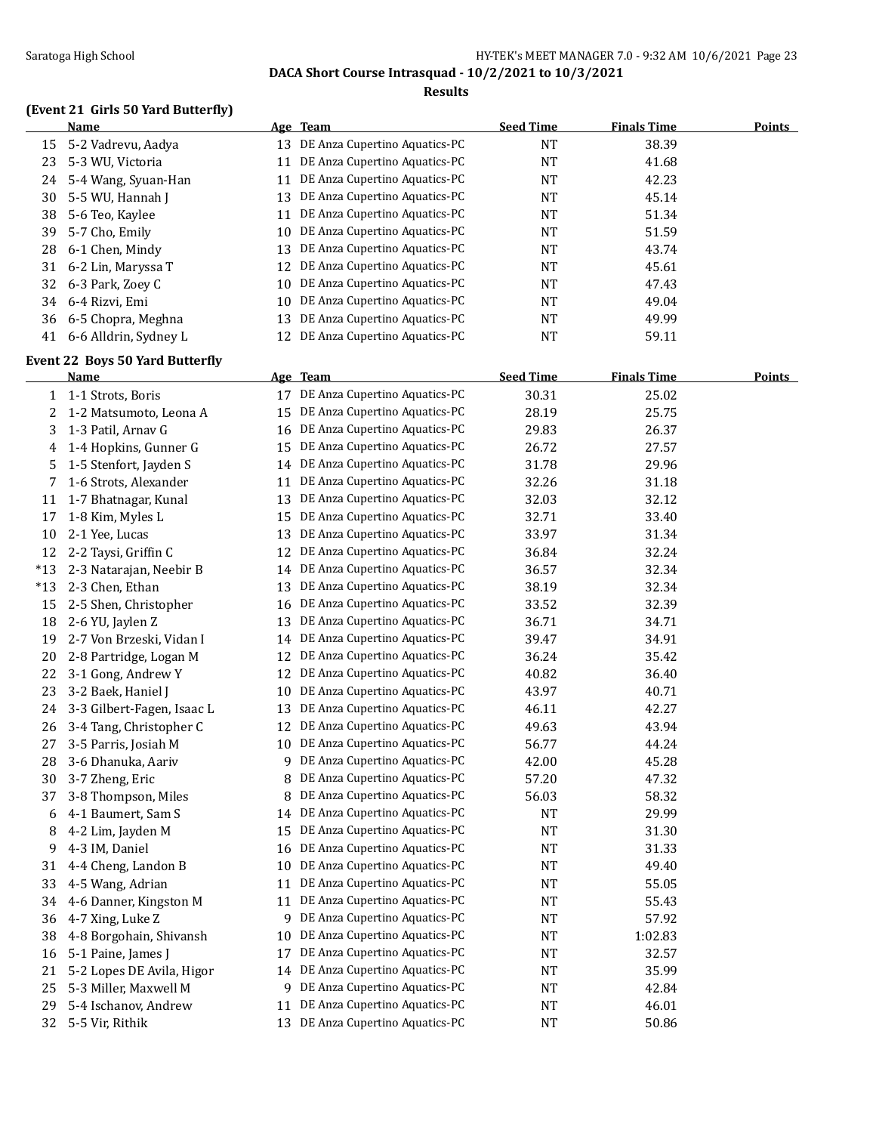### Saratoga High School **Example 23** HY-TEK's MEET MANAGER 7.0 - 9:32 AM 10/6/2021 Page 23

**DACA Short Course Intrasquad - 10/2/2021 to 10/3/2021**

#### **Results**

## **(Event 21 Girls 50 Yard Butterfly)**

|    | Name                     |    | Age Team                         | <b>Seed Time</b> | <b>Finals Time</b> | <b>Points</b> |
|----|--------------------------|----|----------------------------------|------------------|--------------------|---------------|
| 15 | 5-2 Vadrevu, Aadya       |    | 13 DE Anza Cupertino Aquatics-PC | <b>NT</b>        | 38.39              |               |
| 23 | 5-3 WU, Victoria         |    | DE Anza Cupertino Aquatics-PC    | <b>NT</b>        | 41.68              |               |
| 24 | 5-4 Wang, Syuan-Han      |    | DE Anza Cupertino Aquatics-PC    | <b>NT</b>        | 42.23              |               |
| 30 | 5-5 WU, Hannah J         | 13 | DE Anza Cupertino Aquatics-PC    | <b>NT</b>        | 45.14              |               |
| 38 | 5-6 Teo, Kaylee          |    | DE Anza Cupertino Aquatics-PC    | <b>NT</b>        | 51.34              |               |
| 39 | 5-7 Cho, Emily           |    | 10 DE Anza Cupertino Aquatics-PC | <b>NT</b>        | 51.59              |               |
| 28 | 6-1 Chen, Mindy          | 13 | DE Anza Cupertino Aquatics-PC    | <b>NT</b>        | 43.74              |               |
| 31 | 6-2 Lin, Maryssa T       |    | 12 DE Anza Cupertino Aquatics-PC | <b>NT</b>        | 45.61              |               |
| 32 | 6-3 Park, Zoev C         |    | 10 DE Anza Cupertino Aquatics-PC | <b>NT</b>        | 47.43              |               |
| 34 | 6-4 Rizvi. Emi           |    | 10 DE Anza Cupertino Aquatics-PC | <b>NT</b>        | 49.04              |               |
|    | 36 6-5 Chopra, Meghna    | 13 | DE Anza Cupertino Aquatics-PC    | <b>NT</b>        | 49.99              |               |
|    | 41 6-6 Alldrin, Sydney L |    | 12 DE Anza Cupertino Aquatics-PC | <b>NT</b>        | 59.11              |               |

### **Event 22 Boys 50 Yard Butterfly**

|       | Name                       |    | Age Team                         | <b>Seed Time</b> | <b>Finals Time</b> | <b>Points</b> |
|-------|----------------------------|----|----------------------------------|------------------|--------------------|---------------|
| 1     | 1-1 Strots, Boris          | 17 | DE Anza Cupertino Aquatics-PC    | 30.31            | 25.02              |               |
| 2     | 1-2 Matsumoto, Leona A     | 15 | DE Anza Cupertino Aquatics-PC    | 28.19            | 25.75              |               |
| 3     | 1-3 Patil, Arnav G         | 16 | DE Anza Cupertino Aquatics-PC    | 29.83            | 26.37              |               |
| 4     | 1-4 Hopkins, Gunner G      | 15 | DE Anza Cupertino Aquatics-PC    | 26.72            | 27.57              |               |
| 5     | 1-5 Stenfort, Jayden S     | 14 | DE Anza Cupertino Aquatics-PC    | 31.78            | 29.96              |               |
| 7     | 1-6 Strots, Alexander      | 11 | DE Anza Cupertino Aquatics-PC    | 32.26            | 31.18              |               |
| 11    | 1-7 Bhatnagar, Kunal       | 13 | DE Anza Cupertino Aquatics-PC    | 32.03            | 32.12              |               |
| 17    | 1-8 Kim, Myles L           | 15 | DE Anza Cupertino Aquatics-PC    | 32.71            | 33.40              |               |
| 10    | 2-1 Yee, Lucas             | 13 | DE Anza Cupertino Aquatics-PC    | 33.97            | 31.34              |               |
| 12    | 2-2 Taysi, Griffin C       | 12 | DE Anza Cupertino Aquatics-PC    | 36.84            | 32.24              |               |
| $*13$ | 2-3 Natarajan, Neebir B    | 14 | DE Anza Cupertino Aquatics-PC    | 36.57            | 32.34              |               |
| $*13$ | 2-3 Chen, Ethan            | 13 | DE Anza Cupertino Aquatics-PC    | 38.19            | 32.34              |               |
| 15    | 2-5 Shen, Christopher      | 16 | DE Anza Cupertino Aquatics-PC    | 33.52            | 32.39              |               |
| 18    | 2-6 YU, Jaylen Z           | 13 | DE Anza Cupertino Aquatics-PC    | 36.71            | 34.71              |               |
| 19    | 2-7 Von Brzeski, Vidan I   | 14 | DE Anza Cupertino Aquatics-PC    | 39.47            | 34.91              |               |
| 20    | 2-8 Partridge, Logan M     | 12 | DE Anza Cupertino Aquatics-PC    | 36.24            | 35.42              |               |
| 22    | 3-1 Gong, Andrew Y         | 12 | DE Anza Cupertino Aquatics-PC    | 40.82            | 36.40              |               |
| 23    | 3-2 Baek, Haniel J         | 10 | DE Anza Cupertino Aquatics-PC    | 43.97            | 40.71              |               |
| 24    | 3-3 Gilbert-Fagen, Isaac L | 13 | DE Anza Cupertino Aquatics-PC    | 46.11            | 42.27              |               |
| 26    | 3-4 Tang, Christopher C    | 12 | DE Anza Cupertino Aquatics-PC    | 49.63            | 43.94              |               |
| 27    | 3-5 Parris, Josiah M       | 10 | DE Anza Cupertino Aquatics-PC    | 56.77            | 44.24              |               |
| 28    | 3-6 Dhanuka, Aariv         | 9  | DE Anza Cupertino Aquatics-PC    | 42.00            | 45.28              |               |
| 30    | 3-7 Zheng, Eric            | 8  | DE Anza Cupertino Aquatics-PC    | 57.20            | 47.32              |               |
| 37    | 3-8 Thompson, Miles        | 8  | DE Anza Cupertino Aquatics-PC    | 56.03            | 58.32              |               |
| 6     | 4-1 Baumert, Sam S         | 14 | DE Anza Cupertino Aquatics-PC    | <b>NT</b>        | 29.99              |               |
| 8     | 4-2 Lim, Jayden M          | 15 | DE Anza Cupertino Aquatics-PC    | <b>NT</b>        | 31.30              |               |
| 9     | 4-3 IM, Daniel             | 16 | DE Anza Cupertino Aquatics-PC    | <b>NT</b>        | 31.33              |               |
| 31    | 4-4 Cheng, Landon B        | 10 | DE Anza Cupertino Aquatics-PC    | <b>NT</b>        | 49.40              |               |
| 33    | 4-5 Wang, Adrian           | 11 | DE Anza Cupertino Aquatics-PC    | <b>NT</b>        | 55.05              |               |
| 34    | 4-6 Danner, Kingston M     | 11 | DE Anza Cupertino Aquatics-PC    | <b>NT</b>        | 55.43              |               |
| 36    | 4-7 Xing, Luke Z           |    | 9 DE Anza Cupertino Aquatics-PC  | <b>NT</b>        | 57.92              |               |
| 38    | 4-8 Borgohain, Shivansh    | 10 | DE Anza Cupertino Aquatics-PC    | <b>NT</b>        | 1:02.83            |               |
| 16    | 5-1 Paine, James J         | 17 | DE Anza Cupertino Aquatics-PC    | <b>NT</b>        | 32.57              |               |
| 21    | 5-2 Lopes DE Avila, Higor  | 14 | DE Anza Cupertino Aquatics-PC    | <b>NT</b>        | 35.99              |               |
| 25    | 5-3 Miller, Maxwell M      |    | 9 DE Anza Cupertino Aquatics-PC  | <b>NT</b>        | 42.84              |               |
| 29    | 5-4 Ischanov, Andrew       | 11 | DE Anza Cupertino Aquatics-PC    | <b>NT</b>        | 46.01              |               |
| 32    | 5-5 Vir, Rithik            |    | 13 DE Anza Cupertino Aquatics-PC | <b>NT</b>        | 50.86              |               |
|       |                            |    |                                  |                  |                    |               |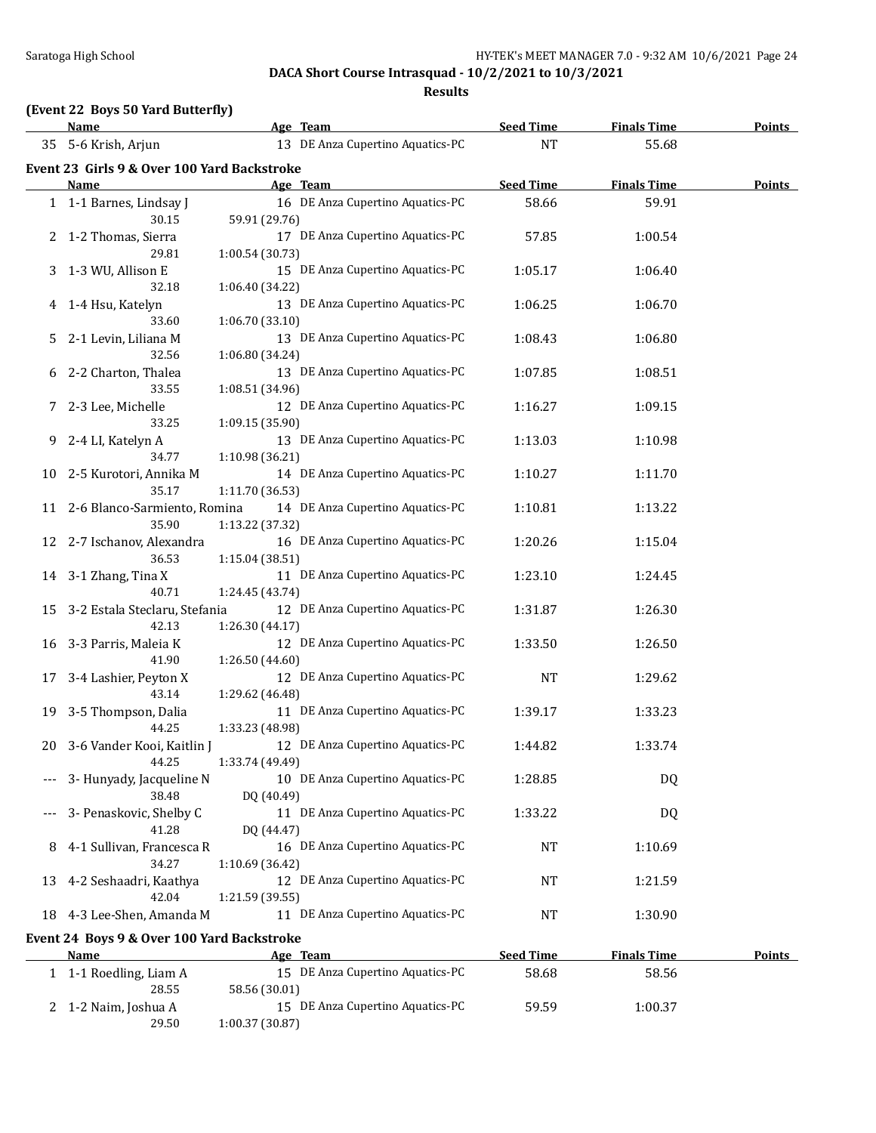**Results**

## **(Event 22 Boys 50 Yard Butterfly)**

|    | <b>Name</b>                                               | Age Team                                                             | <b>Seed Time</b> | <b>Finals Time</b> | <b>Points</b> |
|----|-----------------------------------------------------------|----------------------------------------------------------------------|------------------|--------------------|---------------|
|    | 35 5-6 Krish, Arjun                                       | 13 DE Anza Cupertino Aquatics-PC                                     | <b>NT</b>        | 55.68              |               |
|    | Event 23 Girls 9 & Over 100 Yard Backstroke               |                                                                      |                  |                    |               |
|    | Name                                                      | Age Team                                                             | <b>Seed Time</b> | <b>Finals Time</b> | <b>Points</b> |
|    | 1 1-1 Barnes, Lindsay J<br>30.15                          | 16 DE Anza Cupertino Aquatics-PC<br>59.91 (29.76)                    | 58.66            | 59.91              |               |
|    | 1-2 Thomas, Sierra<br>29.81                               | 17 DE Anza Cupertino Aquatics-PC<br>1:00.54 (30.73)                  | 57.85            | 1:00.54            |               |
| 3  | 1-3 WU, Allison E<br>32.18                                | 15 DE Anza Cupertino Aquatics-PC<br>1:06.40 (34.22)                  | 1:05.17          | 1:06.40            |               |
| 4  | 1-4 Hsu, Katelyn<br>33.60                                 | 13 DE Anza Cupertino Aquatics-PC<br>1:06.70(33.10)                   | 1:06.25          | 1:06.70            |               |
| 5  | 2-1 Levin, Liliana M<br>32.56                             | 13 DE Anza Cupertino Aquatics-PC                                     | 1:08.43          | 1:06.80            |               |
| 6  | 2-2 Charton, Thalea                                       | 1:06.80 (34.24)<br>13 DE Anza Cupertino Aquatics-PC                  | 1:07.85          | 1:08.51            |               |
| 7  | 33.55<br>2-3 Lee, Michelle                                | 1:08.51 (34.96)<br>12 DE Anza Cupertino Aquatics-PC                  | 1:16.27          | 1:09.15            |               |
| 9  | 33.25<br>2-4 LI, Katelyn A                                | 1:09.15 (35.90)<br>13 DE Anza Cupertino Aquatics-PC                  | 1:13.03          | 1:10.98            |               |
| 10 | 34.77<br>2-5 Kurotori, Annika M                           | 1:10.98 (36.21)<br>14 DE Anza Cupertino Aquatics-PC                  | 1:10.27          | 1:11.70            |               |
| 11 | 35.17<br>2-6 Blanco-Sarmiento, Romina                     | 1:11.70 (36.53)<br>14 DE Anza Cupertino Aquatics-PC                  | 1:10.81          | 1:13.22            |               |
| 12 | 35.90<br>2-7 Ischanov, Alexandra                          | 1:13.22 (37.32)<br>16 DE Anza Cupertino Aquatics-PC                  | 1:20.26          | 1:15.04            |               |
| 14 | 36.53<br>3-1 Zhang, Tina X                                | 1:15.04 (38.51)<br>11 DE Anza Cupertino Aquatics-PC                  | 1:23.10          | 1:24.45            |               |
| 15 | 40.71<br>3-2 Estala Steclaru, Stefania                    | 1:24.45 (43.74)<br>12 DE Anza Cupertino Aquatics-PC                  | 1:31.87          | 1:26.30            |               |
| 16 | 42.13<br>3-3 Parris, Maleia K                             | 1:26.30 (44.17)<br>12 DE Anza Cupertino Aquatics-PC                  | 1:33.50          | 1:26.50            |               |
| 17 | 41.90<br>3-4 Lashier, Peyton X                            | 1:26.50 (44.60)<br>12 DE Anza Cupertino Aquatics-PC                  | <b>NT</b>        | 1:29.62            |               |
| 19 | 43.14<br>3-5 Thompson, Dalia                              | 1:29.62 (46.48)<br>11 DE Anza Cupertino Aquatics-PC                  | 1:39.17          | 1:33.23            |               |
| 20 | 44.25<br>3-6 Vander Kooi, Kaitlin J                       | 1:33.23 (48.98)<br>12 DE Anza Cupertino Aquatics-PC                  | 1:44.82          | 1:33.74            |               |
|    | 44.25<br>3- Hunyady, Jacqueline N                         | 1:33.74 (49.49)<br>10 DE Anza Cupertino Aquatics-PC                  | 1:28.85          | DQ                 |               |
|    | 38.48<br>3- Penaskovic, Shelby C                          | DQ (40.49)<br>11 DE Anza Cupertino Aquatics-PC                       | 1:33.22          | DQ                 |               |
|    | 41.28                                                     | DQ (44.47)<br>16 DE Anza Cupertino Aquatics-PC                       |                  |                    |               |
| 8  | 4-1 Sullivan, Francesca R<br>34.27                        | 1:10.69 (36.42)                                                      | NT               | 1:10.69            |               |
| 13 | 4-2 Seshaadri, Kaathya<br>42.04                           | 12 DE Anza Cupertino Aquatics-PC<br>1:21.59 (39.55)                  | NT               | 1:21.59            |               |
| 18 | 4-3 Lee-Shen, Amanda M                                    | 11 DE Anza Cupertino Aquatics-PC                                     | NT               | 1:30.90            |               |
|    | Event 24 Boys 9 & Over 100 Yard Backstroke<br><u>Name</u> | Age Team                                                             | <b>Seed Time</b> | <b>Finals Time</b> | <b>Points</b> |
|    | 1 1-1 Roedling, Liam A<br>28.55                           | 15 DE Anza Cupertino Aquatics-PC                                     | 58.68            | 58.56              |               |
| 2  | 1-2 Naim, Joshua A<br>29.50                               | 58.56 (30.01)<br>15 DE Anza Cupertino Aquatics-PC<br>1:00.37 (30.87) | 59.59            | 1:00.37            |               |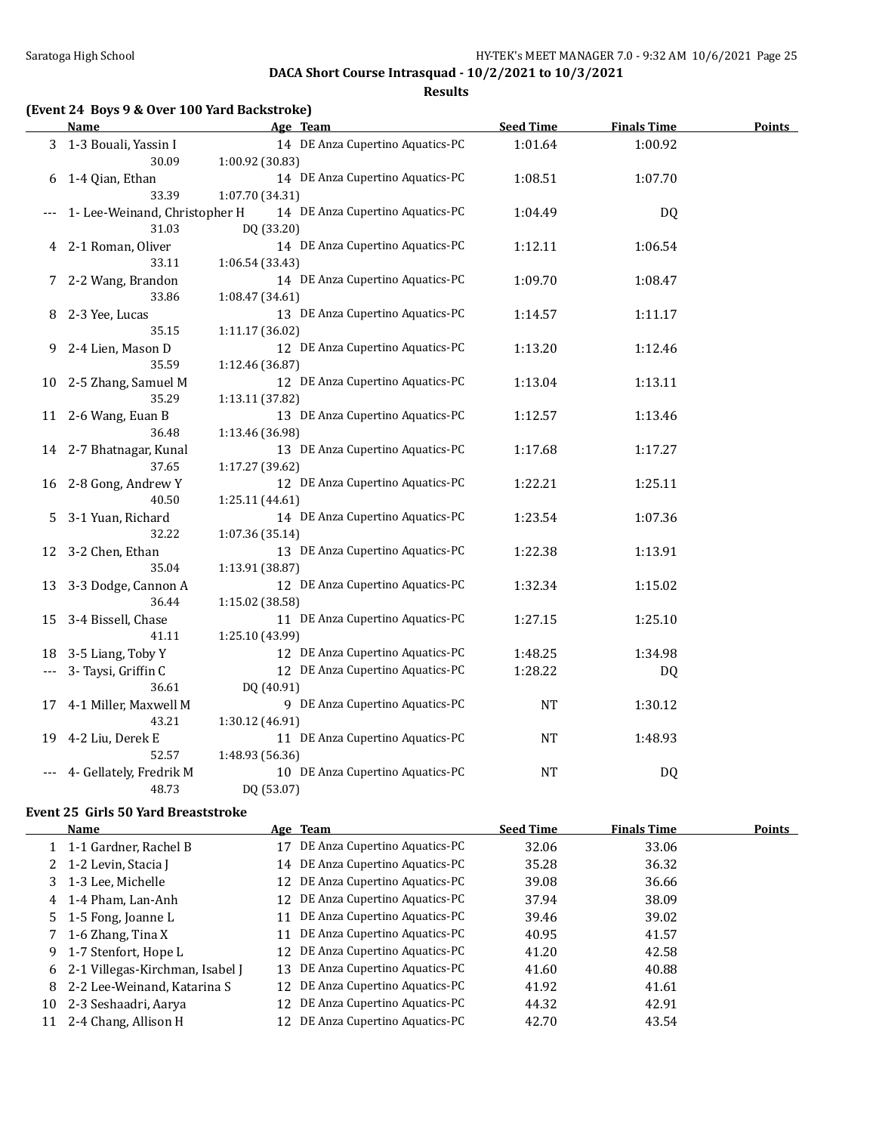**Results**

| (Event 24 Boys 9 & Over 100 Yard Backstroke) |  |  |  |
|----------------------------------------------|--|--|--|
|                                              |  |  |  |

|    | <b>Name</b>                   | Age Team                         | <b>Seed Time</b> | <b>Finals Time</b> | <b>Points</b> |
|----|-------------------------------|----------------------------------|------------------|--------------------|---------------|
|    | 3 1-3 Bouali, Yassin I        | 14 DE Anza Cupertino Aquatics-PC | 1:01.64          | 1:00.92            |               |
|    | 30.09                         | 1:00.92 (30.83)                  |                  |                    |               |
| 6  | 1-4 Qian, Ethan               | 14 DE Anza Cupertino Aquatics-PC | 1:08.51          | 1:07.70            |               |
|    | 33.39                         | 1:07.70 (34.31)                  |                  |                    |               |
|    | 1- Lee-Weinand, Christopher H | 14 DE Anza Cupertino Aquatics-PC | 1:04.49          | <b>DQ</b>          |               |
|    | 31.03                         | DQ (33.20)                       |                  |                    |               |
| 4  | 2-1 Roman, Oliver             | 14 DE Anza Cupertino Aquatics-PC | 1:12.11          | 1:06.54            |               |
|    | 33.11                         | 1:06.54 (33.43)                  |                  |                    |               |
|    | 2-2 Wang, Brandon             | 14 DE Anza Cupertino Aquatics-PC | 1:09.70          | 1:08.47            |               |
|    | 33.86                         | 1:08.47 (34.61)                  |                  |                    |               |
| 8  | 2-3 Yee, Lucas                | 13 DE Anza Cupertino Aquatics-PC | 1:14.57          | 1:11.17            |               |
|    | 35.15                         | 1:11.17 (36.02)                  |                  |                    |               |
| 9. | 2-4 Lien, Mason D             | 12 DE Anza Cupertino Aquatics-PC | 1:13.20          | 1:12.46            |               |
|    | 35.59                         | 1:12.46 (36.87)                  |                  |                    |               |
| 10 | 2-5 Zhang, Samuel M           | 12 DE Anza Cupertino Aquatics-PC | 1:13.04          | 1:13.11            |               |
|    | 35.29                         | 1:13.11 (37.82)                  |                  |                    |               |
| 11 | 2-6 Wang, Euan B              | 13 DE Anza Cupertino Aquatics-PC | 1:12.57          | 1:13.46            |               |
|    | 36.48                         | 1:13.46 (36.98)                  |                  |                    |               |
|    | 14 2-7 Bhatnagar, Kunal       | 13 DE Anza Cupertino Aquatics-PC | 1:17.68          | 1:17.27            |               |
|    | 37.65                         | 1:17.27 (39.62)                  |                  |                    |               |
| 16 | 2-8 Gong, Andrew Y            | 12 DE Anza Cupertino Aquatics-PC | 1:22.21          | 1:25.11            |               |
|    | 40.50                         | 1:25.11 (44.61)                  |                  |                    |               |
| 5  | 3-1 Yuan, Richard             | 14 DE Anza Cupertino Aquatics-PC | 1:23.54          | 1:07.36            |               |
|    | 32.22                         | 1:07.36 (35.14)                  |                  |                    |               |
| 12 | 3-2 Chen, Ethan               | 13 DE Anza Cupertino Aquatics-PC | 1:22.38          | 1:13.91            |               |
|    | 35.04                         | 1:13.91 (38.87)                  |                  |                    |               |
| 13 | 3-3 Dodge, Cannon A           | 12 DE Anza Cupertino Aquatics-PC | 1:32.34          | 1:15.02            |               |
|    | 36.44                         | 1:15.02 (38.58)                  |                  |                    |               |
| 15 | 3-4 Bissell, Chase            | 11 DE Anza Cupertino Aquatics-PC | 1:27.15          | 1:25.10            |               |
|    | 41.11                         | 1:25.10 (43.99)                  |                  |                    |               |
| 18 | 3-5 Liang, Toby Y             | 12 DE Anza Cupertino Aquatics-PC | 1:48.25          | 1:34.98            |               |
|    | 3- Taysi, Griffin C           | 12 DE Anza Cupertino Aquatics-PC | 1:28.22          | DQ                 |               |
|    | 36.61                         | DQ (40.91)                       |                  |                    |               |
| 17 | 4-1 Miller, Maxwell M         | 9 DE Anza Cupertino Aquatics-PC  | <b>NT</b>        | 1:30.12            |               |
|    | 43.21                         | 1:30.12 (46.91)                  |                  |                    |               |
| 19 | 4-2 Liu, Derek E              | 11 DE Anza Cupertino Aquatics-PC | <b>NT</b>        | 1:48.93            |               |
|    | 52.57                         | 1:48.93 (56.36)                  |                  |                    |               |
|    | 4- Gellately, Fredrik M       | 10 DE Anza Cupertino Aquatics-PC | <b>NT</b>        | DQ                 |               |
|    | 48.73                         | DQ (53.07)                       |                  |                    |               |

#### **Event 25 Girls 50 Yard Breaststroke**

|    | <b>Name</b>                       |    | Age Team                         | <b>Seed Time</b> | <b>Finals Time</b> | Points |
|----|-----------------------------------|----|----------------------------------|------------------|--------------------|--------|
|    | 1 1-1 Gardner, Rachel B           |    | DE Anza Cupertino Aquatics-PC    | 32.06            | 33.06              |        |
|    | 2 1-2 Levin, Stacia J             |    | 14 DE Anza Cupertino Aquatics-PC | 35.28            | 36.32              |        |
|    | 3 1-3 Lee, Michelle               |    | 12 DE Anza Cupertino Aquatics-PC | 39.08            | 36.66              |        |
|    | 4 1-4 Pham, Lan-Anh               |    | 12 DE Anza Cupertino Aquatics-PC | 37.94            | 38.09              |        |
|    | 5 1-5 Fong, Joanne L              | 11 | DE Anza Cupertino Aquatics-PC    | 39.46            | 39.02              |        |
|    | 7 1-6 Zhang, Tina X               | 11 | DE Anza Cupertino Aquatics-PC    | 40.95            | 41.57              |        |
| 9  | 1-7 Stenfort, Hope L              |    | 12 DE Anza Cupertino Aquatics-PC | 41.20            | 42.58              |        |
|    | 6 2-1 Villegas-Kirchman, Isabel J | 13 | DE Anza Cupertino Aquatics-PC    | 41.60            | 40.88              |        |
| 8  | 2-2 Lee-Weinand, Katarina S       |    | 12 DE Anza Cupertino Aquatics-PC | 41.92            | 41.61              |        |
| 10 | 2-3 Seshaadri, Aarya              |    | 12 DE Anza Cupertino Aquatics-PC | 44.32            | 42.91              |        |
| 11 | 2-4 Chang, Allison H              |    | 12 DE Anza Cupertino Aquatics-PC | 42.70            | 43.54              |        |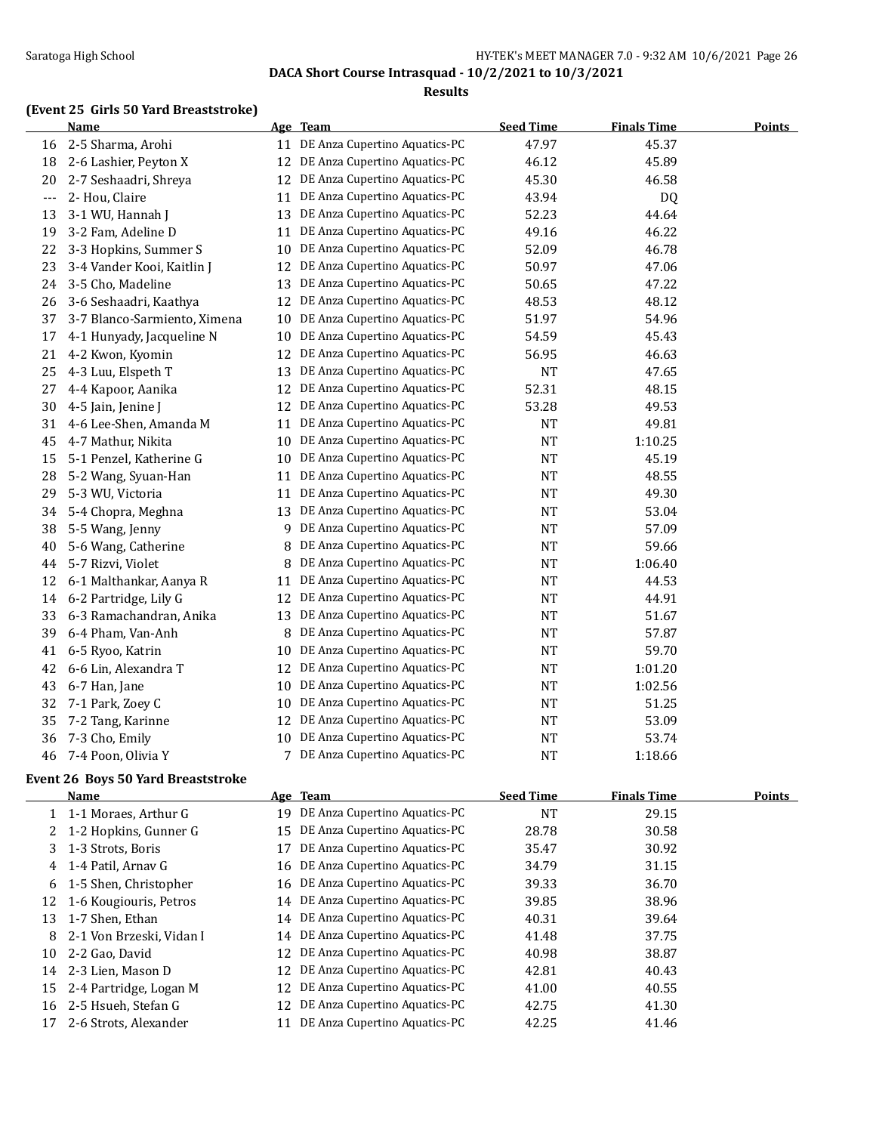### Saratoga High School Saratoga High School Saratoga High School HY-TEK's MEET MANAGER 7.0 - 9:32 AM 10/6/2021 Page 26

**DACA Short Course Intrasquad - 10/2/2021 to 10/3/2021**

#### **Results**

## **(Event 25 Girls 50 Yard Breaststroke)**

|       | <b>Name</b>                  |    | Age Team                      | <b>Seed Time</b> | <b>Finals Time</b> | <b>Points</b> |
|-------|------------------------------|----|-------------------------------|------------------|--------------------|---------------|
| 16    | 2-5 Sharma, Arohi            | 11 | DE Anza Cupertino Aquatics-PC | 47.97            | 45.37              |               |
| 18    | 2-6 Lashier, Peyton X        | 12 | DE Anza Cupertino Aquatics-PC | 46.12            | 45.89              |               |
| 20    | 2-7 Seshaadri, Shreya        | 12 | DE Anza Cupertino Aquatics-PC | 45.30            | 46.58              |               |
| $---$ | 2- Hou, Claire               | 11 | DE Anza Cupertino Aquatics-PC | 43.94            | DQ                 |               |
| 13    | 3-1 WU, Hannah J             | 13 | DE Anza Cupertino Aquatics-PC | 52.23            | 44.64              |               |
| 19    | 3-2 Fam, Adeline D           | 11 | DE Anza Cupertino Aquatics-PC | 49.16            | 46.22              |               |
| 22    | 3-3 Hopkins, Summer S        | 10 | DE Anza Cupertino Aquatics-PC | 52.09            | 46.78              |               |
| 23    | 3-4 Vander Kooi, Kaitlin J   | 12 | DE Anza Cupertino Aquatics-PC | 50.97            | 47.06              |               |
| 24    | 3-5 Cho, Madeline            | 13 | DE Anza Cupertino Aquatics-PC | 50.65            | 47.22              |               |
| 26    | 3-6 Seshaadri, Kaathya       | 12 | DE Anza Cupertino Aquatics-PC | 48.53            | 48.12              |               |
| 37    | 3-7 Blanco-Sarmiento, Ximena | 10 | DE Anza Cupertino Aquatics-PC | 51.97            | 54.96              |               |
| 17    | 4-1 Hunyady, Jacqueline N    | 10 | DE Anza Cupertino Aquatics-PC | 54.59            | 45.43              |               |
| 21    | 4-2 Kwon, Kyomin             | 12 | DE Anza Cupertino Aquatics-PC | 56.95            | 46.63              |               |
| 25    | 4-3 Luu, Elspeth T           | 13 | DE Anza Cupertino Aquatics-PC | <b>NT</b>        | 47.65              |               |
| 27    | 4-4 Kapoor, Aanika           | 12 | DE Anza Cupertino Aquatics-PC | 52.31            | 48.15              |               |
| 30    | 4-5 Jain, Jenine J           | 12 | DE Anza Cupertino Aquatics-PC | 53.28            | 49.53              |               |
| 31    | 4-6 Lee-Shen, Amanda M       | 11 | DE Anza Cupertino Aquatics-PC | <b>NT</b>        | 49.81              |               |
| 45    | 4-7 Mathur, Nikita           | 10 | DE Anza Cupertino Aquatics-PC | <b>NT</b>        | 1:10.25            |               |
| 15    | 5-1 Penzel, Katherine G      | 10 | DE Anza Cupertino Aquatics-PC | <b>NT</b>        | 45.19              |               |
| 28    | 5-2 Wang, Syuan-Han          | 11 | DE Anza Cupertino Aquatics-PC | <b>NT</b>        | 48.55              |               |
| 29    | 5-3 WU, Victoria             | 11 | DE Anza Cupertino Aquatics-PC | <b>NT</b>        | 49.30              |               |
| 34    | 5-4 Chopra, Meghna           | 13 | DE Anza Cupertino Aquatics-PC | <b>NT</b>        | 53.04              |               |
| 38    | 5-5 Wang, Jenny              | 9  | DE Anza Cupertino Aquatics-PC | <b>NT</b>        | 57.09              |               |
| 40    | 5-6 Wang, Catherine          | 8  | DE Anza Cupertino Aquatics-PC | <b>NT</b>        | 59.66              |               |
| 44    | 5-7 Rizvi, Violet            | 8  | DE Anza Cupertino Aquatics-PC | <b>NT</b>        | 1:06.40            |               |
| 12    | 6-1 Malthankar, Aanya R      | 11 | DE Anza Cupertino Aquatics-PC | <b>NT</b>        | 44.53              |               |
| 14    | 6-2 Partridge, Lily G        | 12 | DE Anza Cupertino Aquatics-PC | <b>NT</b>        | 44.91              |               |
| 33    | 6-3 Ramachandran, Anika      | 13 | DE Anza Cupertino Aquatics-PC | <b>NT</b>        | 51.67              |               |
| 39    | 6-4 Pham, Van-Anh            | 8  | DE Anza Cupertino Aquatics-PC | <b>NT</b>        | 57.87              |               |
| 41    | 6-5 Ryoo, Katrin             | 10 | DE Anza Cupertino Aquatics-PC | <b>NT</b>        | 59.70              |               |
| 42    | 6-6 Lin, Alexandra T         | 12 | DE Anza Cupertino Aquatics-PC | <b>NT</b>        | 1:01.20            |               |
| 43    | 6-7 Han, Jane                | 10 | DE Anza Cupertino Aquatics-PC | <b>NT</b>        | 1:02.56            |               |
| 32    | 7-1 Park, Zoey C             | 10 | DE Anza Cupertino Aquatics-PC | <b>NT</b>        | 51.25              |               |
| 35    | 7-2 Tang, Karinne            | 12 | DE Anza Cupertino Aquatics-PC | <b>NT</b>        | 53.09              |               |
| 36    | 7-3 Cho, Emily               | 10 | DE Anza Cupertino Aquatics-PC | <b>NT</b>        | 53.74              |               |
| 46    | 7-4 Poon, Olivia Y           | 7  | DE Anza Cupertino Aquatics-PC | <b>NT</b>        | 1:18.66            |               |

### **Event 26 Boys 50 Yard Breaststroke**

|    | Name                     |    | Age Team                         | <b>Seed Time</b> | <b>Finals Time</b> | Points |
|----|--------------------------|----|----------------------------------|------------------|--------------------|--------|
|    | 1-1 Moraes, Arthur G     | 19 | DE Anza Cupertino Aquatics-PC    | NT               | 29.15              |        |
|    | 1-2 Hopkins, Gunner G    | 15 | DE Anza Cupertino Aquatics-PC    | 28.78            | 30.58              |        |
| 3  | 1-3 Strots, Boris        | 17 | DE Anza Cupertino Aquatics-PC    | 35.47            | 30.92              |        |
| 4  | 1-4 Patil, Arnav G       | 16 | DE Anza Cupertino Aquatics-PC    | 34.79            | 31.15              |        |
| 6  | 1-5 Shen, Christopher    | 16 | DE Anza Cupertino Aquatics-PC    | 39.33            | 36.70              |        |
| 12 | 1-6 Kougiouris, Petros   |    | 14 DE Anza Cupertino Aquatics-PC | 39.85            | 38.96              |        |
| 13 | 1-7 Shen. Ethan          | 14 | DE Anza Cupertino Aquatics-PC    | 40.31            | 39.64              |        |
| 8  | 2-1 Von Brzeski, Vidan I |    | 14 DE Anza Cupertino Aquatics-PC | 41.48            | 37.75              |        |
| 10 | 2-2 Gao, David           | 12 | DE Anza Cupertino Aquatics-PC    | 40.98            | 38.87              |        |
| 14 | 2-3 Lien. Mason D        | 12 | DE Anza Cupertino Aquatics-PC    | 42.81            | 40.43              |        |
| 15 | 2-4 Partridge, Logan M   | 12 | DE Anza Cupertino Aquatics-PC    | 41.00            | 40.55              |        |
| 16 | 2-5 Hsueh, Stefan G      | 12 | DE Anza Cupertino Aquatics-PC    | 42.75            | 41.30              |        |
|    | 2-6 Strots, Alexander    | 11 | DE Anza Cupertino Aquatics-PC    | 42.25            | 41.46              |        |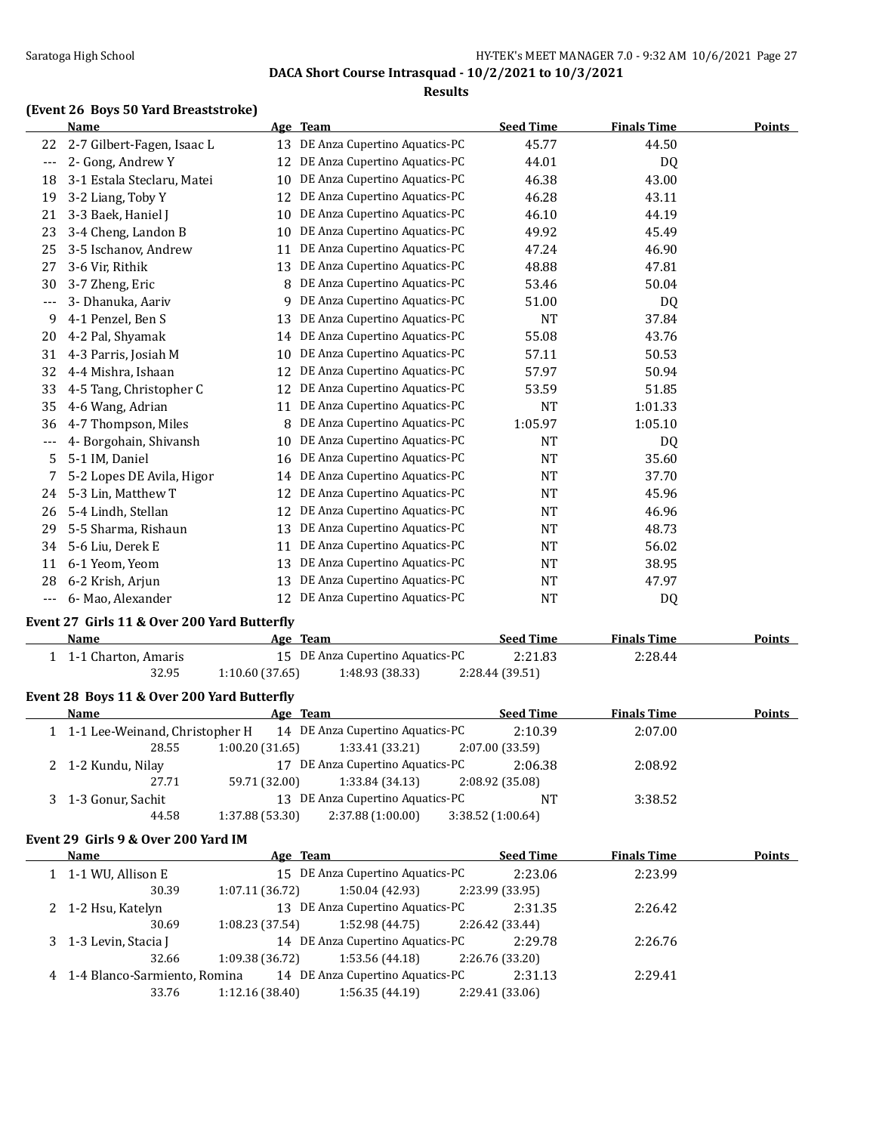### Saratoga High School HY-TEK's MEET MANAGER 7.0 - 9:32 AM 10/6/2021 Page 27

**DACA Short Course Intrasquad - 10/2/2021 to 10/3/2021**

#### **Results**

### **(Event 26 Boys 50 Yard Breaststroke)**

|       | Name                       |    | Age Team                      | <b>Seed Time</b> | <b>Finals Time</b> | <b>Points</b> |
|-------|----------------------------|----|-------------------------------|------------------|--------------------|---------------|
| 22    | 2-7 Gilbert-Fagen, Isaac L | 13 | DE Anza Cupertino Aquatics-PC | 45.77            | 44.50              |               |
| $---$ | 2- Gong, Andrew Y          | 12 | DE Anza Cupertino Aquatics-PC | 44.01            | DQ                 |               |
| 18    | 3-1 Estala Steclaru, Matei | 10 | DE Anza Cupertino Aquatics-PC | 46.38            | 43.00              |               |
| 19    | 3-2 Liang, Toby Y          | 12 | DE Anza Cupertino Aquatics-PC | 46.28            | 43.11              |               |
| 21    | 3-3 Baek, Haniel J         | 10 | DE Anza Cupertino Aquatics-PC | 46.10            | 44.19              |               |
| 23    | 3-4 Cheng, Landon B        | 10 | DE Anza Cupertino Aquatics-PC | 49.92            | 45.49              |               |
| 25    | 3-5 Ischanov, Andrew       | 11 | DE Anza Cupertino Aquatics-PC | 47.24            | 46.90              |               |
| 27    | 3-6 Vir, Rithik            | 13 | DE Anza Cupertino Aquatics-PC | 48.88            | 47.81              |               |
| 30    | 3-7 Zheng, Eric            | 8  | DE Anza Cupertino Aquatics-PC | 53.46            | 50.04              |               |
| ---   | 3- Dhanuka, Aariv          | 9  | DE Anza Cupertino Aquatics-PC | 51.00            | DQ                 |               |
| 9     | 4-1 Penzel, Ben S          | 13 | DE Anza Cupertino Aquatics-PC | <b>NT</b>        | 37.84              |               |
| 20    | 4-2 Pal, Shyamak           | 14 | DE Anza Cupertino Aquatics-PC | 55.08            | 43.76              |               |
| 31    | 4-3 Parris, Josiah M       | 10 | DE Anza Cupertino Aquatics-PC | 57.11            | 50.53              |               |
| 32    | 4-4 Mishra, Ishaan         | 12 | DE Anza Cupertino Aquatics-PC | 57.97            | 50.94              |               |
| 33    | 4-5 Tang, Christopher C    | 12 | DE Anza Cupertino Aquatics-PC | 53.59            | 51.85              |               |
| 35    | 4-6 Wang, Adrian           | 11 | DE Anza Cupertino Aquatics-PC | <b>NT</b>        | 1:01.33            |               |
| 36    | 4-7 Thompson, Miles        | 8  | DE Anza Cupertino Aquatics-PC | 1:05.97          | 1:05.10            |               |
| ---   | 4- Borgohain, Shivansh     | 10 | DE Anza Cupertino Aquatics-PC | <b>NT</b>        | <b>DQ</b>          |               |
| 5     | 5-1 IM, Daniel             | 16 | DE Anza Cupertino Aquatics-PC | <b>NT</b>        | 35.60              |               |
| 7     | 5-2 Lopes DE Avila, Higor  | 14 | DE Anza Cupertino Aquatics-PC | <b>NT</b>        | 37.70              |               |
| 24    | 5-3 Lin, Matthew T         | 12 | DE Anza Cupertino Aquatics-PC | <b>NT</b>        | 45.96              |               |
| 26    | 5-4 Lindh, Stellan         | 12 | DE Anza Cupertino Aquatics-PC | <b>NT</b>        | 46.96              |               |
| 29    | 5-5 Sharma, Rishaun        | 13 | DE Anza Cupertino Aquatics-PC | NT               | 48.73              |               |
| 34    | 5-6 Liu, Derek E           | 11 | DE Anza Cupertino Aquatics-PC | <b>NT</b>        | 56.02              |               |
| 11    | 6-1 Yeom, Yeom             | 13 | DE Anza Cupertino Aquatics-PC | NT               | 38.95              |               |
| 28    | 6-2 Krish, Arjun           | 13 | DE Anza Cupertino Aquatics-PC | NT               | 47.97              |               |
| ---   | 6- Mao, Alexander          | 12 | DE Anza Cupertino Aquatics-PC | <b>NT</b>        | D <sub>Q</sub>     |               |

### **Event 27 Girls 11 & Over 200 Yard Butterfly**

| Name                | Age Team       |                                  | <b>Seed Time</b> | <b>Finals Time</b> | Points |
|---------------------|----------------|----------------------------------|------------------|--------------------|--------|
| 1-1 Charton. Amaris |                | 15 DE Anza Cupertino Aquatics-PC | 2:21.83          | 2:28.44            |        |
| 32.95               | 1:10.60(37.65) | 1:48.93 (38.33)                  | 2:28.44 (39.51)  |                    |        |

### **Event 28 Boys 11 & Over 200 Yard Butterfly**

| Name                                                              | Age Team       |                                  | <b>Seed Time</b>  | <b>Finals Time</b> | <b>Points</b> |
|-------------------------------------------------------------------|----------------|----------------------------------|-------------------|--------------------|---------------|
| 1 1-1 Lee-Weinand, Christopher H 14 DE Anza Cupertino Aquatics-PC |                |                                  | 2:10.39           | 2:07.00            |               |
| 28.55                                                             | 1:00.20(31.65) | 1:33.41 (33.21)                  | 2:07.00 (33.59)   |                    |               |
| 2 1-2 Kundu, Nilay                                                |                | 17 DE Anza Cupertino Aquatics-PC | 2:06.38           | 2:08.92            |               |
| 27.71                                                             | 59.71 (32.00)  | 1:33.84 (34.13)                  | 2:08.92 (35.08)   |                    |               |
| 3 1-3 Gonur, Sachit                                               |                | 13 DE Anza Cupertino Aquatics-PC | NT                | 3:38.52            |               |
| 44.58                                                             | 1:37.88(53.30) | 2:37.88 (1:00.00)                | 3:38.52 (1:00.64) |                    |               |

#### **Event 29 Girls 9 & Over 200 Yard IM**

 $\overline{a}$ 

| <b>Name</b>                                                     | Age Team        |                                   |                 | <b>Seed Time</b> | <b>Finals Time</b> | Points |
|-----------------------------------------------------------------|-----------------|-----------------------------------|-----------------|------------------|--------------------|--------|
| 1 1-1 WU, Allison E                                             |                 | 15 DE Anza Cupertino Aquatics-PC  |                 | 2:23.06          | 2:23.99            |        |
| 30.39                                                           | 1:07.11(36.72)  | $1:50.04(42.93)$ $2:23.99(33.95)$ |                 |                  |                    |        |
| 2 1-2 Hsu, Katelyn                                              |                 | 13 DE Anza Cupertino Aquatics-PC  |                 | 2:31.35          | 2:26.42            |        |
| 30.69                                                           | 1:08.23(37.54)  | $1:52.98(44.75)$ 2:26.42 (33.44)  |                 |                  |                    |        |
| 3 1-3 Levin, Stacia J                                           |                 | 14 DE Anza Cupertino Aquatics-PC  |                 | 2:29.78          | 2:26.76            |        |
| 32.66                                                           | 1:09.38 (36.72) | $1:53.56(44.18)$ $2:26.76(33.20)$ |                 |                  |                    |        |
| 4 1-4 Blanco-Sarmiento, Romina 14 DE Anza Cupertino Aquatics-PC |                 |                                   |                 | 2:31.13          | 2:29.41            |        |
| 33.76                                                           | 1:12.16(38.40)  | 1:56.35 (44.19)                   | 2:29.41 (33.06) |                  |                    |        |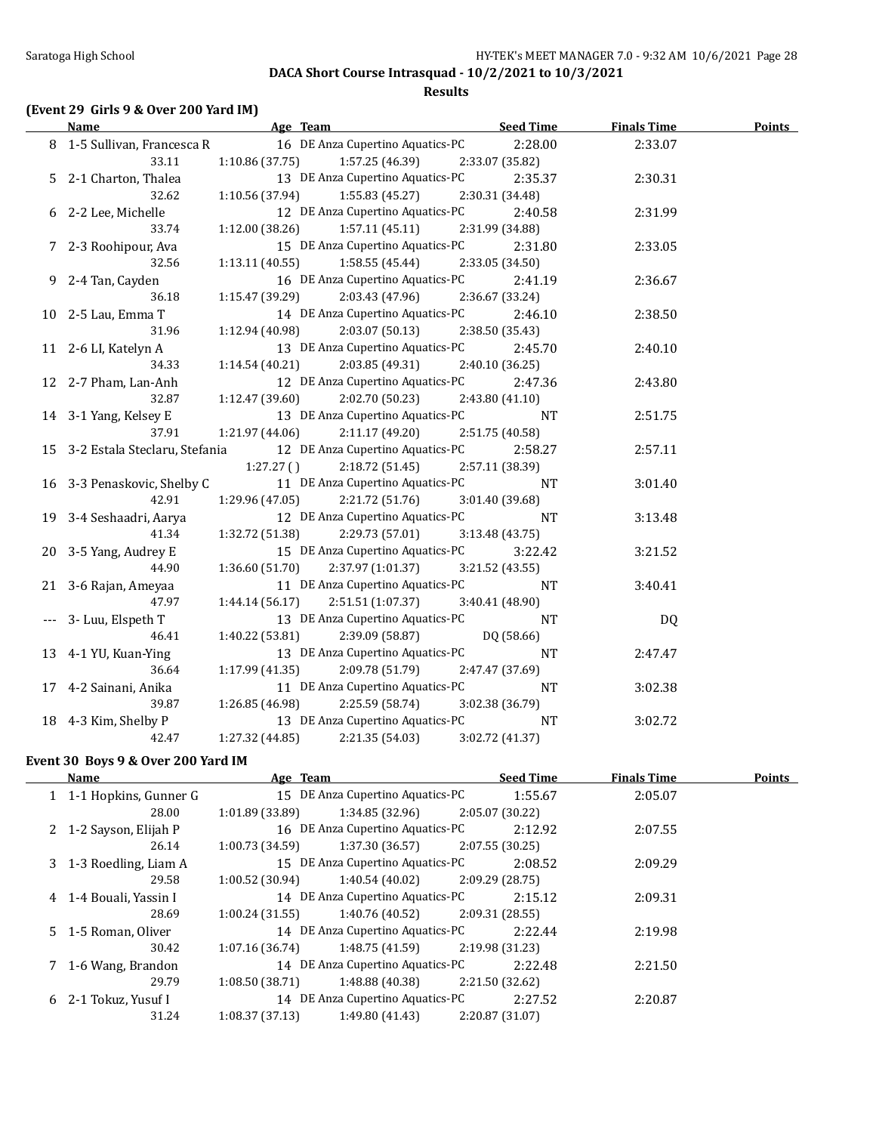#### **Results**

## **(Event 29 Girls 9 & Over 200 Yard IM)**

| <b>Name</b>                      | Age Team                                            | <b>Seed Time</b> | <b>Finals Time</b> | <b>Points</b> |
|----------------------------------|-----------------------------------------------------|------------------|--------------------|---------------|
| 8 1-5 Sullivan, Francesca R      | 16 DE Anza Cupertino Aquatics-PC                    | 2:28.00          | 2:33.07            |               |
| 33.11                            | $1:10.86(37.75)$ $1:57.25(46.39)$                   | 2:33.07 (35.82)  |                    |               |
| 5 2-1 Charton, Thalea            | 13 DE Anza Cupertino Aquatics-PC                    | 2:35.37          | 2:30.31            |               |
| 32.62                            | $1:10.56(37.94)$ $1:55.83(45.27)$                   | 2:30.31 (34.48)  |                    |               |
| 6 2-2 Lee, Michelle              | 12 DE Anza Cupertino Aquatics-PC                    | 2:40.58          | 2:31.99            |               |
| 33.74                            | $1:12.00(38.26)$ $1:57.11(45.11)$ $2:31.99(34.88)$  |                  |                    |               |
| 7 2-3 Roohipour, Ava             | 15 DE Anza Cupertino Aquatics-PC                    | 2:31.80          | 2:33.05            |               |
| 32.56                            | $1:13.11(40.55)$ $1:58.55(45.44)$ $2:33.05(34.50)$  |                  |                    |               |
| 9 2-4 Tan, Cayden                | 16 DE Anza Cupertino Aquatics-PC                    | 2:41.19          | 2:36.67            |               |
| 36.18                            | $1:15.47(39.29)$ $2:03.43(47.96)$ $2:36.67(33.24)$  |                  |                    |               |
| 10 2-5 Lau, Emma T               | 14 DE Anza Cupertino Aquatics-PC                    | 2:46.10          | 2:38.50            |               |
| 31.96                            | $2:03.07(50.13)$ $2:38.50(35.43)$<br>1:12.94(40.98) |                  |                    |               |
| 11 2-6 LI, Katelyn A             | 13 DE Anza Cupertino Aquatics-PC                    | 2:45.70          | 2:40.10            |               |
| 34.33                            | 2:03.85 (49.31)<br>1:14.54(40.21)                   | 2:40.10 (36.25)  |                    |               |
| 12 2-7 Pham, Lan-Anh             | 12 DE Anza Cupertino Aquatics-PC                    | 2:47.36          | 2:43.80            |               |
| 32.87                            | 1:12.47(39.60)<br>2:02.70 (50.23)                   | 2:43.80(41.10)   |                    |               |
| 14 3-1 Yang, Kelsey E            | 13 DE Anza Cupertino Aquatics-PC                    | <b>NT</b>        | 2:51.75            |               |
| 37.91                            | 1:21.97 (44.06)<br>2:11.17 (49.20)                  | 2:51.75 (40.58)  |                    |               |
| 15 3-2 Estala Steclaru, Stefania | 12 DE Anza Cupertino Aquatics-PC                    | 2:58.27          | 2:57.11            |               |
|                                  | 2:18.72 (51.45)<br>1:27.27()                        | 2:57.11 (38.39)  |                    |               |
| 16 3-3 Penaskovic, Shelby C      | 11 DE Anza Cupertino Aquatics-PC                    | <b>NT</b>        | 3:01.40            |               |
| 42.91                            | 2:21.72 (51.76)<br>1:29.96 (47.05)                  | 3:01.40(39.68)   |                    |               |
| 19 3-4 Seshaadri, Aarya          | 12 DE Anza Cupertino Aquatics-PC                    | <b>NT</b>        | 3:13.48            |               |
| 41.34                            | 2:29.73 (57.01)<br>1:32.72 (51.38)                  | 3:13.48(43.75)   |                    |               |
| 20 3-5 Yang, Audrey E            | 15 DE Anza Cupertino Aquatics-PC                    | 3:22.42          | 3:21.52            |               |
| 44.90                            | $1:36.60(51.70)$ $2:37.97(1:01.37)$                 | 3:21.52 (43.55)  |                    |               |
| 21 3-6 Rajan, Ameyaa             | 11 DE Anza Cupertino Aquatics-PC                    | <b>NT</b>        | 3:40.41            |               |
| 47.97                            | $1:44.14(56.17)$ $2:51.51(1:07.37)$                 | 3:40.41 (48.90)  |                    |               |
| --- 3- Luu, Elspeth T            | 13 DE Anza Cupertino Aquatics-PC                    | NT               | DQ                 |               |
| 46.41                            | $1:40.22(53.81)$ $2:39.09(58.87)$                   | DQ (58.66)       |                    |               |
| 13 4-1 YU, Kuan-Ying             | 13 DE Anza Cupertino Aquatics-PC                    | <b>NT</b>        | 2:47.47            |               |
| 36.64                            | $1:17.99(41.35)$ $2:09.78(51.79)$                   | 2:47.47 (37.69)  |                    |               |
| 17 4-2 Sainani, Anika            | 11 DE Anza Cupertino Aquatics-PC                    | $\rm{NT}$        | 3:02.38            |               |
| 39.87                            | 1:26.85 (46.98) 2:25.59 (58.74)                     | 3:02.38 (36.79)  |                    |               |
| 18 4-3 Kim, Shelby P             | 13 DE Anza Cupertino Aquatics-PC                    | <b>NT</b>        | 3:02.72            |               |
| 42.47                            | 1:27.32 (44.85)<br>2:21.35 (54.03)                  | 3:02.72 (41.37)  |                    |               |

### **Event 30 Boys 9 & Over 200 Yard IM**

| Name |                         | Age Team        |                                  | <b>Seed Time</b> | <b>Finals Time</b> | <b>Points</b> |  |
|------|-------------------------|-----------------|----------------------------------|------------------|--------------------|---------------|--|
|      | 1 1-1 Hopkins, Gunner G |                 | 15 DE Anza Cupertino Aquatics-PC |                  | 1:55.67            | 2:05.07       |  |
|      | 28.00                   | 1:01.89 (33.89) | 1:34.85 (32.96)                  |                  | 2:05.07(30.22)     |               |  |
|      | 2 1-2 Sayson, Elijah P  |                 | 16 DE Anza Cupertino Aquatics-PC |                  | 2:12.92            | 2:07.55       |  |
|      | 26.14                   | 1:00.73(34.59)  | 1:37.30 (36.57)                  |                  | 2:07.55 (30.25)    |               |  |
|      | 3 1-3 Roedling, Liam A  |                 | 15 DE Anza Cupertino Aquatics-PC |                  | 2:08.52            | 2:09.29       |  |
|      | 29.58                   | 1:00.52(30.94)  | 1:40.54 (40.02)                  |                  | 2:09.29 (28.75)    |               |  |
|      | 4 1-4 Bouali, Yassin I  |                 | 14 DE Anza Cupertino Aquatics-PC |                  | 2:15.12            | 2:09.31       |  |
|      | 28.69                   | 1:00.24(31.55)  | 1:40.76 (40.52)                  |                  | 2:09.31 (28.55)    |               |  |
|      | 5 1-5 Roman, Oliver     |                 | 14 DE Anza Cupertino Aquatics-PC |                  | 2:22.44            | 2:19.98       |  |
|      | 30.42                   | 1:07.16(36.74)  | 1:48.75 (41.59)                  |                  | 2:19.98 (31.23)    |               |  |
|      | 1-6 Wang, Brandon       |                 | 14 DE Anza Cupertino Aquatics-PC |                  | 2:22.48            | 2:21.50       |  |
|      | 29.79                   | 1:08.50(38.71)  | 1:48.88 (40.38)                  |                  | 2:21.50 (32.62)    |               |  |
| 6    | 2-1 Tokuz. Yusuf I      |                 | 14 DE Anza Cupertino Aquatics-PC |                  | 2:27.52            | 2:20.87       |  |
|      | 31.24                   | 1:08.37(37.13)  | 1:49.80(41.43)                   |                  | 2:20.87 (31.07)    |               |  |
|      |                         |                 |                                  |                  |                    |               |  |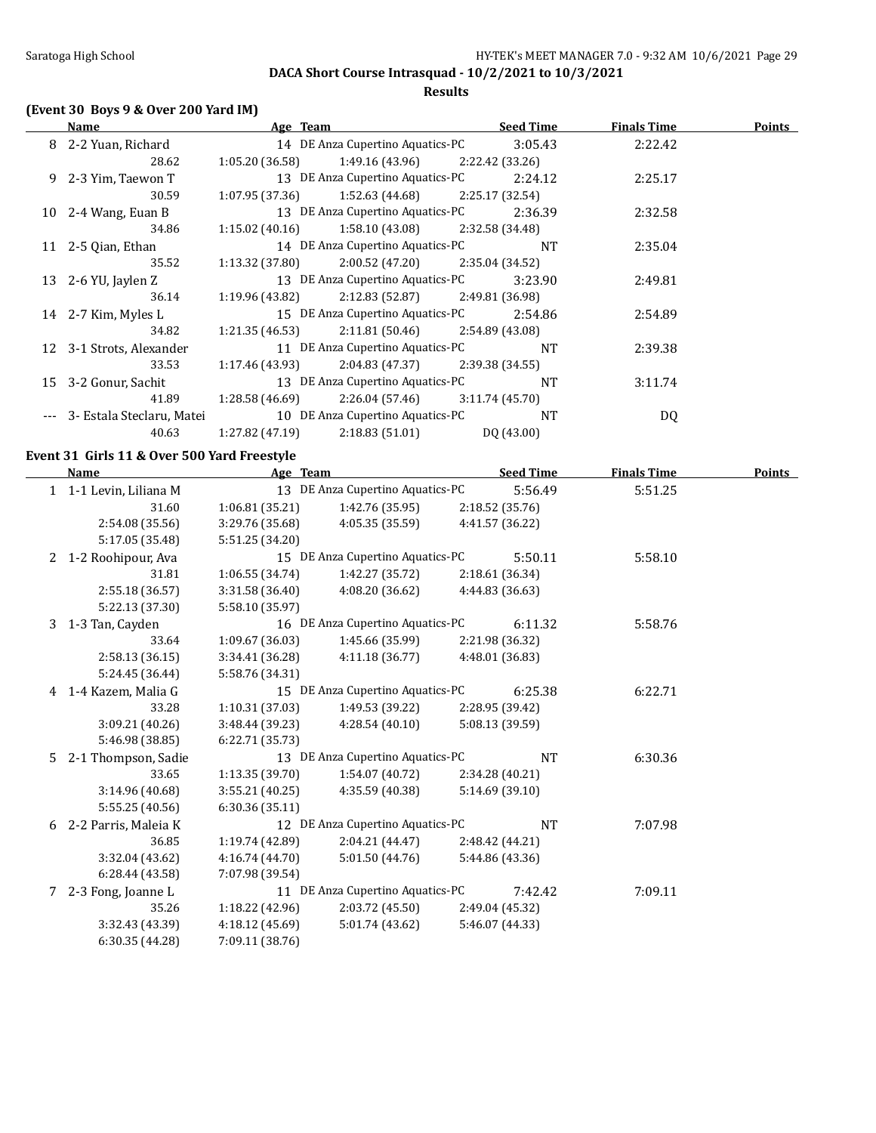### **Results**

## **(Event 30 Boys 9 & Over 200 Yard IM)**

| Name |                           | Age Team                           | <b>Seed Time</b> | <b>Finals Time</b> | Points |
|------|---------------------------|------------------------------------|------------------|--------------------|--------|
|      | 8 2-2 Yuan, Richard       | 14 DE Anza Cupertino Aquatics-PC   | 3:05.43          | 2:22.42            |        |
|      | 28.62                     | 1:05.20(36.58)<br>1:49.16 (43.96)  | 2:22.42 (33.26)  |                    |        |
|      | 9 2-3 Yim, Taewon T       | 13 DE Anza Cupertino Aquatics-PC   | 2:24.12          | 2:25.17            |        |
|      | 30.59                     | 1:07.95(37.36)<br>1:52.63 (44.68)  | 2:25.17(32.54)   |                    |        |
| 10   | 2-4 Wang, Euan B          | 13 DE Anza Cupertino Aquatics-PC   | 2:36.39          | 2:32.58            |        |
|      | 34.86                     | 1:58.10 (43.08)<br>1:15.02(40.16)  | 2:32.58 (34.48)  |                    |        |
|      | 11 2-5 Qian, Ethan        | 14 DE Anza Cupertino Aquatics-PC   | <b>NT</b>        | 2:35.04            |        |
|      | 35.52                     | 2:00.52 (47.20)<br>1:13.32 (37.80) | 2:35.04 (34.52)  |                    |        |
|      | 13 $2-6$ YU, Jaylen Z     | 13 DE Anza Cupertino Aquatics-PC   | 3:23.90          | 2:49.81            |        |
|      | 36.14                     | 2:12.83 (52.87)<br>1:19.96 (43.82) | 2:49.81 (36.98)  |                    |        |
|      | 14 2-7 Kim, Myles L       | 15 DE Anza Cupertino Aquatics-PC   | 2:54.86          | 2:54.89            |        |
|      | 34.82                     | 1:21.35 (46.53)<br>2:11.81 (50.46) | 2:54.89 (43.08)  |                    |        |
|      | 12 3-1 Strots, Alexander  | 11 DE Anza Cupertino Aquatics-PC   | <b>NT</b>        | 2:39.38            |        |
|      | 33.53                     | 2:04.83 (47.37)<br>1:17.46 (43.93) | 2:39.38 (34.55)  |                    |        |
| 15   | 3-2 Gonur, Sachit         | 13 DE Anza Cupertino Aquatics-PC   | <b>NT</b>        | 3:11.74            |        |
|      | 41.89                     | 2:26.04 (57.46)<br>1:28.58 (46.69) | 3:11.74(45.70)   |                    |        |
|      | 3- Estala Steclaru, Matei | 10 DE Anza Cupertino Aquatics-PC   | <b>NT</b>        | DQ                 |        |
|      | 40.63                     | 1:27.82 (47.19)<br>2:18.83(51.01)  | DQ (43.00)       |                    |        |

### **Event 31 Girls 11 & Over 500 Yard Freestyle**

| <b>Name</b> |                        | <u>Age Team</u> |                                  | <b>Seed Time</b> | <b>Finals Time</b> | <b>Points</b> |
|-------------|------------------------|-----------------|----------------------------------|------------------|--------------------|---------------|
|             | 1 1-1 Levin, Liliana M |                 | 13 DE Anza Cupertino Aquatics-PC | 5:56.49          | 5:51.25            |               |
|             | 31.60                  | 1:06.81(35.21)  | 1:42.76 (35.95)                  | 2:18.52 (35.76)  |                    |               |
|             | 2:54.08 (35.56)        | 3:29.76 (35.68) | 4:05.35(35.59)                   | 4:41.57 (36.22)  |                    |               |
|             | 5:17.05 (35.48)        | 5:51.25 (34.20) |                                  |                  |                    |               |
| 2           | 1-2 Roohipour, Ava     |                 | 15 DE Anza Cupertino Aquatics-PC | 5:50.11          | 5:58.10            |               |
|             | 31.81                  | 1:06.55(34.74)  | 1:42.27 (35.72)                  | 2:18.61 (36.34)  |                    |               |
|             | 2:55.18 (36.57)        | 3:31.58 (36.40) | 4:08.20 (36.62)                  | 4:44.83 (36.63)  |                    |               |
|             | 5:22.13 (37.30)        | 5:58.10 (35.97) |                                  |                  |                    |               |
| 3           | 1-3 Tan, Cayden        |                 | 16 DE Anza Cupertino Aquatics-PC | 6:11.32          | 5:58.76            |               |
|             | 33.64                  | 1:09.67(36.03)  | 1:45.66 (35.99)                  | 2:21.98 (36.32)  |                    |               |
|             | 2:58.13(36.15)         | 3:34.41 (36.28) | 4:11.18(36.77)                   | 4:48.01 (36.83)  |                    |               |
|             | 5:24.45 (36.44)        | 5:58.76 (34.31) |                                  |                  |                    |               |
| 4           | 1-4 Kazem, Malia G     |                 | 15 DE Anza Cupertino Aquatics-PC | 6:25.38          | 6:22.71            |               |
|             | 33.28                  | 1:10.31 (37.03) | 1:49.53 (39.22)                  | 2:28.95 (39.42)  |                    |               |
|             | 3:09.21 (40.26)        | 3:48.44 (39.23) | 4:28.54(40.10)                   | 5:08.13 (39.59)  |                    |               |
|             | 5:46.98 (38.85)        | 6:22.71 (35.73) |                                  |                  |                    |               |
| 5.          | 2-1 Thompson, Sadie    |                 | 13 DE Anza Cupertino Aquatics-PC | <b>NT</b>        | 6:30.36            |               |
|             | 33.65                  | 1:13.35(39.70)  | 1:54.07(40.72)                   | 2:34.28 (40.21)  |                    |               |
|             | 3:14.96 (40.68)        | 3:55.21(40.25)  | 4:35.59 (40.38)                  | 5:14.69 (39.10)  |                    |               |
|             | 5:55.25(40.56)         | 6:30.36(35.11)  |                                  |                  |                    |               |
| 6           | 2-2 Parris, Maleia K   |                 | 12 DE Anza Cupertino Aquatics-PC | <b>NT</b>        | 7:07.98            |               |
|             | 36.85                  | 1:19.74(42.89)  | 2:04.21(44.47)                   | 2:48.42 (44.21)  |                    |               |
|             | 3:32.04 (43.62)        | 4:16.74 (44.70) | 5:01.50(44.76)                   | 5:44.86 (43.36)  |                    |               |
|             | 6:28.44(43.58)         | 7:07.98 (39.54) |                                  |                  |                    |               |
| 7           | 2-3 Fong, Joanne L     |                 | 11 DE Anza Cupertino Aquatics-PC | 7:42.42          | 7:09.11            |               |
|             | 35.26                  | 1:18.22 (42.96) | 2:03.72(45.50)                   | 2:49.04 (45.32)  |                    |               |
|             | 3:32.43 (43.39)        | 4:18.12 (45.69) | 5:01.74 (43.62)                  | 5:46.07 (44.33)  |                    |               |
|             | 6:30.35(44.28)         | 7:09.11 (38.76) |                                  |                  |                    |               |